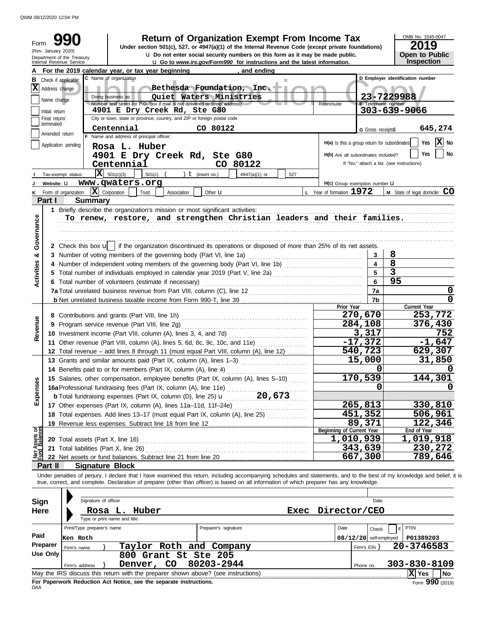QWM 08/12/2020 12:04 PM

| Form                           | (Rev. January 2020) | <b>Return of Organization Exempt From Income Tax</b><br>Under section 501(c), 527, or 4947(a)(1) of the Internal Revenue Code (except private foundations)<br><b>u</b> Do not enter social security numbers on this form as it may be made public.<br>Department of the Treasury<br>Internal Revenue Service<br>U Go to www.irs.gov/Form990 for instructions and the latest information. |                                              |                          | OMB No. 1545-0047<br>2019<br><b>Open to Public</b><br>Inspection |
|--------------------------------|---------------------|------------------------------------------------------------------------------------------------------------------------------------------------------------------------------------------------------------------------------------------------------------------------------------------------------------------------------------------------------------------------------------------|----------------------------------------------|--------------------------|------------------------------------------------------------------|
|                                |                     |                                                                                                                                                                                                                                                                                                                                                                                          |                                              |                          |                                                                  |
|                                |                     | , and ending<br>For the 2019 calendar year, or tax year beginning<br>C Name of organization                                                                                                                                                                                                                                                                                              |                                              |                          | D Employer identification number                                 |
| В                              |                     | Check if applicable:                                                                                                                                                                                                                                                                                                                                                                     |                                              |                          |                                                                  |
| X                              | Address change      | Bethesda Foundation, Inc.                                                                                                                                                                                                                                                                                                                                                                |                                              |                          |                                                                  |
|                                | Name change         | Doing business as<br>Quiet Waters Ministries                                                                                                                                                                                                                                                                                                                                             |                                              |                          | 23-7229988                                                       |
|                                | Initial return      | Number and street (or P.O. box if mail is not delivered to street address)<br>4901 E Dry Creek Rd, Ste G80                                                                                                                                                                                                                                                                               | Room/suite                                   | E Telephone number       | 303-639-9066                                                     |
|                                | Final return/       | City or town, state or province, country, and ZIP or foreign postal code                                                                                                                                                                                                                                                                                                                 |                                              |                          |                                                                  |
|                                | terminated          | Centennial<br>CO 80122                                                                                                                                                                                                                                                                                                                                                                   |                                              |                          |                                                                  |
|                                | Amended return      | F Name and address of principal officer:                                                                                                                                                                                                                                                                                                                                                 |                                              | G Gross receipts\$       | 645,274                                                          |
|                                |                     | Application pending                                                                                                                                                                                                                                                                                                                                                                      | H(a) Is this a group return for subordinates |                          | $ \mathbf{X} $ No<br>Yes                                         |
|                                |                     | Rosa L. Huber                                                                                                                                                                                                                                                                                                                                                                            |                                              |                          | Yes<br>No                                                        |
|                                |                     | 4901 E Dry Creek Rd, Ste G80                                                                                                                                                                                                                                                                                                                                                             | H(b) Are all subordinates included?          |                          |                                                                  |
|                                |                     | Centennial<br>CO 80122                                                                                                                                                                                                                                                                                                                                                                   |                                              |                          | If "No," attach a list. (see instructions)                       |
|                                |                     | $ \mathbf{X} $ 501(c)(3)<br>501(c)<br>) $t$ (insert no.)<br>4947(a)(1) or<br>Tax-exempt status:<br>527                                                                                                                                                                                                                                                                                   |                                              |                          |                                                                  |
|                                |                     |                                                                                                                                                                                                                                                                                                                                                                                          | H(c) Group exemption number <b>U</b>         |                          |                                                                  |
| Κ                              |                     | Form of organization: $ \mathbf{X} $ Corporation<br>Trust<br>Association<br>Other $\mathbf u$                                                                                                                                                                                                                                                                                            | $L$ Year of formation: $1972$                |                          | M State of legal domicile: CO                                    |
|                                | Part I              | <b>Summary</b>                                                                                                                                                                                                                                                                                                                                                                           |                                              |                          |                                                                  |
| Governance                     |                     | To renew, restore, and strengthen Christian leaders and their families.<br>2 Check this box u   if the organization discontinued its operations or disposed of more than 25% of its net assets.                                                                                                                                                                                          |                                              |                          |                                                                  |
| න්                             |                     | 3 Number of voting members of the governing body (Part VI, line 1a)                                                                                                                                                                                                                                                                                                                      |                                              | 3                        | 8                                                                |
|                                |                     | 4 Number of independent voting members of the governing body (Part VI, line 1b) [[[[[[[[[[[[[[[[[[[[[[[[[[[[[[                                                                                                                                                                                                                                                                           |                                              | $\overline{\mathbf{4}}$  | 8                                                                |
| <b>Activities</b>              |                     |                                                                                                                                                                                                                                                                                                                                                                                          |                                              | 5                        | $\overline{3}$                                                   |
|                                |                     | 5 Total number of individuals employed in calendar year 2019 (Part V, line 2a) [[[[[[[[[[[[[[[[[[[[[[[[[[[[[[                                                                                                                                                                                                                                                                            |                                              |                          | 95                                                               |
|                                |                     | 6 Total number of volunteers (estimate if necessary)                                                                                                                                                                                                                                                                                                                                     |                                              | 6                        |                                                                  |
|                                |                     |                                                                                                                                                                                                                                                                                                                                                                                          |                                              | 7a                       | 0                                                                |
|                                |                     |                                                                                                                                                                                                                                                                                                                                                                                          | Prior Year                                   | 7b                       | 0                                                                |
|                                |                     |                                                                                                                                                                                                                                                                                                                                                                                          |                                              | 270,670                  | Current Year<br>253,772                                          |
|                                |                     |                                                                                                                                                                                                                                                                                                                                                                                          |                                              | 284,108                  | 376,430                                                          |
| Revenue                        |                     |                                                                                                                                                                                                                                                                                                                                                                                          |                                              |                          | 752                                                              |
|                                |                     |                                                                                                                                                                                                                                                                                                                                                                                          |                                              | 3,317                    |                                                                  |
|                                |                     | 11 Other revenue (Part VIII, column (A), lines 5, 6d, 8c, 9c, 10c, and 11e)                                                                                                                                                                                                                                                                                                              |                                              | $-17,372$                | $-1,647$                                                         |
|                                |                     | 12 Total revenue - add lines 8 through 11 (must equal Part VIII, column (A), line 12)                                                                                                                                                                                                                                                                                                    |                                              | 540,723                  | 629,307                                                          |
|                                |                     | 13 Grants and similar amounts paid (Part IX, column (A), lines 1-3)                                                                                                                                                                                                                                                                                                                      |                                              | 15,000                   | 31,850                                                           |
|                                |                     | 14 Benefits paid to or for members (Part IX, column (A), line 4)                                                                                                                                                                                                                                                                                                                         |                                              | 0                        | 0                                                                |
|                                |                     | 15 Salaries, other compensation, employee benefits (Part IX, column (A), lines 5-10)                                                                                                                                                                                                                                                                                                     |                                              | 170,539                  | 144,301                                                          |
| Expenses                       |                     | 16a Professional fundraising fees (Part IX, column (A), line 11e)                                                                                                                                                                                                                                                                                                                        |                                              | O                        |                                                                  |
|                                |                     |                                                                                                                                                                                                                                                                                                                                                                                          |                                              |                          |                                                                  |
|                                |                     | 17 Other expenses (Part IX, column (A), lines 11a-11d, 11f-24e)                                                                                                                                                                                                                                                                                                                          |                                              | 265,813                  | 330,810                                                          |
|                                |                     | 18 Total expenses. Add lines 13-17 (must equal Part IX, column (A), line 25)                                                                                                                                                                                                                                                                                                             |                                              | 451,352                  | <u>506,961</u>                                                   |
|                                |                     |                                                                                                                                                                                                                                                                                                                                                                                          |                                              | 89,371                   | 122,346                                                          |
|                                |                     |                                                                                                                                                                                                                                                                                                                                                                                          | Beginning of Current Year                    |                          | End of Year                                                      |
| Net Assets or<br>Fund Balances |                     |                                                                                                                                                                                                                                                                                                                                                                                          | 1,010,939                                    |                          | 1,019,918                                                        |
|                                |                     | 21 Total liabilities (Part X, line 26)                                                                                                                                                                                                                                                                                                                                                   |                                              | 343,639                  | 230,272                                                          |
|                                |                     |                                                                                                                                                                                                                                                                                                                                                                                          |                                              | 667,300                  | 789,646                                                          |
|                                | Part II             | <b>Signature Block</b>                                                                                                                                                                                                                                                                                                                                                                   |                                              |                          |                                                                  |
| <b>Sign</b>                    |                     | Under penalties of perjury, I declare that I have examined this return, including accompanying schedules and statements, and to the best of my knowledge and belief, it is<br>true, correct, and complete. Declaration of preparer (other than officer) is based on all information of which preparer has any knowledge.<br>Signature of officer                                         |                                              | Date                     |                                                                  |
| Here                           |                     | Exec                                                                                                                                                                                                                                                                                                                                                                                     | Director/CEO                                 |                          |                                                                  |
|                                |                     | Rosa L. Huber<br>Type or print name and title                                                                                                                                                                                                                                                                                                                                            |                                              |                          |                                                                  |
|                                |                     |                                                                                                                                                                                                                                                                                                                                                                                          |                                              |                          |                                                                  |
|                                |                     | Print/Type preparer's name<br>Preparer's signature                                                                                                                                                                                                                                                                                                                                       | Date                                         | Check                    | PTIN                                                             |
| Paid                           |                     | Ken Roth                                                                                                                                                                                                                                                                                                                                                                                 |                                              | $08/12/20$ self-employed | P01389203                                                        |
|                                | Preparer            | Taylor Roth and Company<br>Firm's name                                                                                                                                                                                                                                                                                                                                                   |                                              | Firm's $EIN$ }           | 20-3746583                                                       |
|                                | <b>Use Only</b>     | 800 Grant St Ste 205                                                                                                                                                                                                                                                                                                                                                                     |                                              |                          |                                                                  |
|                                |                     | 80203-2944<br>Denver, CO<br>Firm's address                                                                                                                                                                                                                                                                                                                                               |                                              | Phone no.                | 303-830-8109                                                     |
|                                |                     |                                                                                                                                                                                                                                                                                                                                                                                          |                                              |                          | X Yes<br><b>No</b>                                               |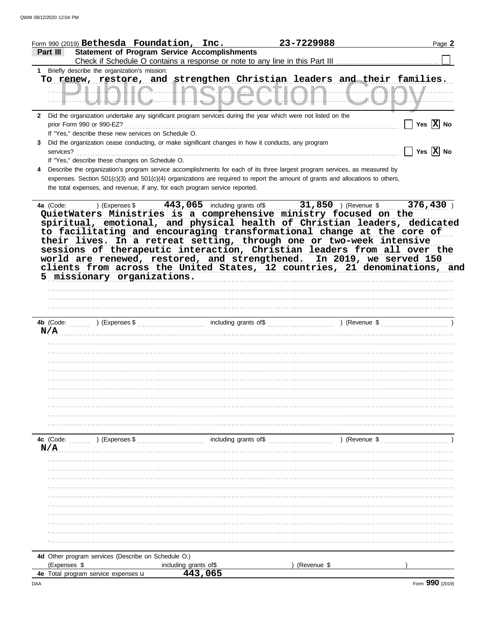|              | Form 990 (2019) $\texttt{Bethesda}$ $\texttt{Foundation, Inc.}$ |                                                                                                    | 23-7229988                                                                                                                                                                                                                                                   | Page 2                                                                                                                                                        |
|--------------|-----------------------------------------------------------------|----------------------------------------------------------------------------------------------------|--------------------------------------------------------------------------------------------------------------------------------------------------------------------------------------------------------------------------------------------------------------|---------------------------------------------------------------------------------------------------------------------------------------------------------------|
| Part III     |                                                                 | <b>Statement of Program Service Accomplishments</b>                                                |                                                                                                                                                                                                                                                              |                                                                                                                                                               |
|              |                                                                 |                                                                                                    |                                                                                                                                                                                                                                                              |                                                                                                                                                               |
|              | 1 Briefly describe the organization's mission:                  |                                                                                                    |                                                                                                                                                                                                                                                              |                                                                                                                                                               |
|              |                                                                 |                                                                                                    |                                                                                                                                                                                                                                                              | To renew, restore, and strengthen Christian leaders and their families.                                                                                       |
|              |                                                                 |                                                                                                    |                                                                                                                                                                                                                                                              | <u> ULIALIA LIAAAA AtiAA LiaAAI.</u>                                                                                                                          |
| $\mathbf{2}$ |                                                                 |                                                                                                    | Did the organization undertake any significant program services during the year which were not listed on the                                                                                                                                                 |                                                                                                                                                               |
|              |                                                                 |                                                                                                    |                                                                                                                                                                                                                                                              | $\boxed{\phantom{1}}$ Yes $\boxed{\mathbf{X}}$ No                                                                                                             |
|              | If "Yes," describe these new services on Schedule O.            |                                                                                                    |                                                                                                                                                                                                                                                              |                                                                                                                                                               |
| 3            |                                                                 | Did the organization cease conducting, or make significant changes in how it conducts, any program |                                                                                                                                                                                                                                                              |                                                                                                                                                               |
| services?    |                                                                 |                                                                                                    |                                                                                                                                                                                                                                                              | $\boxed{\phantom{1}}$ Yes $\boxed{\textbf{X}}$ No                                                                                                             |
|              | If "Yes," describe these changes on Schedule O.                 |                                                                                                    |                                                                                                                                                                                                                                                              |                                                                                                                                                               |
| 4            |                                                                 | the total expenses, and revenue, if any, for each program service reported.                        | Describe the organization's program service accomplishments for each of its three largest program services, as measured by<br>expenses. Section 501(c)(3) and 501(c)(4) organizations are required to report the amount of grants and allocations to others, |                                                                                                                                                               |
|              |                                                                 |                                                                                                    |                                                                                                                                                                                                                                                              |                                                                                                                                                               |
|              | 5 missionary organizations.                                     |                                                                                                    | their lives. In a retreat setting, through one or two-week intensive<br>world are renewed, restored, and strengthened. In 2019, we served 150                                                                                                                | sessions of therapeutic interaction, Christian leaders from all over the<br>clients from across the United States, 12 countries, 21 denominations, and<br>N/A |
|              |                                                                 |                                                                                                    |                                                                                                                                                                                                                                                              | ,我们就是一个人的人,我们就是一个人的人,我们就是一个人的人,我们就是一个人的人,我们就是一个人的人,我们就是一个人的人,我们就是一个人的人,我们就是一个人的人                                                                              |
|              |                                                                 |                                                                                                    |                                                                                                                                                                                                                                                              |                                                                                                                                                               |
|              |                                                                 |                                                                                                    |                                                                                                                                                                                                                                                              |                                                                                                                                                               |
|              |                                                                 |                                                                                                    |                                                                                                                                                                                                                                                              |                                                                                                                                                               |
|              |                                                                 |                                                                                                    |                                                                                                                                                                                                                                                              |                                                                                                                                                               |
|              |                                                                 |                                                                                                    |                                                                                                                                                                                                                                                              |                                                                                                                                                               |
|              |                                                                 |                                                                                                    |                                                                                                                                                                                                                                                              |                                                                                                                                                               |
|              |                                                                 |                                                                                                    |                                                                                                                                                                                                                                                              |                                                                                                                                                               |
|              |                                                                 |                                                                                                    |                                                                                                                                                                                                                                                              |                                                                                                                                                               |
|              |                                                                 |                                                                                                    |                                                                                                                                                                                                                                                              |                                                                                                                                                               |
| 4c (Code:    | ) (Expenses \$                                                  | including grants of\$                                                                              |                                                                                                                                                                                                                                                              | ) (Revenue \$                                                                                                                                                 |
| N/A          |                                                                 |                                                                                                    |                                                                                                                                                                                                                                                              |                                                                                                                                                               |
|              |                                                                 |                                                                                                    |                                                                                                                                                                                                                                                              |                                                                                                                                                               |
|              |                                                                 |                                                                                                    |                                                                                                                                                                                                                                                              |                                                                                                                                                               |
|              |                                                                 |                                                                                                    |                                                                                                                                                                                                                                                              |                                                                                                                                                               |
|              |                                                                 |                                                                                                    |                                                                                                                                                                                                                                                              |                                                                                                                                                               |
|              |                                                                 |                                                                                                    |                                                                                                                                                                                                                                                              |                                                                                                                                                               |
|              |                                                                 |                                                                                                    |                                                                                                                                                                                                                                                              |                                                                                                                                                               |
|              |                                                                 |                                                                                                    |                                                                                                                                                                                                                                                              |                                                                                                                                                               |
|              |                                                                 |                                                                                                    |                                                                                                                                                                                                                                                              |                                                                                                                                                               |
|              |                                                                 |                                                                                                    |                                                                                                                                                                                                                                                              |                                                                                                                                                               |
|              |                                                                 |                                                                                                    |                                                                                                                                                                                                                                                              |                                                                                                                                                               |
|              |                                                                 |                                                                                                    |                                                                                                                                                                                                                                                              |                                                                                                                                                               |
|              | 4d Other program services (Describe on Schedule O.)             |                                                                                                    |                                                                                                                                                                                                                                                              |                                                                                                                                                               |
| (Expenses \$ |                                                                 | including grants of\$                                                                              | (Revenue \$                                                                                                                                                                                                                                                  |                                                                                                                                                               |
|              | 4e Total program service expenses u                             | 443,065                                                                                            |                                                                                                                                                                                                                                                              |                                                                                                                                                               |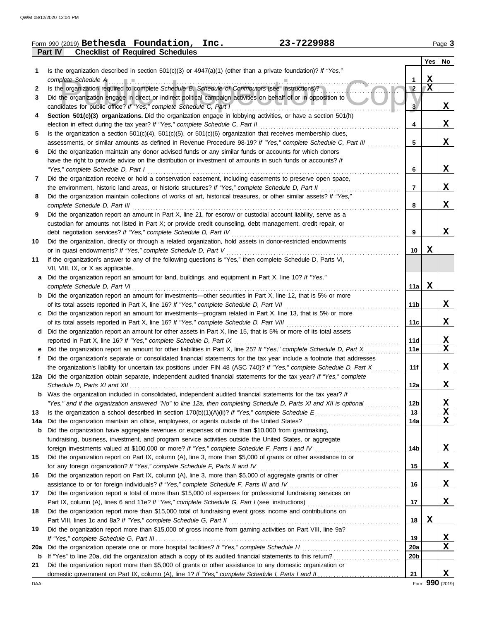|     | 23-7229988<br>Form 990 (2019) Bethesda Foundation, Inc.                                                                                                                                                        |                 |              | Page 3          |
|-----|----------------------------------------------------------------------------------------------------------------------------------------------------------------------------------------------------------------|-----------------|--------------|-----------------|
|     | Part IV<br><b>Checklist of Required Schedules</b>                                                                                                                                                              |                 |              |                 |
|     |                                                                                                                                                                                                                |                 |              | Yes   No        |
| 1   | Is the organization described in section $501(c)(3)$ or $4947(a)(1)$ (other than a private foundation)? If "Yes,"                                                                                              |                 |              |                 |
|     | complete Schedule A                                                                                                                                                                                            | 1               | X            |                 |
| 2   | Is the organization required to complete Schedule B, Schedule of Contributors (see instructions)?                                                                                                              | $\sqrt{2}$      | $\mathbf{X}$ |                 |
| 3   | Did the organization engage in direct or indirect political campaign activities on behalf of or in opposition to                                                                                               |                 |              |                 |
|     | candidates for public office? If "Yes," complete Schedule C, Part I                                                                                                                                            | 3 <sup>1</sup>  |              | X               |
| 4   | Section 501(c)(3) organizations. Did the organization engage in lobbying activities, or have a section 501(h)                                                                                                  |                 |              |                 |
|     | election in effect during the tax year? If "Yes," complete Schedule C, Part II                                                                                                                                 | 4               |              | X               |
| 5   | Is the organization a section $501(c)(4)$ , $501(c)(5)$ , or $501(c)(6)$ organization that receives membership dues,                                                                                           |                 |              |                 |
|     | assessments, or similar amounts as defined in Revenue Procedure 98-19? If "Yes," complete Schedule C, Part III                                                                                                 | 5               |              | X               |
| 6   | Did the organization maintain any donor advised funds or any similar funds or accounts for which donors                                                                                                        |                 |              |                 |
|     | have the right to provide advice on the distribution or investment of amounts in such funds or accounts? If                                                                                                    |                 |              |                 |
|     | "Yes," complete Schedule D, Part I                                                                                                                                                                             | 6               |              | X               |
| 7   | Did the organization receive or hold a conservation easement, including easements to preserve open space,                                                                                                      |                 |              |                 |
|     | the environment, historic land areas, or historic structures? If "Yes," complete Schedule D, Part II                                                                                                           | 7               |              | X               |
| 8   | Did the organization maintain collections of works of art, historical treasures, or other similar assets? If "Yes,"                                                                                            |                 |              |                 |
|     | complete Schedule D, Part III                                                                                                                                                                                  | 8               |              | X               |
| 9   | Did the organization report an amount in Part X, line 21, for escrow or custodial account liability, serve as a                                                                                                |                 |              |                 |
|     | custodian for amounts not listed in Part X; or provide credit counseling, debt management, credit repair, or                                                                                                   |                 |              |                 |
|     | debt negotiation services? If "Yes," complete Schedule D, Part IV                                                                                                                                              | 9               |              | X               |
| 10  | Did the organization, directly or through a related organization, hold assets in donor-restricted endowments                                                                                                   |                 |              |                 |
|     | or in quasi endowments? If "Yes," complete Schedule D, Part V                                                                                                                                                  | 10              | X            |                 |
| 11  | If the organization's answer to any of the following questions is "Yes," then complete Schedule D, Parts VI,                                                                                                   |                 |              |                 |
|     | VII, VIII, IX, or X as applicable.                                                                                                                                                                             |                 |              |                 |
| а   | Did the organization report an amount for land, buildings, and equipment in Part X, line 10? If "Yes,"                                                                                                         |                 |              |                 |
|     | complete Schedule D, Part VI                                                                                                                                                                                   | 11a             | X            |                 |
|     | Did the organization report an amount for investments—other securities in Part X, line 12, that is 5% or more                                                                                                  |                 |              |                 |
|     | of its total assets reported in Part X, line 16? If "Yes," complete Schedule D, Part VII                                                                                                                       | 11 <sub>b</sub> |              | X               |
| c   | Did the organization report an amount for investments—program related in Part X, line 13, that is 5% or more                                                                                                   |                 |              | $\mathbf x$     |
|     | of its total assets reported in Part X, line 16? If "Yes," complete Schedule D, Part VIII<br>Did the organization report an amount for other assets in Part X, line 15, that is 5% or more of its total assets | 11c             |              |                 |
| d   | reported in Part X, line 16? If "Yes," complete Schedule D, Part IX                                                                                                                                            | 11d             |              | $\mathbf x$     |
|     | Did the organization report an amount for other liabilities in Part X, line 25? If "Yes," complete Schedule D, Part X                                                                                          | <b>11e</b>      |              | $\mathbf x$     |
| f   | Did the organization's separate or consolidated financial statements for the tax year include a footnote that addresses                                                                                        |                 |              |                 |
|     | the organization's liability for uncertain tax positions under FIN 48 (ASC 740)? If "Yes," complete Schedule D, Part X                                                                                         | 11f             |              | X               |
|     | 12a Did the organization obtain separate, independent audited financial statements for the tax year? If "Yes," complete                                                                                        |                 |              |                 |
|     |                                                                                                                                                                                                                | 12a             |              | X               |
| b   | Was the organization included in consolidated, independent audited financial statements for the tax year? If                                                                                                   |                 |              |                 |
|     | "Yes," and if the organization answered "No" to line 12a, then completing Schedule D, Parts XI and XII is optional                                                                                             | 12 <sub>b</sub> |              | <u>х</u>        |
| 13  |                                                                                                                                                                                                                | 13              |              | X               |
| 14a | Did the organization maintain an office, employees, or agents outside of the United States?                                                                                                                    | 14a             |              | X               |
| b   | Did the organization have aggregate revenues or expenses of more than \$10,000 from grantmaking,                                                                                                               |                 |              |                 |
|     | fundraising, business, investment, and program service activities outside the United States, or aggregate                                                                                                      |                 |              |                 |
|     |                                                                                                                                                                                                                | 14b             |              | X               |
| 15  | Did the organization report on Part IX, column (A), line 3, more than \$5,000 of grants or other assistance to or                                                                                              |                 |              |                 |
|     | for any foreign organization? If "Yes," complete Schedule F, Parts II and IV                                                                                                                                   | 15              |              | X               |
| 16  | Did the organization report on Part IX, column (A), line 3, more than \$5,000 of aggregate grants or other                                                                                                     |                 |              |                 |
|     | assistance to or for foreign individuals? If "Yes," complete Schedule F, Parts III and IV                                                                                                                      | 16              |              | X               |
| 17  | Did the organization report a total of more than \$15,000 of expenses for professional fundraising services on                                                                                                 |                 |              |                 |
|     |                                                                                                                                                                                                                | 17              |              | X               |
| 18  | Did the organization report more than \$15,000 total of fundraising event gross income and contributions on                                                                                                    |                 |              |                 |
|     | Part VIII, lines 1c and 8a? If "Yes," complete Schedule G, Part II                                                                                                                                             | 18              | X            |                 |
| 19  | Did the organization report more than \$15,000 of gross income from gaming activities on Part VIII, line 9a?                                                                                                   |                 |              |                 |
|     |                                                                                                                                                                                                                | 19              |              | <u>x</u>        |
| 20a |                                                                                                                                                                                                                | 20a             |              | $\mathbf x$     |
| b   |                                                                                                                                                                                                                | 20 <sub>b</sub> |              |                 |
| 21  | Did the organization report more than \$5,000 of grants or other assistance to any domestic organization or                                                                                                    |                 |              |                 |
|     |                                                                                                                                                                                                                | 21              |              | X               |
| DAA |                                                                                                                                                                                                                |                 |              | Form 990 (2019) |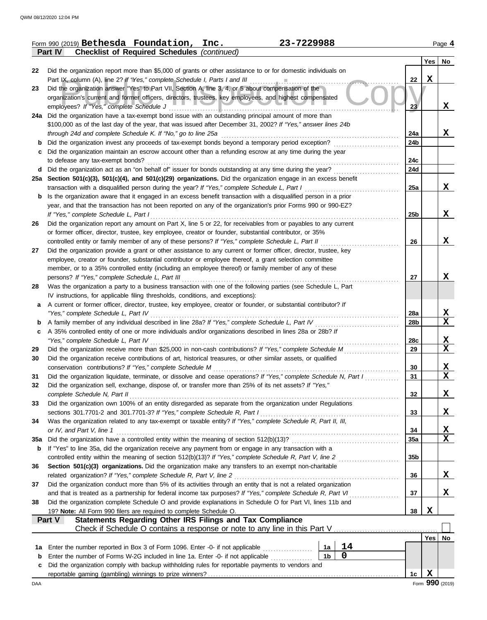|     | 23-7229988<br>Form 990 (2019) Bethesda Foundation, Inc.                                                                                                                                                       |                 |     | Page 4                       |
|-----|---------------------------------------------------------------------------------------------------------------------------------------------------------------------------------------------------------------|-----------------|-----|------------------------------|
|     | Part IV<br><b>Checklist of Required Schedules (continued)</b>                                                                                                                                                 |                 |     |                              |
|     |                                                                                                                                                                                                               |                 | Yes | No                           |
| 22  | Did the organization report more than \$5,000 of grants or other assistance to or for domestic individuals on                                                                                                 |                 | X   |                              |
| 23  | Part IX, column (A), line 2? If "Yes," complete Schedule I, Parts I and III<br>Did the organization answer "Yes" to Part VII, Section A, line 3, 4, or 5 about compensation of the                            | 22              |     |                              |
|     | organization's current and former officers, directors, trustees, key employees, and highest compensated                                                                                                       |                 |     |                              |
|     | employees? If "Yes," complete Schedule J                                                                                                                                                                      | 23              |     | X                            |
|     | 24a Did the organization have a tax-exempt bond issue with an outstanding principal amount of more than                                                                                                       |                 |     |                              |
|     | \$100,000 as of the last day of the year, that was issued after December 31, 2002? If "Yes," answer lines 24b                                                                                                 |                 |     |                              |
|     | through 24d and complete Schedule K. If "No," go to line 25a                                                                                                                                                  | 24a             |     | X                            |
| b   | Did the organization invest any proceeds of tax-exempt bonds beyond a temporary period exception?                                                                                                             | 24b             |     |                              |
| с   | Did the organization maintain an escrow account other than a refunding escrow at any time during the year                                                                                                     |                 |     |                              |
|     | to defease any tax-exempt bonds?                                                                                                                                                                              | 24c             |     |                              |
| d   | Did the organization act as an "on behalf of" issuer for bonds outstanding at any time during the year?                                                                                                       | 24d             |     |                              |
|     | 25a Section 501(c)(3), 501(c)(4), and 501(c)(29) organizations. Did the organization engage in an excess benefit                                                                                              |                 |     |                              |
|     | transaction with a disqualified person during the year? If "Yes," complete Schedule L, Part I                                                                                                                 | 25a             |     | X                            |
| b   | Is the organization aware that it engaged in an excess benefit transaction with a disqualified person in a prior                                                                                              |                 |     |                              |
|     | year, and that the transaction has not been reported on any of the organization's prior Forms 990 or 990-EZ?                                                                                                  |                 |     |                              |
|     | If "Yes," complete Schedule L, Part I                                                                                                                                                                         | 25 <sub>b</sub> |     | X                            |
| 26  | Did the organization report any amount on Part X, line 5 or 22, for receivables from or payables to any current                                                                                               |                 |     |                              |
|     | or former officer, director, trustee, key employee, creator or founder, substantial contributor, or 35%<br>controlled entity or family member of any of these persons? If "Yes," complete Schedule L, Part II | 26              |     | X                            |
| 27  | Did the organization provide a grant or other assistance to any current or former officer, director, trustee, key                                                                                             |                 |     |                              |
|     | employee, creator or founder, substantial contributor or employee thereof, a grant selection committee                                                                                                        |                 |     |                              |
|     | member, or to a 35% controlled entity (including an employee thereof) or family member of any of these                                                                                                        |                 |     |                              |
|     | persons? If "Yes," complete Schedule L, Part III                                                                                                                                                              | 27              |     | X                            |
| 28  | Was the organization a party to a business transaction with one of the following parties (see Schedule L, Part                                                                                                |                 |     |                              |
|     | IV instructions, for applicable filing thresholds, conditions, and exceptions):                                                                                                                               |                 |     |                              |
| a   | A current or former officer, director, trustee, key employee, creator or founder, or substantial contributor? If                                                                                              |                 |     |                              |
|     | "Yes," complete Schedule L, Part IV                                                                                                                                                                           | 28a             |     | <u>x</u>                     |
| b   | A family member of any individual described in line 28a? If "Yes," complete Schedule L, Part IV                                                                                                               | 28b             |     | $\mathbf x$                  |
| c   | A 35% controlled entity of one or more individuals and/or organizations described in lines 28a or 28b? If                                                                                                     |                 |     |                              |
|     | "Yes," complete Schedule L, Part IV                                                                                                                                                                           | 28c             |     | <u>x</u>                     |
| 29  | Did the organization receive more than \$25,000 in non-cash contributions? If "Yes," complete Schedule M                                                                                                      | 29              |     | X                            |
| 30  | Did the organization receive contributions of art, historical treasures, or other similar assets, or qualified                                                                                                |                 |     |                              |
|     | conservation contributions? If "Yes," complete Schedule M                                                                                                                                                     | 30              |     | X<br>$\overline{\mathbf{x}}$ |
| 31  | Did the organization liquidate, terminate, or dissolve and cease operations? If "Yes," complete Schedule N, Part I                                                                                            | 31              |     |                              |
| 32  | Did the organization sell, exchange, dispose of, or transfer more than 25% of its net assets? If "Yes,"<br>complete Schedule N, Part II                                                                       | 32              |     | X                            |
| 33  | Did the organization own 100% of an entity disregarded as separate from the organization under Regulations                                                                                                    |                 |     |                              |
|     | sections 301.7701-2 and 301.7701-3? If "Yes," complete Schedule R, Part I                                                                                                                                     | 33              |     | X.                           |
| 34  | Was the organization related to any tax-exempt or taxable entity? If "Yes," complete Schedule R, Part II, III,                                                                                                |                 |     |                              |
|     | or IV, and Part V, line 1                                                                                                                                                                                     | 34              |     | <u>x</u>                     |
| 35a | Did the organization have a controlled entity within the meaning of section 512(b)(13)?                                                                                                                       | 35a             |     | $\mathbf x$                  |
| b   | If "Yes" to line 35a, did the organization receive any payment from or engage in any transaction with a                                                                                                       |                 |     |                              |
|     | controlled entity within the meaning of section 512(b)(13)? If "Yes," complete Schedule R, Part V, line 2                                                                                                     | 35 <sub>b</sub> |     |                              |
| 36  | Section 501(c)(3) organizations. Did the organization make any transfers to an exempt non-charitable                                                                                                          |                 |     |                              |
|     | related organization? If "Yes," complete Schedule R, Part V, line 2                                                                                                                                           | 36              |     | X                            |
| 37  | Did the organization conduct more than 5% of its activities through an entity that is not a related organization                                                                                              |                 |     |                              |
|     | and that is treated as a partnership for federal income tax purposes? If "Yes," complete Schedule R, Part VI                                                                                                  | 37              |     | X                            |
| 38  | Did the organization complete Schedule O and provide explanations in Schedule O for Part VI, lines 11b and                                                                                                    |                 |     |                              |
|     | 19? Note: All Form 990 filers are required to complete Schedule O.<br>Statements Regarding Other IRS Filings and Tax Compliance<br>Part V                                                                     | 38              | X   |                              |
|     |                                                                                                                                                                                                               |                 |     |                              |
|     |                                                                                                                                                                                                               |                 |     | Yes   No                     |
| 1a  | 14<br>Enter the number reported in Box 3 of Form 1096. Enter -0- if not applicable<br>1a                                                                                                                      |                 |     |                              |
| b   | 0<br>1 <sub>b</sub><br>Enter the number of Forms W-2G included in line 1a. Enter -0- if not applicable                                                                                                        |                 |     |                              |
| c   | Did the organization comply with backup withholding rules for reportable payments to vendors and                                                                                                              |                 |     |                              |
|     |                                                                                                                                                                                                               | 1c              | X   |                              |
| DAA |                                                                                                                                                                                                               |                 |     | Form 990 (2019)              |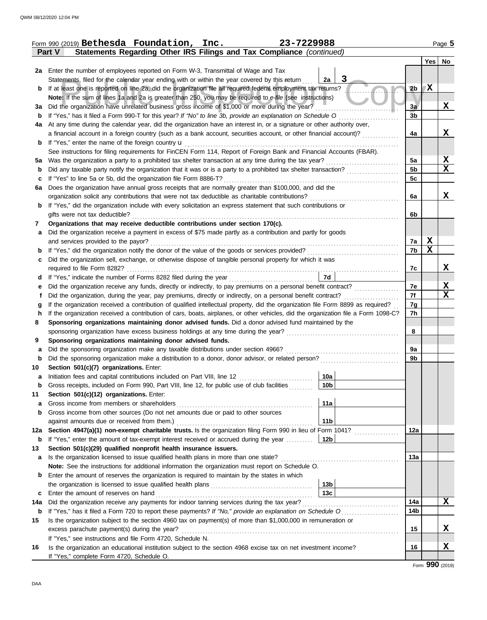|     | Form 990 (2019) Bethesda Foundation, Inc.                                                                                          | 23-7229988                                                                                                            |                |             | Page 5      |
|-----|------------------------------------------------------------------------------------------------------------------------------------|-----------------------------------------------------------------------------------------------------------------------|----------------|-------------|-------------|
|     | Statements Regarding Other IRS Filings and Tax Compliance (continued)<br>Part V                                                    |                                                                                                                       |                |             |             |
|     |                                                                                                                                    |                                                                                                                       |                | Yes         | No          |
|     | 2a Enter the number of employees reported on Form W-3, Transmittal of Wage and Tax                                                 |                                                                                                                       |                |             |             |
|     | Statements, filed for the calendar year ending with or within the year covered by this return                                      | 3<br>2a                                                                                                               |                |             |             |
| b   | If at least one is reported on line 2a, did the organization file all required federal employment tax returns?                     |                                                                                                                       | 2 <sub>b</sub> | X           |             |
|     | Note: If the sum of lines 1a and 2a is greater than 250, you may be required to e-file (see instructions)                          |                                                                                                                       |                |             |             |
| За  | Did the organization have unrelated business gross income of \$1,000 or more during the year?                                      |                                                                                                                       | 3a             |             | X           |
| b   | If "Yes," has it filed a Form 990-T for this year? If "No" to line 3b, provide an explanation on Schedule O                        |                                                                                                                       | 3 <sub>b</sub> |             |             |
| 4a  | At any time during the calendar year, did the organization have an interest in, or a signature or other authority over,            |                                                                                                                       |                |             |             |
|     | a financial account in a foreign country (such as a bank account, securities account, or other financial account)?                 |                                                                                                                       | 4a             |             | X           |
| b   | If "Yes," enter the name of the foreign country <b>u</b>                                                                           |                                                                                                                       |                |             |             |
|     | See instructions for filing requirements for FinCEN Form 114, Report of Foreign Bank and Financial Accounts (FBAR).                |                                                                                                                       |                |             |             |
| 5a  | Was the organization a party to a prohibited tax shelter transaction at any time during the tax year?                              | .                                                                                                                     | 5a             |             | $\mathbf x$ |
| b   | Did any taxable party notify the organization that it was or is a party to a prohibited tax shelter transaction?                   |                                                                                                                       | 5b             |             | x           |
| c   | If "Yes" to line 5a or 5b, did the organization file Form 8886-T?                                                                  |                                                                                                                       | 5c             |             |             |
| 6a  | Does the organization have annual gross receipts that are normally greater than \$100,000, and did the                             |                                                                                                                       |                |             |             |
|     | organization solicit any contributions that were not tax deductible as charitable contributions?                                   |                                                                                                                       | 6a             |             | X           |
| b   | If "Yes," did the organization include with every solicitation an express statement that such contributions or                     |                                                                                                                       |                |             |             |
|     | gifts were not tax deductible?                                                                                                     |                                                                                                                       | 6b             |             |             |
| 7   | Organizations that may receive deductible contributions under section 170(c).                                                      |                                                                                                                       |                |             |             |
| a   | Did the organization receive a payment in excess of \$75 made partly as a contribution and partly for goods                        |                                                                                                                       |                |             |             |
|     | and services provided to the payor?                                                                                                |                                                                                                                       | 7a             | $\mathbf X$ |             |
| b   | If "Yes," did the organization notify the donor of the value of the goods or services provided?                                    |                                                                                                                       | 7b             | $\mathbf x$ |             |
| с   | Did the organization sell, exchange, or otherwise dispose of tangible personal property for which it was                           | <u> 1986 - Johann Stoff, martin film ar yn y bennaf y de ferfinnaf yn y bennaf y de ferfinnaf y de ferfinnaf y de</u> |                |             |             |
|     | required to file Form 8282?                                                                                                        |                                                                                                                       | 7c             |             | X           |
| d   |                                                                                                                                    | 7d                                                                                                                    |                |             |             |
| е   | Did the organization receive any funds, directly or indirectly, to pay premiums on a personal benefit contract?                    |                                                                                                                       | 7e             |             | X           |
|     | Did the organization, during the year, pay premiums, directly or indirectly, on a personal benefit contract?                       |                                                                                                                       | 7f             |             | $\mathbf x$ |
| g   | If the organization received a contribution of qualified intellectual property, did the organization file Form 8899 as required?   |                                                                                                                       | 7g             |             |             |
| h   | If the organization received a contribution of cars, boats, airplanes, or other vehicles, did the organization file a Form 1098-C? |                                                                                                                       | 7h             |             |             |
| 8   | Sponsoring organizations maintaining donor advised funds. Did a donor advised fund maintained by the                               |                                                                                                                       |                |             |             |
|     |                                                                                                                                    |                                                                                                                       | 8              |             |             |
| 9   | Sponsoring organizations maintaining donor advised funds.                                                                          |                                                                                                                       |                |             |             |
| a   | Did the sponsoring organization make any taxable distributions under section 4966?                                                 |                                                                                                                       | 9a             |             |             |
| b   | Did the sponsoring organization make a distribution to a donor, donor advisor, or related person?                                  |                                                                                                                       | 9b             |             |             |
| 10  | Section 501(c)(7) organizations. Enter:                                                                                            |                                                                                                                       |                |             |             |
|     |                                                                                                                                    | 10a                                                                                                                   |                |             |             |
| b   | Gross receipts, included on Form 990, Part VIII, line 12, for public use of club facilities                                        | 10b                                                                                                                   |                |             |             |
| 11  | Section 501(c)(12) organizations. Enter:                                                                                           |                                                                                                                       |                |             |             |
| a   | Gross income from members or shareholders                                                                                          | 11a                                                                                                                   |                |             |             |
| b   | Gross income from other sources (Do not net amounts due or paid to other sources                                                   |                                                                                                                       |                |             |             |
|     | against amounts due or received from them.)                                                                                        | 11 <sub>b</sub>                                                                                                       |                |             |             |
| 12a | Section 4947(a)(1) non-exempt charitable trusts. Is the organization filing Form 990 in lieu of Form 1041?                         |                                                                                                                       | 12a            |             |             |
| b   | If "Yes," enter the amount of tax-exempt interest received or accrued during the year                                              | 12 <sub>b</sub>                                                                                                       |                |             |             |
| 13  | Section 501(c)(29) qualified nonprofit health insurance issuers.                                                                   |                                                                                                                       |                |             |             |
|     | Is the organization licensed to issue qualified health plans in more than one state?                                               |                                                                                                                       | 13а            |             |             |
| a   | Note: See the instructions for additional information the organization must report on Schedule O.                                  |                                                                                                                       |                |             |             |
| b   | Enter the amount of reserves the organization is required to maintain by the states in which                                       |                                                                                                                       |                |             |             |
|     |                                                                                                                                    |                                                                                                                       |                |             |             |
|     |                                                                                                                                    | 13 <sub>b</sub><br>13 <sub>c</sub>                                                                                    |                |             |             |
| c   | Enter the amount of reserves on hand<br>Did the organization receive any payments for indoor tanning services during the tax year? |                                                                                                                       | 14a            |             | X           |
| 14a |                                                                                                                                    |                                                                                                                       | 14b            |             |             |
| b   | If "Yes," has it filed a Form 720 to report these payments? If "No," provide an explanation on Schedule O                          |                                                                                                                       |                |             |             |
| 15  | Is the organization subject to the section 4960 tax on payment(s) of more than \$1,000,000 in remuneration or                      |                                                                                                                       |                |             | X           |
|     | excess parachute payment(s) during the year?                                                                                       |                                                                                                                       | 15             |             |             |
|     | If "Yes," see instructions and file Form 4720, Schedule N.                                                                         |                                                                                                                       |                |             | X           |
| 16  | Is the organization an educational institution subject to the section 4968 excise tax on net investment income?                    |                                                                                                                       | 16             |             |             |
|     | If "Yes," complete Form 4720, Schedule O.                                                                                          |                                                                                                                       |                |             |             |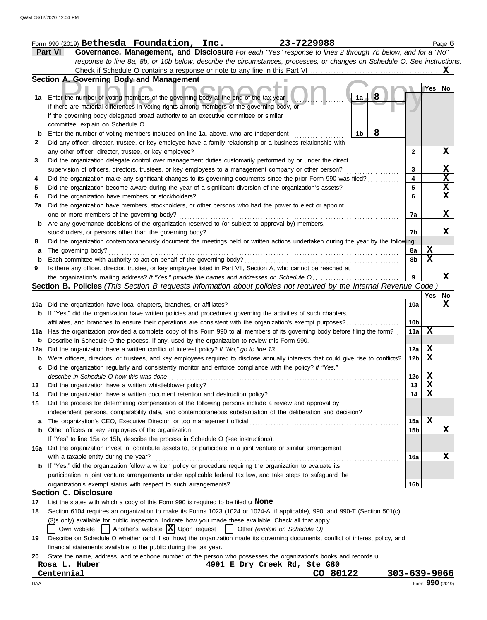|     | 23-7229988<br>Form 990 (2019) Bethesda Foundation, Inc.                                                                                                                         |                 |                  | Page $6$        |
|-----|---------------------------------------------------------------------------------------------------------------------------------------------------------------------------------|-----------------|------------------|-----------------|
|     | Part VI<br>Governance, Management, and Disclosure For each "Yes" response to lines 2 through 7b below, and for a "No"                                                           |                 |                  |                 |
|     | response to line 8a, 8b, or 10b below, describe the circumstances, processes, or changes on Schedule O. See instructions.                                                       |                 |                  |                 |
|     | Check if Schedule O contains a response or note to any line in this Part VI                                                                                                     |                 |                  |                 |
|     | Section A. Governing Body and Management                                                                                                                                        |                 |                  |                 |
|     |                                                                                                                                                                                 |                 | Yes <sub>1</sub> | No.             |
| 1a  | 8<br>Enter the number of voting members of the governing body at the end of the tax year<br>1a                                                                                  |                 |                  |                 |
|     | If there are material differences in voting rights among members of the governing body, or                                                                                      |                 |                  |                 |
|     | if the governing body delegated broad authority to an executive committee or similar                                                                                            |                 |                  |                 |
|     | committee, explain on Schedule O.                                                                                                                                               |                 |                  |                 |
| b   | 8<br>Enter the number of voting members included on line 1a, above, who are independent<br>1b                                                                                   |                 |                  |                 |
| 2   | Did any officer, director, trustee, or key employee have a family relationship or a business relationship with                                                                  |                 |                  |                 |
|     | any other officer, director, trustee, or key employee?                                                                                                                          | 2               |                  | X               |
| 3   | Did the organization delegate control over management duties customarily performed by or under the direct                                                                       |                 |                  |                 |
|     | supervision of officers, directors, trustees, or key employees to a management company or other person?                                                                         | 3               |                  | $\mathbf{x}$    |
| 4   | Did the organization make any significant changes to its governing documents since the prior Form 990 was filed?                                                                | 4               |                  | $\mathbf X$     |
| 5   | Did the organization become aware during the year of a significant diversion of the organization's assets?                                                                      | 5               |                  | $\mathbf X$     |
| 6   | Did the organization have members or stockholders?                                                                                                                              | 6               |                  | X               |
| 7a  | Did the organization have members, stockholders, or other persons who had the power to elect or appoint                                                                         |                 |                  |                 |
|     | one or more members of the governing body?                                                                                                                                      | 7a              |                  | X               |
| b   | Are any governance decisions of the organization reserved to (or subject to approval by) members,                                                                               |                 |                  |                 |
|     | stockholders, or persons other than the governing body?                                                                                                                         | 7b              |                  | x               |
| 8   | Did the organization contemporaneously document the meetings held or written actions undertaken during the year by the following:                                               |                 |                  |                 |
| а   | The governing body?                                                                                                                                                             | 8a              | X                |                 |
| b   | Each committee with authority to act on behalf of the governing body?                                                                                                           | 8b              | $\mathbf X$      |                 |
| 9   | Is there any officer, director, trustee, or key employee listed in Part VII, Section A, who cannot be reached at                                                                |                 |                  |                 |
|     |                                                                                                                                                                                 | 9               |                  | X               |
|     | Section B. Policies (This Section B requests information about policies not required by the Internal Revenue Code.                                                              |                 |                  |                 |
|     |                                                                                                                                                                                 |                 | Yes              | No              |
| 10a | Did the organization have local chapters, branches, or affiliates?                                                                                                              | 10a             |                  | X               |
| b   | If "Yes," did the organization have written policies and procedures governing the activities of such chapters,                                                                  |                 |                  |                 |
|     | affiliates, and branches to ensure their operations are consistent with the organization's exempt purposes?                                                                     | 10 <sub>b</sub> |                  |                 |
| 11a | Has the organization provided a complete copy of this Form 990 to all members of its governing body before filing the form?                                                     | 11a             | X                |                 |
| b   | Describe in Schedule O the process, if any, used by the organization to review this Form 990.                                                                                   |                 |                  |                 |
| 12a | Did the organization have a written conflict of interest policy? If "No," go to line 13                                                                                         | 12a             | X                |                 |
| b   | Were officers, directors, or trustees, and key employees required to disclose annually interests that could give rise to conflicts?                                             | 12 <sub>b</sub> | X                |                 |
|     | Did the organization regularly and consistently monitor and enforce compliance with the policy? If "Yes,"                                                                       |                 |                  |                 |
|     | describe in Schedule O how this was done                                                                                                                                        | 12c             | X                |                 |
| 13  | Did the organization have a written whistleblower policy?                                                                                                                       | 13              | X                |                 |
| 14  | Did the organization have a written document retention and destruction policy?                                                                                                  | 14              | X                |                 |
| 15  | Did the process for determining compensation of the following persons include a review and approval by                                                                          |                 |                  |                 |
|     | independent persons, comparability data, and contemporaneous substantiation of the deliberation and decision?                                                                   |                 |                  |                 |
| a   | The organization's CEO, Executive Director, or top management official                                                                                                          | 15a             | X                |                 |
| b   | Other officers or key employees of the organization                                                                                                                             | 15b             |                  | X               |
|     | If "Yes" to line 15a or 15b, describe the process in Schedule O (see instructions).                                                                                             |                 |                  |                 |
| 16а | Did the organization invest in, contribute assets to, or participate in a joint venture or similar arrangement                                                                  |                 |                  |                 |
|     | with a taxable entity during the year?                                                                                                                                          | 16a             |                  | x               |
|     | If "Yes," did the organization follow a written policy or procedure requiring the organization to evaluate its                                                                  |                 |                  |                 |
|     | participation in joint venture arrangements under applicable federal tax law, and take steps to safeguard the                                                                   |                 |                  |                 |
|     |                                                                                                                                                                                 | 16b             |                  |                 |
|     | <b>Section C. Disclosure</b>                                                                                                                                                    |                 |                  |                 |
|     | List the states with which a copy of this Form 990 is required to be filed u None                                                                                               |                 |                  |                 |
| 17  |                                                                                                                                                                                 |                 |                  |                 |
| 18  | Section 6104 requires an organization to make its Forms 1023 (1024 or 1024-A, if applicable), 990, and 990-T (Section 501(c)                                                    |                 |                  |                 |
|     | (3)s only) available for public inspection. Indicate how you made these available. Check all that apply.                                                                        |                 |                  |                 |
|     | Own website $\begin{vmatrix} \end{vmatrix}$ Another's website $\begin{vmatrix} X \\ Y \end{vmatrix}$ Upon request $\begin{vmatrix} \end{vmatrix}$ Other (explain on Schedule O) |                 |                  |                 |
| 19  | Describe on Schedule O whether (and if so, how) the organization made its governing documents, conflict of interest policy, and                                                 |                 |                  |                 |
|     | financial statements available to the public during the tax year.                                                                                                               |                 |                  |                 |
| 20  | State the name, address, and telephone number of the person who possesses the organization's books and records u                                                                |                 |                  |                 |
|     | 4901 E Dry Creek Rd, Ste G80<br>Rosa L. Huber                                                                                                                                   |                 |                  |                 |
|     | 303-639-9066<br>Centennial<br>CO 80122                                                                                                                                          |                 |                  |                 |
| DAA |                                                                                                                                                                                 |                 |                  | Form 990 (2019) |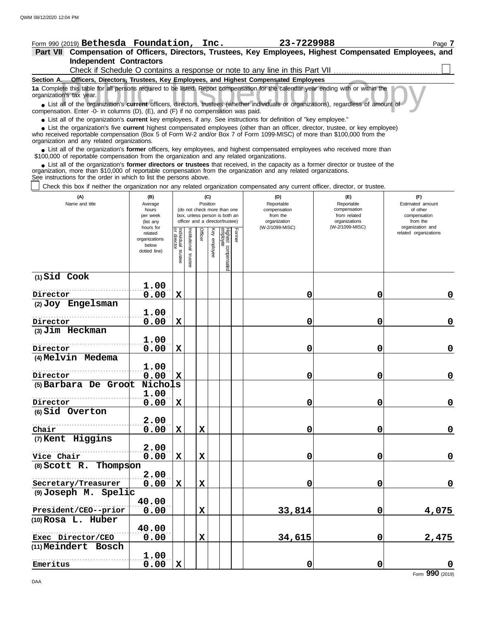| Form 990 (2019) Bethesda Foundation, Inc.<br>Part VII Compensation of Officers, Directors, Trustees, Key Employees, Highest Compensated Employees, and                                                                                                                                                                        |                                                                                                                    |                           |               |                                                              |                 |                                 | 23-7229988                                |                              | Page 7                   |  |  |  |
|-------------------------------------------------------------------------------------------------------------------------------------------------------------------------------------------------------------------------------------------------------------------------------------------------------------------------------|--------------------------------------------------------------------------------------------------------------------|---------------------------|---------------|--------------------------------------------------------------|-----------------|---------------------------------|-------------------------------------------|------------------------------|--------------------------|--|--|--|
| <b>Independent Contractors</b>                                                                                                                                                                                                                                                                                                |                                                                                                                    |                           |               |                                                              |                 |                                 |                                           |                              |                          |  |  |  |
|                                                                                                                                                                                                                                                                                                                               | Check if Schedule O contains a response or note to any line in this Part VII                                       |                           |               |                                                              |                 |                                 |                                           |                              |                          |  |  |  |
| Section A. Officers, Directors, Trustees, Key Employees, and Highest Compensated Employees                                                                                                                                                                                                                                    |                                                                                                                    |                           |               |                                                              |                 |                                 |                                           |                              |                          |  |  |  |
| 1a Complete this table for all persons required to be listed. Report compensation for the calendar year ending with or within the<br>organization's tax year.                                                                                                                                                                 |                                                                                                                    |                           |               |                                                              |                 |                                 |                                           |                              |                          |  |  |  |
| • List all of the organization's current officers, directors, trustees (whether individuals or organizations), regardless of amount of<br>compensation. Enter -0- in columns (D), (E), and (F) if no compensation was paid.                                                                                                   |                                                                                                                    |                           |               |                                                              |                 |                                 |                                           |                              |                          |  |  |  |
|                                                                                                                                                                                                                                                                                                                               | • List all of the organization's current key employees, if any. See instructions for definition of "key employee." |                           |               |                                                              |                 |                                 |                                           |                              |                          |  |  |  |
| • List the organization's five current highest compensated employees (other than an officer, director, trustee, or key employee)<br>who received reportable compensation (Box 5 of Form W-2 and/or Box 7 of Form 1099-MISC) of more than \$100,000 from the<br>organization and any related organizations.                    |                                                                                                                    |                           |               |                                                              |                 |                                 |                                           |                              |                          |  |  |  |
| • List all of the organization's former officers, key employees, and highest compensated employees who received more than<br>\$100,000 of reportable compensation from the organization and any related organizations.                                                                                                        |                                                                                                                    |                           |               |                                                              |                 |                                 |                                           |                              |                          |  |  |  |
| • List all of the organization's former directors or trustees that received, in the capacity as a former director or trustee of the<br>organization, more than \$10,000 of reportable compensation from the organization and any related organizations.<br>See instructions for the order in which to list the persons above. |                                                                                                                    |                           |               |                                                              |                 |                                 |                                           |                              |                          |  |  |  |
| Check this box if neither the organization nor any related organization compensated any current officer, director, or trustee.                                                                                                                                                                                                |                                                                                                                    |                           |               |                                                              |                 |                                 |                                           |                              |                          |  |  |  |
| (A)<br>Name and title                                                                                                                                                                                                                                                                                                         | (B)<br>Average                                                                                                     |                           |               | (C)<br>Position                                              |                 |                                 | (D)<br>Reportable                         | (E)<br>Reportable            | (F)<br>Estimated amount  |  |  |  |
|                                                                                                                                                                                                                                                                                                                               | hours<br>per week                                                                                                  |                           |               | (do not check more than one<br>box, unless person is both an |                 |                                 | compensation<br>from the                  | compensation<br>from related | of other<br>compensation |  |  |  |
|                                                                                                                                                                                                                                                                                                                               | (list any                                                                                                          |                           |               |                                                              |                 | officer and a director/trustee) | organization                              | organizations                | from the                 |  |  |  |
| hours for<br>related                                                                                                                                                                                                                                                                                                          |                                                                                                                    | Officer                   |               | Former                                                       | (W-2/1099-MISC) | (W-2/1099-MISC)                 | organization and<br>related organizations |                              |                          |  |  |  |
|                                                                                                                                                                                                                                                                                                                               | organizations                                                                                                      | Individual<br>or director | Institutional |                                                              | Key employee    |                                 |                                           |                              |                          |  |  |  |
|                                                                                                                                                                                                                                                                                                                               | below<br>dotted line)                                                                                              |                           |               |                                                              |                 |                                 |                                           |                              |                          |  |  |  |
|                                                                                                                                                                                                                                                                                                                               |                                                                                                                    | trustee                   | trustee       |                                                              |                 | Highest compensated<br>employee |                                           |                              |                          |  |  |  |
|                                                                                                                                                                                                                                                                                                                               |                                                                                                                    |                           |               |                                                              |                 |                                 |                                           |                              |                          |  |  |  |
| $(1)$ Sid Cook                                                                                                                                                                                                                                                                                                                |                                                                                                                    |                           |               |                                                              |                 |                                 |                                           |                              |                          |  |  |  |
|                                                                                                                                                                                                                                                                                                                               | 1.00                                                                                                               |                           |               |                                                              |                 |                                 |                                           |                              |                          |  |  |  |
| Director                                                                                                                                                                                                                                                                                                                      | 0.00                                                                                                               | X                         |               |                                                              |                 |                                 | 0                                         | 0                            | 0                        |  |  |  |
| (2) Joy Engelsman                                                                                                                                                                                                                                                                                                             |                                                                                                                    |                           |               |                                                              |                 |                                 |                                           |                              |                          |  |  |  |
|                                                                                                                                                                                                                                                                                                                               | 1.00                                                                                                               |                           |               |                                                              |                 |                                 |                                           |                              |                          |  |  |  |
| Director                                                                                                                                                                                                                                                                                                                      | 0.00                                                                                                               | X                         |               |                                                              |                 |                                 | 0                                         | 0                            | 0                        |  |  |  |
| (3) Jim Heckman                                                                                                                                                                                                                                                                                                               |                                                                                                                    |                           |               |                                                              |                 |                                 |                                           |                              |                          |  |  |  |
|                                                                                                                                                                                                                                                                                                                               | 1.00                                                                                                               |                           |               |                                                              |                 |                                 |                                           |                              |                          |  |  |  |
| Director                                                                                                                                                                                                                                                                                                                      | 0.00                                                                                                               | X                         |               |                                                              |                 |                                 | 0                                         | 0                            | 0                        |  |  |  |
| (4) Melvin Medema                                                                                                                                                                                                                                                                                                             |                                                                                                                    |                           |               |                                                              |                 |                                 |                                           |                              |                          |  |  |  |
| Director                                                                                                                                                                                                                                                                                                                      | 1.00                                                                                                               | X                         |               |                                                              |                 |                                 | 0                                         | $\mathbf 0$                  | 0                        |  |  |  |
| (5) Barbara De Groot                                                                                                                                                                                                                                                                                                          | 0.00<br>Nichols                                                                                                    |                           |               |                                                              |                 |                                 |                                           |                              |                          |  |  |  |
|                                                                                                                                                                                                                                                                                                                               | 1.00                                                                                                               |                           |               |                                                              |                 |                                 |                                           |                              |                          |  |  |  |
| Director                                                                                                                                                                                                                                                                                                                      | 0.00                                                                                                               | X                         |               |                                                              |                 |                                 | 0                                         | $\mathbf 0$                  | 0                        |  |  |  |
| (6) Sid Overton                                                                                                                                                                                                                                                                                                               |                                                                                                                    |                           |               |                                                              |                 |                                 |                                           |                              |                          |  |  |  |
|                                                                                                                                                                                                                                                                                                                               | 2.00                                                                                                               |                           |               |                                                              |                 |                                 |                                           |                              |                          |  |  |  |
| Chair                                                                                                                                                                                                                                                                                                                         | 0.00                                                                                                               | X                         |               | $\mathbf x$                                                  |                 |                                 | 0                                         | $\mathbf 0$                  | 0                        |  |  |  |
| (7) Kent Higgins                                                                                                                                                                                                                                                                                                              |                                                                                                                    |                           |               |                                                              |                 |                                 |                                           |                              |                          |  |  |  |
|                                                                                                                                                                                                                                                                                                                               | 2.00                                                                                                               |                           |               |                                                              |                 |                                 |                                           |                              |                          |  |  |  |
| Vice Chair                                                                                                                                                                                                                                                                                                                    | 0.00                                                                                                               | $\mathbf X$               |               | X                                                            |                 |                                 | 0                                         | $\mathbf 0$                  | $\mathbf 0$              |  |  |  |
| $(8)$ Scott R.<br>Thompson                                                                                                                                                                                                                                                                                                    |                                                                                                                    |                           |               |                                                              |                 |                                 |                                           |                              |                          |  |  |  |

**0.00 X X 0 0 0**

**0.00 X 33,814 0 4,075**

**0.00 X 34,615 0 2,475**

**Emeritus**

**(9) Joseph M. Spelic**

. . . . . . . . . . . . . . . . . . . . . . . . . . . . . . . . . . . . . . . . . . . . . . . . . . . . . **President/CEO--prior**

**2.00**

**40.00**

**40.00**

**Exec Director/CEO**  $10.00$ 

. . . . . . . . . . . . . . . . . . . . . . . . . . . . . . . . . . . . . . . . . . . . . . . . . . . . . **1.00**

. . . . . . . . . . . . . . . . . . . . . . . . . . . . . . . . . . . . . . . . . . . . . . . . . . . . .

**Secretary/Treasurer**

**(10) Rosa L. Huber**

**(11) Meindert Bosch**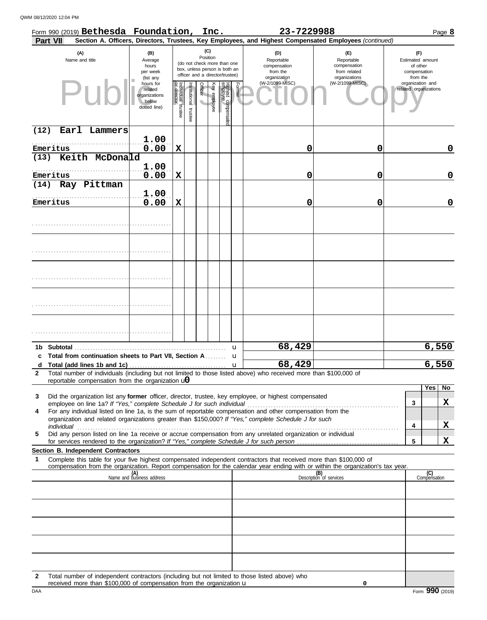|              | Form 990 (2019) Bethesda Foundation, Inc.<br><b>Part VII</b>                                                                                                                                                                                                                                                                                         |                                                                             |                                   |                      |                                                                                                                    |              |                                |        | 23-7229988<br>Section A. Officers, Directors, Trustees, Key Employees, and Highest Compensated Employees (continued) |                                                                    |                                                                 | Page 8              |
|--------------|------------------------------------------------------------------------------------------------------------------------------------------------------------------------------------------------------------------------------------------------------------------------------------------------------------------------------------------------------|-----------------------------------------------------------------------------|-----------------------------------|----------------------|--------------------------------------------------------------------------------------------------------------------|--------------|--------------------------------|--------|----------------------------------------------------------------------------------------------------------------------|--------------------------------------------------------------------|-----------------------------------------------------------------|---------------------|
|              | (A)<br>Name and title                                                                                                                                                                                                                                                                                                                                | (B)<br>Average<br>hours<br>per week                                         |                                   |                      | (C)<br>Position<br>(do not check more than one<br>box, unless person is both an<br>officer and a director/trustee) |              |                                |        | (D)<br>Reportable<br>compensation<br>from the<br>organization                                                        | (F)<br>Reportable<br>compensation<br>from related<br>organizations | (F)<br>Estimated amount<br>of other<br>compensation<br>from the |                     |
|              |                                                                                                                                                                                                                                                                                                                                                      | (list any<br>hours for<br>related<br>organizations<br>below<br>dotted line) | Individual trustee<br>or director | nstitutional trustee | Officer                                                                                                            | Key employee | Highest compensate<br>employee | Former | (W-2/1099-MISC)                                                                                                      | (W-2/1099-MISC)                                                    | organization and<br>related organizations                       |                     |
| (12)         | Earl Lammers                                                                                                                                                                                                                                                                                                                                         |                                                                             |                                   |                      |                                                                                                                    |              |                                |        |                                                                                                                      |                                                                    |                                                                 |                     |
|              | Emeritus                                                                                                                                                                                                                                                                                                                                             | 1.00<br>0.00                                                                | $\mathbf x$                       |                      |                                                                                                                    |              |                                |        | 0                                                                                                                    | $\mathbf 0$                                                        |                                                                 | 0                   |
|              | (13) Keith McDonald                                                                                                                                                                                                                                                                                                                                  |                                                                             |                                   |                      |                                                                                                                    |              |                                |        |                                                                                                                      |                                                                    |                                                                 |                     |
|              | Emeritus                                                                                                                                                                                                                                                                                                                                             | 1.00<br>0.00                                                                | $\mathbf x$                       |                      |                                                                                                                    |              |                                |        | 0                                                                                                                    | $\mathbf 0$                                                        |                                                                 | $\mathbf 0$         |
|              | (14) Ray Pittman                                                                                                                                                                                                                                                                                                                                     |                                                                             |                                   |                      |                                                                                                                    |              |                                |        |                                                                                                                      |                                                                    |                                                                 |                     |
|              | Emeritus                                                                                                                                                                                                                                                                                                                                             | 1.00<br>0.00                                                                | $\mathbf X$                       |                      |                                                                                                                    |              |                                |        | 0                                                                                                                    | $\mathbf 0$                                                        |                                                                 | $\mathbf 0$         |
|              |                                                                                                                                                                                                                                                                                                                                                      |                                                                             |                                   |                      |                                                                                                                    |              |                                |        |                                                                                                                      |                                                                    |                                                                 |                     |
|              |                                                                                                                                                                                                                                                                                                                                                      |                                                                             |                                   |                      |                                                                                                                    |              |                                |        |                                                                                                                      |                                                                    |                                                                 |                     |
|              |                                                                                                                                                                                                                                                                                                                                                      |                                                                             |                                   |                      |                                                                                                                    |              |                                |        |                                                                                                                      |                                                                    |                                                                 |                     |
|              |                                                                                                                                                                                                                                                                                                                                                      |                                                                             |                                   |                      |                                                                                                                    |              |                                |        |                                                                                                                      |                                                                    |                                                                 |                     |
|              |                                                                                                                                                                                                                                                                                                                                                      |                                                                             |                                   |                      |                                                                                                                    |              |                                |        |                                                                                                                      |                                                                    |                                                                 |                     |
|              | 1b Subtotal                                                                                                                                                                                                                                                                                                                                          |                                                                             |                                   |                      |                                                                                                                    |              |                                | u      | 68,429                                                                                                               |                                                                    |                                                                 | 6,550               |
| d            | c Total from continuation sheets to Part VII, Section A                                                                                                                                                                                                                                                                                              |                                                                             |                                   |                      |                                                                                                                    |              |                                | u<br>u | 68,429                                                                                                               |                                                                    |                                                                 | 6,550               |
| $\mathbf{2}$ | Total number of individuals (including but not limited to those listed above) who received more than \$100,000 of<br>reportable compensation from the organization $\mathbf{u}$                                                                                                                                                                      |                                                                             |                                   |                      |                                                                                                                    |              |                                |        |                                                                                                                      |                                                                    |                                                                 |                     |
|              |                                                                                                                                                                                                                                                                                                                                                      |                                                                             |                                   |                      |                                                                                                                    |              |                                |        |                                                                                                                      |                                                                    |                                                                 | <b>Yes</b><br>No.   |
| 3            | Did the organization list any former officer, director, trustee, key employee, or highest compensated                                                                                                                                                                                                                                                |                                                                             |                                   |                      |                                                                                                                    |              |                                |        |                                                                                                                      |                                                                    | 3                                                               | X                   |
| 4            | For any individual listed on line 1a, is the sum of reportable compensation and other compensation from the<br>organization and related organizations greater than \$150,000? If "Yes," complete Schedule J for such                                                                                                                                 |                                                                             |                                   |                      |                                                                                                                    |              |                                |        |                                                                                                                      |                                                                    |                                                                 |                     |
| 5            | individual <b>construction of the construction of the construction</b> of the construction of the construction of the construction of the construction of the construction of the construction of the construction of the construct<br>Did any person listed on line 1a receive or accrue compensation from any unrelated organization or individual |                                                                             |                                   |                      |                                                                                                                    |              |                                |        |                                                                                                                      |                                                                    | 4                                                               | X                   |
|              |                                                                                                                                                                                                                                                                                                                                                      |                                                                             |                                   |                      |                                                                                                                    |              |                                |        |                                                                                                                      |                                                                    | 5                                                               | X                   |
|              | Section B. Independent Contractors<br>Complete this table for your five highest compensated independent contractors that received more than \$100,000 of                                                                                                                                                                                             |                                                                             |                                   |                      |                                                                                                                    |              |                                |        |                                                                                                                      |                                                                    |                                                                 |                     |
| 1            | compensation from the organization. Report compensation for the calendar year ending with or within the organization's tax year.                                                                                                                                                                                                                     |                                                                             |                                   |                      |                                                                                                                    |              |                                |        |                                                                                                                      |                                                                    |                                                                 |                     |
|              |                                                                                                                                                                                                                                                                                                                                                      | (A)<br>Name and business address                                            |                                   |                      |                                                                                                                    |              |                                |        |                                                                                                                      | (B)<br>Description of services                                     |                                                                 | (C)<br>Compensation |
|              |                                                                                                                                                                                                                                                                                                                                                      |                                                                             |                                   |                      |                                                                                                                    |              |                                |        |                                                                                                                      |                                                                    |                                                                 |                     |
|              |                                                                                                                                                                                                                                                                                                                                                      |                                                                             |                                   |                      |                                                                                                                    |              |                                |        |                                                                                                                      |                                                                    |                                                                 |                     |
|              |                                                                                                                                                                                                                                                                                                                                                      |                                                                             |                                   |                      |                                                                                                                    |              |                                |        |                                                                                                                      |                                                                    |                                                                 |                     |
|              |                                                                                                                                                                                                                                                                                                                                                      |                                                                             |                                   |                      |                                                                                                                    |              |                                |        |                                                                                                                      |                                                                    |                                                                 |                     |
|              |                                                                                                                                                                                                                                                                                                                                                      |                                                                             |                                   |                      |                                                                                                                    |              |                                |        |                                                                                                                      |                                                                    |                                                                 |                     |
|              |                                                                                                                                                                                                                                                                                                                                                      |                                                                             |                                   |                      |                                                                                                                    |              |                                |        |                                                                                                                      |                                                                    |                                                                 |                     |
|              |                                                                                                                                                                                                                                                                                                                                                      |                                                                             |                                   |                      |                                                                                                                    |              |                                |        |                                                                                                                      |                                                                    |                                                                 |                     |

| Total number of independent contractors (including but not limited to those listed above) who |  |
|-----------------------------------------------------------------------------------------------|--|
| received more than \$100,000 of compensation from the organization $\mathbf u$                |  |

**0**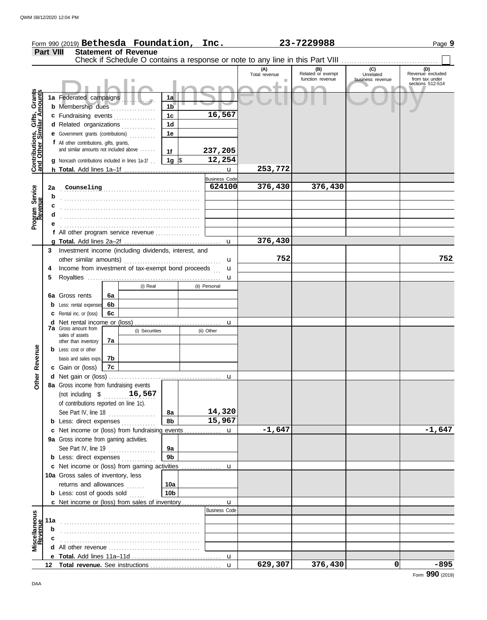|                                                                  |                  |                                                                                            |     |                             |                     |                      | Form 990 (2019) Bethesda Foundation, Inc. 23-7229988 |                                              |                                      | Page 9                                    |
|------------------------------------------------------------------|------------------|--------------------------------------------------------------------------------------------|-----|-----------------------------|---------------------|----------------------|------------------------------------------------------|----------------------------------------------|--------------------------------------|-------------------------------------------|
|                                                                  | <b>Part VIII</b> |                                                                                            |     | <b>Statement of Revenue</b> |                     |                      |                                                      |                                              |                                      |                                           |
|                                                                  |                  |                                                                                            |     |                             |                     |                      | (A)<br>Total revenue<br>٠                            | (B)<br>Related or exempt<br>function revenue | (C)<br>Unrelated<br>business revenue | (D)<br>Revenue excluded<br>from tax under |
|                                                                  |                  |                                                                                            |     |                             |                     |                      |                                                      |                                              |                                      | sections 512-514                          |
| <b>Contributions, Gifts, Grants</b><br>and Other Similar Amounts |                  | 1a Federated campaigns                                                                     |     |                             | 1a                  |                      |                                                      |                                              |                                      |                                           |
|                                                                  |                  | <b>b</b> Membership dues                                                                   |     |                             | 1 <sub>b</sub>      |                      |                                                      |                                              |                                      |                                           |
|                                                                  |                  | c Fundraising events                                                                       |     |                             | 1 <sub>c</sub>      | 16,567               |                                                      |                                              |                                      |                                           |
|                                                                  |                  | d Related organizations                                                                    |     |                             | 1 <sub>d</sub>      |                      |                                                      |                                              |                                      |                                           |
|                                                                  |                  | <b>e</b> Government grants (contributions)                                                 |     |                             | 1e                  |                      |                                                      |                                              |                                      |                                           |
|                                                                  |                  | <b>f</b> All other contributions, gifts, grants,<br>and similar amounts not included above |     |                             |                     | 237,205              |                                                      |                                              |                                      |                                           |
|                                                                  |                  | <b>g</b> Noncash contributions included in lines 1a-1f.                                    |     |                             | 1f<br>1g $\sqrt{3}$ | 12,254               |                                                      |                                              |                                      |                                           |
|                                                                  |                  |                                                                                            |     |                             |                     |                      | 253,772                                              |                                              |                                      |                                           |
|                                                                  |                  |                                                                                            |     |                             |                     | <b>Business Code</b> |                                                      |                                              |                                      |                                           |
|                                                                  | 2a               | Counseling                                                                                 |     |                             |                     | 624100               | 376,430                                              | 376,430                                      |                                      |                                           |
| Program Service                                                  |                  |                                                                                            |     |                             |                     |                      |                                                      |                                              |                                      |                                           |
|                                                                  | c                |                                                                                            |     |                             |                     |                      |                                                      |                                              |                                      |                                           |
|                                                                  | d                |                                                                                            |     |                             |                     |                      |                                                      |                                              |                                      |                                           |
|                                                                  |                  |                                                                                            |     |                             |                     |                      |                                                      |                                              |                                      |                                           |
|                                                                  |                  | <b>f</b> All other program service revenue $\ldots$ , $\ldots$ , $\ldots$                  |     |                             |                     |                      | 376,430                                              |                                              |                                      |                                           |
|                                                                  |                  | 3 Investment income (including dividends, interest, and                                    |     |                             |                     |                      |                                                      |                                              |                                      |                                           |
|                                                                  |                  |                                                                                            |     |                             |                     | u                    | 752                                                  |                                              |                                      | 752                                       |
|                                                                  | 4                | Income from investment of tax-exempt bond proceeds                                         |     |                             |                     | u                    |                                                      |                                              |                                      |                                           |
|                                                                  | 5                |                                                                                            |     |                             |                     | u                    |                                                      |                                              |                                      |                                           |
|                                                                  |                  |                                                                                            |     | (i) Real                    |                     | (ii) Personal        |                                                      |                                              |                                      |                                           |
|                                                                  |                  | 6a Gross rents                                                                             | 6a  |                             |                     |                      |                                                      |                                              |                                      |                                           |
|                                                                  |                  | <b>b</b> Less: rental expenses                                                             | -6b |                             |                     |                      |                                                      |                                              |                                      |                                           |
|                                                                  |                  | <b>c</b> Rental inc. or (loss)                                                             | 6с  |                             |                     |                      |                                                      |                                              |                                      |                                           |
|                                                                  |                  | <b>7a</b> Gross amount from                                                                |     | (i) Securities              |                     | u<br>(ii) Other      |                                                      |                                              |                                      |                                           |
|                                                                  |                  | sales of assets                                                                            | 7a  |                             |                     |                      |                                                      |                                              |                                      |                                           |
|                                                                  |                  | other than inventory<br><b>b</b> Less: cost or other                                       |     |                             |                     |                      |                                                      |                                              |                                      |                                           |
| Revenue                                                          |                  | basis and sales exps.                                                                      | 7b  |                             |                     |                      |                                                      |                                              |                                      |                                           |
|                                                                  |                  | c Gain or (loss)                                                                           | 7c  |                             |                     |                      |                                                      |                                              |                                      |                                           |
| Other                                                            |                  |                                                                                            |     |                             |                     | u                    |                                                      |                                              |                                      |                                           |
|                                                                  |                  | 8a Gross income from fundraising events                                                    |     |                             |                     |                      |                                                      |                                              |                                      |                                           |
|                                                                  |                  | (not including $$$ 16,567                                                                  |     |                             |                     |                      |                                                      |                                              |                                      |                                           |
|                                                                  |                  | of contributions reported on line 1c).                                                     |     |                             |                     |                      |                                                      |                                              |                                      |                                           |
|                                                                  |                  | See Part IV, line 18<br><b>b</b> Less: direct expenses                                     |     | .                           | 8a<br>8b            | 14,320<br>15,967     |                                                      |                                              |                                      |                                           |
|                                                                  |                  |                                                                                            |     |                             |                     |                      | $-1,647$                                             |                                              |                                      | $-1,647$                                  |
|                                                                  |                  | 9a Gross income from gaming activities.                                                    |     |                             |                     |                      |                                                      |                                              |                                      |                                           |
|                                                                  |                  | See Part IV, line 19                                                                       |     |                             | 9a                  |                      |                                                      |                                              |                                      |                                           |
|                                                                  |                  | <b>b</b> Less: direct expenses                                                             |     |                             | 9 <sub>b</sub>      |                      |                                                      |                                              |                                      |                                           |
|                                                                  |                  | c Net income or (loss) from gaming activities  u                                           |     |                             |                     |                      |                                                      |                                              |                                      |                                           |
|                                                                  |                  | 10a Gross sales of inventory, less                                                         |     |                             |                     |                      |                                                      |                                              |                                      |                                           |
|                                                                  |                  | returns and allowances                                                                     |     | .                           | 10a                 |                      |                                                      |                                              |                                      |                                           |
|                                                                  |                  | <b>b</b> Less: cost of goods sold                                                          |     |                             | 10 <sub>b</sub>     | u                    |                                                      |                                              |                                      |                                           |
|                                                                  |                  |                                                                                            |     |                             |                     | <b>Business Code</b> |                                                      |                                              |                                      |                                           |
| Miscellaneous<br>Revenue                                         | 11a              |                                                                                            |     |                             |                     |                      |                                                      |                                              |                                      |                                           |
|                                                                  | b                |                                                                                            |     |                             |                     |                      |                                                      |                                              |                                      |                                           |
|                                                                  |                  |                                                                                            |     |                             |                     |                      |                                                      |                                              |                                      |                                           |
|                                                                  |                  |                                                                                            |     |                             |                     |                      |                                                      |                                              |                                      |                                           |
|                                                                  | 12               |                                                                                            |     |                             |                     | $\mathbf{u}$         | 629,307                                              | 376,430                                      | 0                                    | -895                                      |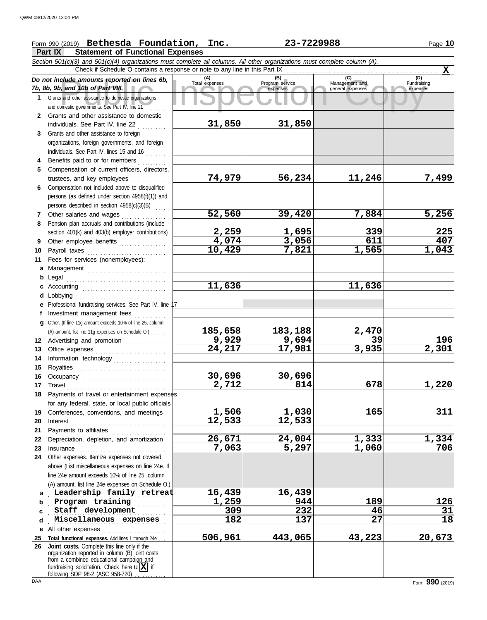## Form 990 (2019) Page **10 Bethesda Foundation, Inc. 23-7229988**

**Part IX Statement of Functional Expenses**

Course amounts reported on lines 6b, Total expenses<br>
Program service Management and Copyright Service Expenses<br>
and other assistance to domestic organizations<br>
Sand other assistance to domestic organizations<br>
Sand other as *Section 501(c)(3) and 501(c)(4) organizations must complete all columns. All other organizations must complete column (A). Do not include amounts reported on lines 6b, 7b, 8b, 9b, and 10b of Part VIII.* **1 2 3 4 5 6** Compensation not included above to disqualified **7 8 9 10 11 a** Management .............................. **b** Legal **c** Accounting . . . . . . . . . . . . . . . . . . . . . . . . . . . . . . . . **d e f g 12** Advertising and promotion ............... **13** Office expenses **.......................**... **14 15 16 17 18 19 20 21 22** Depreciation, depletion, and amortization . **23** Insurance . . . . . . . . . . . . . . . . . . . . . . . . . . . . . . . . . . **24** Other expenses. Itemize expenses not covered **a** . . . . . . . . . . . . . . . . . . . . . . . . . . . . . . . . . . . . . . . . . . . . . **Leadership family retreat 16,439 16,439 b** Program training 1,259 **944** 189 126 **c d e** All other expenses . . . . . . . . . . . . . . . . . . . . . . . . **25 Total functional expenses.** Add lines 1 through 24e . . . **26** Grants and other assistance to domestic organizations and domestic governments. See Part IV, line 21 . . . . . . . . Grants and other assistance to domestic individuals. See Part IV, line 22 Grants and other assistance to foreign organizations, foreign governments, and foreign individuals. See Part IV, lines 15 and 16 Benefits paid to or for members . . . . . . . . . . Compensation of current officers, directors, trustees, and key employees ............... persons (as defined under section 4958(f)(1)) and persons described in section 4958(c)(3)(B) . . . . . Other salaries and wages ............ Pension plan accruals and contributions (include section 401(k) and 403(b) employer contributions) Other employee benefits .................. Payroll taxes . . . . . . . . . . . . . . . . . . . . . . . . . . . . . . Fees for services (nonemployees): . . . . . . . . . . . . . . . . . . . . . . . . . . . . . . . . . . . . . . Lobbying . . . . . . . . . . . . . . . . . . . . . . . . . . . . . . . . . . . Professional fundraising services. See Part IV, line 17 Investment management fees Other. (If line 11g amount exceeds 10% of line 25, column Information technology . . . . . . . . . . . . . . . . . . . . Royalties . . . . . . . . . . . . . . . . . . . . . . . . . . . . . . . . . . Occupancy . . . . . . . . . . . . . . . . . . . . . . . . . . . . . . . . Travel . . . . . . . . . . . . . . . . . . . . . . . . . . . . . . . . . . . . . . Payments of travel or entertainment expenses for any federal, state, or local public officials Conferences, conventions, and meetings . Interest . . . . . . . . . . . . . . . . . . . . . . . . . . . . . . . . . . . . Payments to affiliates . . . . . . . . . . . . . . . . . . . . . above (List miscellaneous expenses on line 24e. If line 24e amount exceeds 10% of line 25, column (A) amount, list line 24e expenses on Schedule O.) fundraising solicitation. Check here  $\mathbf{u}[\mathbf{X}]$  if organization reported in column (B) joint costs from a combined educational campaign and following SOP 98-2 (ASC 958-720) **(A) (B) (C) (D)** Total expenses Program service Management and expenses (B)<br>
Program service Management and<br>
expenses general expenses  $(D)$ Fundraising expenses . . . . . . . . . . . . . . . . . . . . . . . . . . . . . . . . . . . . . . . . . . . . . **Staff development 309 232 46 31** . . . . . . . . . . . . . . . . . . . . . . . . . . . . . . . . . . . . . . . . . . . . . **Miscellaneous expenses 182 137 27 18** Check if Schedule O contains a response or note to any line in this Part IX **Joint costs.** Complete this line only if the (A) amount, list line 11g expenses on Schedule O.) . . . . . . **X 31,850 31,850 74,979 56,234 11,246 7,499 52,560 39,420 7,884 5,256 2,259 1,695 339 225 4,074 3,056 611 407 10,429 7,821 1,565 1,043 11,636 11,636 185,658 183,188 2,470 9,929 9,694 39 196 24,217 17,981 3,935 2,301 30,696 30,696 2,712 814 678 1,220 1,506 1,030 165 311 12,533 12,533 26,671 24,004 1,333 1,334 7,063 5,297 1,060 706 506,961 443,065 43,223 20,673**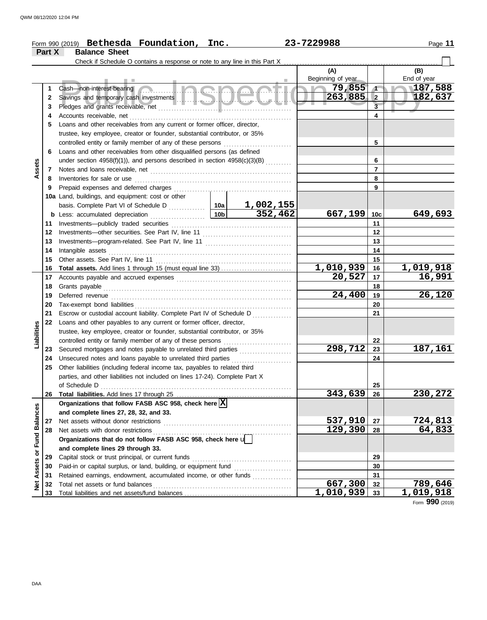|                         |        | Form 990 (2019) Bethesda Foundation, Inc.                                                                     |         | 23-7229988              |                 | Page 11          |
|-------------------------|--------|---------------------------------------------------------------------------------------------------------------|---------|-------------------------|-----------------|------------------|
|                         | Part X | <b>Balance Sheet</b>                                                                                          |         |                         |                 |                  |
|                         |        |                                                                                                               |         |                         |                 |                  |
|                         |        |                                                                                                               |         | (A)                     |                 | (B)              |
|                         |        | <b>College</b><br><b>Contract Contract</b>                                                                    |         | Beginning of year       |                 | End of year      |
|                         | 1      | Cash—non-interest-bearing and the contract of the contract of the contract of the contract of the contract of |         | <b>12.12.29.855</b>     | $\sqrt{1}$      | 187,588          |
|                         | 2      |                                                                                                               | 263,885 | $\overline{2}$          | 182,637         |                  |
|                         | 3      |                                                                                                               |         | $\overline{\mathbf{3}}$ |                 |                  |
|                         | 4      |                                                                                                               |         | 4                       |                 |                  |
|                         | 5      | Loans and other receivables from any current or former officer, director,                                     |         |                         |                 |                  |
|                         |        | trustee, key employee, creator or founder, substantial contributor, or 35%                                    |         |                         |                 |                  |
|                         |        |                                                                                                               |         | 5                       |                 |                  |
|                         | 6      | Loans and other receivables from other disqualified persons (as defined                                       |         |                         |                 |                  |
|                         |        | under section $4958(f)(1)$ ), and persons described in section $4958(c)(3)(B)$                                |         |                         | 6               |                  |
| Assets                  | 7      |                                                                                                               |         |                         | $\overline{7}$  |                  |
|                         | 8      |                                                                                                               |         |                         | 8               |                  |
|                         | 9      |                                                                                                               |         |                         | 9               |                  |
|                         |        | 10a Land, buildings, and equipment: cost or other                                                             |         |                         |                 |                  |
|                         |        |                                                                                                               |         |                         |                 |                  |
|                         |        |                                                                                                               |         | 667,199                 | 10 <sub>c</sub> | 649,693          |
|                         | 11     |                                                                                                               |         |                         | 11              |                  |
|                         | 12     |                                                                                                               |         |                         | 12              |                  |
|                         | 13     |                                                                                                               |         |                         | 13              |                  |
|                         | 14     | Intangible assets                                                                                             |         | 14                      |                 |                  |
|                         | 15     |                                                                                                               |         | 15                      |                 |                  |
|                         | 16     |                                                                                                               |         | <u>1,010,939</u>        | 16              | <u>1,019,918</u> |
|                         | 17     |                                                                                                               | 20,527  | 17                      | 16,991          |                  |
|                         | 18     |                                                                                                               |         | 18                      |                 |                  |
|                         | 19     | Deferred revenue                                                                                              |         | 24,400                  | 19              | 26,120           |
|                         | 20     |                                                                                                               |         |                         | 20              |                  |
|                         | 21     | Escrow or custodial account liability. Complete Part IV of Schedule D                                         |         |                         | 21              |                  |
|                         | 22     | Loans and other payables to any current or former officer, director,                                          |         |                         |                 |                  |
|                         |        | trustee, key employee, creator or founder, substantial contributor, or 35%                                    |         |                         |                 |                  |
| Liabilities             |        | controlled entity or family member of any of these persons                                                    |         |                         | 22              |                  |
|                         | 23     | Secured mortgages and notes payable to unrelated third parties                                                |         | 298,712                 | 23              | 187,161          |
|                         | 24     |                                                                                                               |         |                         | 24              |                  |
|                         | 25     | Other liabilities (including federal income tax, payables to related third                                    |         |                         |                 |                  |
|                         |        | parties, and other liabilities not included on lines 17-24). Complete Part X                                  |         |                         |                 |                  |
|                         |        | of Schedule D                                                                                                 |         |                         | 25              |                  |
|                         | 26     |                                                                                                               |         | 343,639                 | 26              | 230,272          |
|                         |        | Organizations that follow FASB ASC 958, check here $\boxed{\mathbf{X}}$                                       |         |                         |                 |                  |
|                         |        | and complete lines 27, 28, 32, and 33.                                                                        |         |                         |                 |                  |
|                         | 27     | Net assets without donor restrictions                                                                         |         | 537,910                 | 27              | <u>724,813</u>   |
|                         | 28     | Net assets with donor restrictions                                                                            |         | 129,390                 | 28              | 64,833           |
| Assets or Fund Balances |        | Organizations that do not follow FASB ASC 958, check here u                                                   |         |                         |                 |                  |
|                         |        | and complete lines 29 through 33.                                                                             |         |                         |                 |                  |
|                         | 29     | Capital stock or trust principal, or current funds                                                            |         | 29                      |                 |                  |
|                         | 30     | Paid-in or capital surplus, or land, building, or equipment fund                                              |         |                         | 30              |                  |
|                         | 31     | Retained earnings, endowment, accumulated income, or other funds                                              |         |                         | 31              |                  |
| ğ                       | 32     | Total net assets or fund balances                                                                             |         | 667,300                 | 32              | 789,646          |
|                         | 33     |                                                                                                               |         | 1,010,939               | 33              | 1,019,918        |

Form **990** (2019)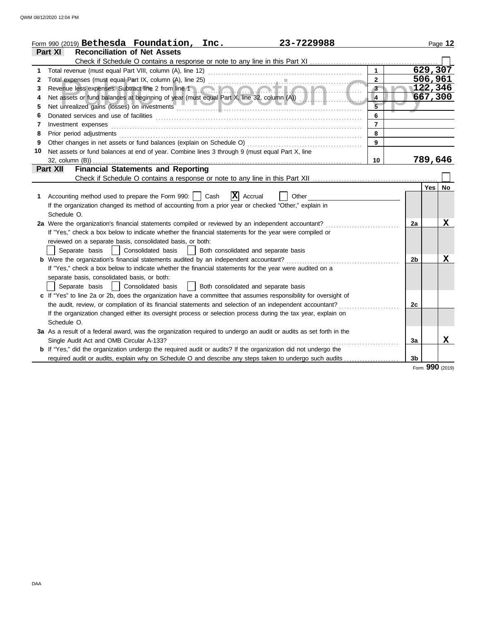|    | 23-7229988<br>Form 990 (2019) $Bethesda$ $Foundation, Inc.$                                                                                                                                                                    |                                      |                |         | Page 12     |
|----|--------------------------------------------------------------------------------------------------------------------------------------------------------------------------------------------------------------------------------|--------------------------------------|----------------|---------|-------------|
|    | <b>Reconciliation of Net Assets</b><br>Part XI                                                                                                                                                                                 |                                      |                |         |             |
|    |                                                                                                                                                                                                                                |                                      |                |         |             |
| 1  |                                                                                                                                                                                                                                | $\mathbf{1}$                         |                | 629,307 |             |
| 2  |                                                                                                                                                                                                                                | $\overline{2}$                       |                | 506,961 |             |
| 3  |                                                                                                                                                                                                                                | $3 -$                                |                | 122,346 |             |
| 4  | Net assets or fund balances at beginning of year (must equal Part X, line 32, column (A))                                                                                                                                      | $\overline{4}$                       |                | 667,300 |             |
| 5  |                                                                                                                                                                                                                                | $\overline{\overline{\overline{5}}}$ |                |         |             |
| 6  |                                                                                                                                                                                                                                | 6                                    |                |         |             |
| 7  | Investment expenses                                                                                                                                                                                                            | $\overline{7}$                       |                |         |             |
| 8  | Prior period adjustments [11, 12] and the contract of the contract of the contract of the contract of the contract of the contract of the contract of the contract of the contract of the contract of the contract of the cont | 8                                    |                |         |             |
| 9  |                                                                                                                                                                                                                                | $\overline{9}$                       |                |         |             |
| 10 | Net assets or fund balances at end of year. Combine lines 3 through 9 (must equal Part X, line                                                                                                                                 |                                      |                |         |             |
|    | 32, column (B))                                                                                                                                                                                                                | 10                                   |                | 789,646 |             |
|    | <b>Financial Statements and Reporting</b><br>Part XII                                                                                                                                                                          |                                      |                |         |             |
|    |                                                                                                                                                                                                                                |                                      |                |         |             |
|    |                                                                                                                                                                                                                                |                                      |                | Yes     | No          |
| 1  | $ \mathbf{X} $ Accrual<br>Accounting method used to prepare the Form 990:     Cash<br>Other                                                                                                                                    |                                      |                |         |             |
|    | If the organization changed its method of accounting from a prior year or checked "Other," explain in                                                                                                                          |                                      |                |         |             |
|    | Schedule O.                                                                                                                                                                                                                    |                                      |                |         |             |
|    | 2a Were the organization's financial statements compiled or reviewed by an independent accountant?                                                                                                                             |                                      | 2a             |         | X           |
|    | If "Yes," check a box below to indicate whether the financial statements for the year were compiled or                                                                                                                         |                                      |                |         |             |
|    | reviewed on a separate basis, consolidated basis, or both:                                                                                                                                                                     |                                      |                |         |             |
|    | Separate basis   Consolidated basis   Both consolidated and separate basis                                                                                                                                                     |                                      |                |         |             |
|    | b Were the organization's financial statements audited by an independent accountant?                                                                                                                                           |                                      | 2 <sub>b</sub> |         | $\mathbf X$ |
|    | If "Yes," check a box below to indicate whether the financial statements for the year were audited on a                                                                                                                        |                                      |                |         |             |
|    | separate basis, consolidated basis, or both:                                                                                                                                                                                   |                                      |                |         |             |
|    | Consolidated basis   Both consolidated and separate basis<br>Separate basis                                                                                                                                                    |                                      |                |         |             |
|    | c If "Yes" to line 2a or 2b, does the organization have a committee that assumes responsibility for oversight of                                                                                                               |                                      |                |         |             |
|    | the audit, review, or compilation of its financial statements and selection of an independent accountant?                                                                                                                      |                                      | 2c             |         |             |
|    | If the organization changed either its oversight process or selection process during the tax year, explain on                                                                                                                  |                                      |                |         |             |
|    | Schedule O.                                                                                                                                                                                                                    |                                      |                |         |             |
|    | 3a As a result of a federal award, was the organization required to undergo an audit or audits as set forth in the                                                                                                             |                                      |                |         |             |
|    | Single Audit Act and OMB Circular A-133?                                                                                                                                                                                       |                                      | 3a             |         | X           |
|    | <b>b</b> If "Yes," did the organization undergo the required audit or audits? If the organization did not undergo the                                                                                                          |                                      |                |         |             |
|    | required audit or audits, explain why on Schedule O and describe any steps taken to undergo such audits                                                                                                                        |                                      | 3 <sub>b</sub> |         |             |

Form **990** (2019)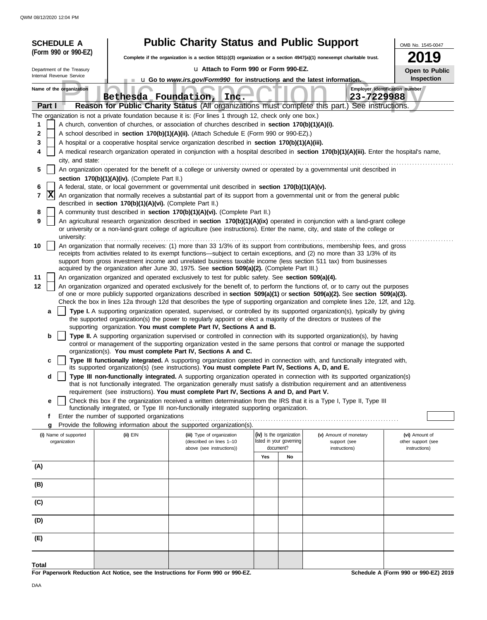| <b>SCHEDULE A</b>                     |                                                            | <b>Public Charity Status and Public Support</b>                                                                                                                                                       |                                                      |                                                                                                                                                                                                                                                                        | OMB No. 1545-0047                    |
|---------------------------------------|------------------------------------------------------------|-------------------------------------------------------------------------------------------------------------------------------------------------------------------------------------------------------|------------------------------------------------------|------------------------------------------------------------------------------------------------------------------------------------------------------------------------------------------------------------------------------------------------------------------------|--------------------------------------|
| (Form 990 or 990-EZ)                  |                                                            | Complete if the organization is a section $501(c)(3)$ organization or a section $4947(a)(1)$ nonexempt charitable trust.                                                                              |                                                      |                                                                                                                                                                                                                                                                        | 9                                    |
| Department of the Treasury            |                                                            | La Attach to Form 990 or Form 990-EZ.                                                                                                                                                                 |                                                      |                                                                                                                                                                                                                                                                        | Open to Public                       |
| Internal Revenue Service              |                                                            | u Go to www.irs.gov/Form990 for instructions and the latest information.                                                                                                                              |                                                      |                                                                                                                                                                                                                                                                        | Inspection                           |
| Name of the organization              |                                                            | Bethesda Foundation, Inc.                                                                                                                                                                             |                                                      | 23-7229988                                                                                                                                                                                                                                                             | Employer identification number       |
| Part I                                |                                                            |                                                                                                                                                                                                       |                                                      | Reason for Public Charity Status (All organizations must complete this part.) See instructions.                                                                                                                                                                        |                                      |
|                                       |                                                            | The organization is not a private foundation because it is: (For lines 1 through 12, check only one box.)                                                                                             |                                                      |                                                                                                                                                                                                                                                                        |                                      |
| 1<br>2                                |                                                            | A church, convention of churches, or association of churches described in section 170(b)(1)(A)(i).<br>A school described in section 170(b)(1)(A)(ii). (Attach Schedule E (Form 990 or 990-EZ).)       |                                                      |                                                                                                                                                                                                                                                                        |                                      |
| 3                                     |                                                            | A hospital or a cooperative hospital service organization described in section 170(b)(1)(A)(iii).                                                                                                     |                                                      |                                                                                                                                                                                                                                                                        |                                      |
| 4                                     |                                                            |                                                                                                                                                                                                       |                                                      | A medical research organization operated in conjunction with a hospital described in section 170(b)(1)(A)(iii). Enter the hospital's name,                                                                                                                             |                                      |
| city, and state:<br>5                 |                                                            |                                                                                                                                                                                                       |                                                      | An organization operated for the benefit of a college or university owned or operated by a governmental unit described in                                                                                                                                              |                                      |
|                                       | section 170(b)(1)(A)(iv). (Complete Part II.)              | A federal, state, or local government or governmental unit described in section 170(b)(1)(A)(v).                                                                                                      |                                                      |                                                                                                                                                                                                                                                                        |                                      |
| 6<br>$ {\bf X} $<br>7                 |                                                            |                                                                                                                                                                                                       |                                                      | An organization that normally receives a substantial part of its support from a governmental unit or from the general public                                                                                                                                           |                                      |
| 8                                     | described in section 170(b)(1)(A)(vi). (Complete Part II.) | A community trust described in section 170(b)(1)(A)(vi). (Complete Part II.)                                                                                                                          |                                                      |                                                                                                                                                                                                                                                                        |                                      |
| 9                                     |                                                            |                                                                                                                                                                                                       |                                                      | An agricultural research organization described in section 170(b)(1)(A)(ix) operated in conjunction with a land-grant college                                                                                                                                          |                                      |
| university:                           |                                                            |                                                                                                                                                                                                       |                                                      | or university or a non-land-grant college of agriculture (see instructions). Enter the name, city, and state of the college or                                                                                                                                         |                                      |
| 10                                    |                                                            |                                                                                                                                                                                                       |                                                      | An organization that normally receives: (1) more than 33 1/3% of its support from contributions, membership fees, and gross<br>receipts from activities related to its exempt functions—subject to certain exceptions, and (2) no more than 33 1/3% of its             |                                      |
|                                       |                                                            |                                                                                                                                                                                                       |                                                      | support from gross investment income and unrelated business taxable income (less section 511 tax) from businesses                                                                                                                                                      |                                      |
| 11                                    |                                                            | acquired by the organization after June 30, 1975. See section 509(a)(2). (Complete Part III.)<br>An organization organized and operated exclusively to test for public safety. See section 509(a)(4). |                                                      |                                                                                                                                                                                                                                                                        |                                      |
| 12                                    |                                                            |                                                                                                                                                                                                       |                                                      | An organization organized and operated exclusively for the benefit of, to perform the functions of, or to carry out the purposes                                                                                                                                       |                                      |
|                                       |                                                            |                                                                                                                                                                                                       |                                                      | of one or more publicly supported organizations described in section $509(a)(1)$ or section $509(a)(2)$ . See section $509(a)(3)$ .<br>Check the box in lines 12a through 12d that describes the type of supporting organization and complete lines 12e, 12f, and 12g. |                                      |
| a                                     |                                                            |                                                                                                                                                                                                       |                                                      | Type I. A supporting organization operated, supervised, or controlled by its supported organization(s), typically by giving                                                                                                                                            |                                      |
|                                       |                                                            | the supported organization(s) the power to regularly appoint or elect a majority of the directors or trustees of the                                                                                  |                                                      |                                                                                                                                                                                                                                                                        |                                      |
| b                                     |                                                            | supporting organization. You must complete Part IV, Sections A and B.                                                                                                                                 |                                                      | Type II. A supporting organization supervised or controlled in connection with its supported organization(s), by having                                                                                                                                                |                                      |
|                                       |                                                            |                                                                                                                                                                                                       |                                                      | control or management of the supporting organization vested in the same persons that control or manage the supported                                                                                                                                                   |                                      |
| c                                     |                                                            | organization(s). You must complete Part IV, Sections A and C.                                                                                                                                         |                                                      | Type III functionally integrated. A supporting organization operated in connection with, and functionally integrated with,                                                                                                                                             |                                      |
| d                                     |                                                            | its supported organization(s) (see instructions). You must complete Part IV, Sections A, D, and E.                                                                                                    |                                                      | Type III non-functionally integrated. A supporting organization operated in connection with its supported organization(s)                                                                                                                                              |                                      |
|                                       |                                                            | requirement (see instructions). You must complete Part IV, Sections A and D, and Part V.                                                                                                              |                                                      | that is not functionally integrated. The organization generally must satisfy a distribution requirement and an attentiveness                                                                                                                                           |                                      |
| e                                     |                                                            |                                                                                                                                                                                                       |                                                      | Check this box if the organization received a written determination from the IRS that it is a Type I, Type II, Type III                                                                                                                                                |                                      |
| f                                     | Enter the number of supported organizations                | functionally integrated, or Type III non-functionally integrated supporting organization.                                                                                                             |                                                      |                                                                                                                                                                                                                                                                        |                                      |
| g                                     |                                                            | Provide the following information about the supported organization(s).                                                                                                                                |                                                      |                                                                                                                                                                                                                                                                        |                                      |
| (i) Name of supported<br>organization | (ii) EIN                                                   | (iii) Type of organization<br>(described on lines 1-10                                                                                                                                                | (iv) Is the organization<br>listed in your governing | (v) Amount of monetary<br>support (see                                                                                                                                                                                                                                 | (vi) Amount of<br>other support (see |
|                                       |                                                            | above (see instructions))                                                                                                                                                                             | document?                                            | instructions)                                                                                                                                                                                                                                                          | instructions)                        |
| (A)                                   |                                                            |                                                                                                                                                                                                       | Yes<br>No                                            |                                                                                                                                                                                                                                                                        |                                      |
|                                       |                                                            |                                                                                                                                                                                                       |                                                      |                                                                                                                                                                                                                                                                        |                                      |
| (B)                                   |                                                            |                                                                                                                                                                                                       |                                                      |                                                                                                                                                                                                                                                                        |                                      |
| (C)                                   |                                                            |                                                                                                                                                                                                       |                                                      |                                                                                                                                                                                                                                                                        |                                      |
| (D)                                   |                                                            |                                                                                                                                                                                                       |                                                      |                                                                                                                                                                                                                                                                        |                                      |
| (E)                                   |                                                            |                                                                                                                                                                                                       |                                                      |                                                                                                                                                                                                                                                                        |                                      |
|                                       |                                                            |                                                                                                                                                                                                       |                                                      |                                                                                                                                                                                                                                                                        |                                      |
| Total                                 |                                                            | For Paperwork Reduction Act Notice, see the Instructions for Form 990 or 990-EZ.                                                                                                                      |                                                      |                                                                                                                                                                                                                                                                        | Schedule A (Form 990 or 990-EZ) 2019 |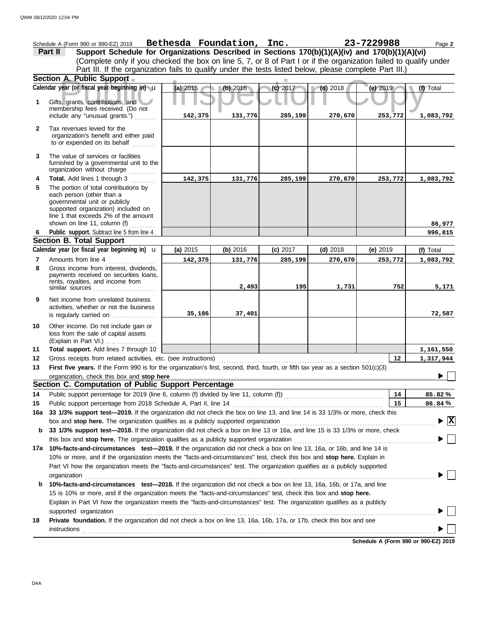|              | Schedule A (Form 990 or 990-EZ) 2019 $\;$ Bethesda Foundation, Inc.<br>Support Schedule for Organizations Described in Sections 170(b)(1)(A)(iv) and 170(b)(1)(A)(vi)<br>Part II                                                                                                                                                                                               |          |          |          |            | 23-7229988 | Page 2                                 |
|--------------|--------------------------------------------------------------------------------------------------------------------------------------------------------------------------------------------------------------------------------------------------------------------------------------------------------------------------------------------------------------------------------|----------|----------|----------|------------|------------|----------------------------------------|
|              | (Complete only if you checked the box on line 5, 7, or 8 of Part I or if the organization failed to qualify under                                                                                                                                                                                                                                                              |          |          |          |            |            |                                        |
|              | Part III. If the organization fails to qualify under the tests listed below, please complete Part III.)                                                                                                                                                                                                                                                                        |          |          |          |            |            |                                        |
|              | Section A. Public Support                                                                                                                                                                                                                                                                                                                                                      |          |          |          |            |            |                                        |
|              | Calendar year (or fiscal year beginning in) u                                                                                                                                                                                                                                                                                                                                  | (a) 2015 | (b) 2016 | (c) 2017 | $(d)$ 2018 | (e) $2019$ | (f) Total                              |
| 1            | Gifts, grants, contributions, and<br>membership fees received. (Do not                                                                                                                                                                                                                                                                                                         |          |          |          |            |            |                                        |
|              | include any "unusual grants.")                                                                                                                                                                                                                                                                                                                                                 | 142,375  | 131,776  | 285,199  | 270,670    | 253,772    | 1,083,792                              |
| $\mathbf{2}$ | Tax revenues levied for the<br>organization's benefit and either paid<br>to or expended on its behalf                                                                                                                                                                                                                                                                          |          |          |          |            |            |                                        |
| 3            | The value of services or facilities<br>furnished by a governmental unit to the<br>organization without charge                                                                                                                                                                                                                                                                  |          |          |          |            |            |                                        |
| 4            | Total. Add lines 1 through 3                                                                                                                                                                                                                                                                                                                                                   | 142,375  | 131,776  | 285,199  | 270,670    | 253,772    | 1,083,792                              |
| 5            | The portion of total contributions by<br>each person (other than a<br>governmental unit or publicly<br>supported organization) included on<br>line 1 that exceeds 2% of the amount<br>shown on line 11, column $(f)$                                                                                                                                                           |          |          |          |            |            | 86,977                                 |
| 6            | Public support. Subtract line 5 from line 4                                                                                                                                                                                                                                                                                                                                    |          |          |          |            |            | 996,815                                |
|              | <b>Section B. Total Support</b>                                                                                                                                                                                                                                                                                                                                                |          |          |          |            |            |                                        |
|              | Calendar year (or fiscal year beginning in) <b>u</b>                                                                                                                                                                                                                                                                                                                           | (a) 2015 | (b) 2016 | (c) 2017 | $(d)$ 2018 | (e) $2019$ | (f) Total                              |
| 7            | Amounts from line 4                                                                                                                                                                                                                                                                                                                                                            | 142,375  | 131,776  | 285,199  | 270,670    | 253,772    | 1,083,792                              |
| 8            | Gross income from interest, dividends,<br>payments received on securities loans,<br>rents, royalties, and income from<br>similar sources                                                                                                                                                                                                                                       |          | 2,493    | 195      | 1,731      | 752        | 5,171                                  |
| 9            | Net income from unrelated business<br>activities, whether or not the business<br>is regularly carried on                                                                                                                                                                                                                                                                       | 35,186   | 37,401   |          |            |            | 72,587                                 |
| 10           | Other income. Do not include gain or<br>loss from the sale of capital assets<br>(Explain in Part VI.)                                                                                                                                                                                                                                                                          |          |          |          |            |            |                                        |
| 11           | Total support. Add lines 7 through 10                                                                                                                                                                                                                                                                                                                                          |          |          |          |            |            | 1,161,550                              |
| 12           |                                                                                                                                                                                                                                                                                                                                                                                |          |          |          |            | 12         | 1,317,944                              |
| 13           | First five years. If the Form 990 is for the organization's first, second, third, fourth, or fifth tax year as a section 501(c)(3)                                                                                                                                                                                                                                             |          |          |          |            |            |                                        |
|              | organization, check this box and stop here                                                                                                                                                                                                                                                                                                                                     |          |          |          |            |            | ∼ ⊡                                    |
|              | Section C. Computation of Public Support Percentage                                                                                                                                                                                                                                                                                                                            |          |          |          |            |            |                                        |
| 14           |                                                                                                                                                                                                                                                                                                                                                                                |          |          |          |            | 14         | 85.82%                                 |
| 15           | Public support percentage from 2018 Schedule A, Part II, line 14                                                                                                                                                                                                                                                                                                               |          |          |          |            | 15         | 86.84%                                 |
| 16a          | 33 1/3% support test-2019. If the organization did not check the box on line 13, and line 14 is 33 1/3% or more, check this                                                                                                                                                                                                                                                    |          |          |          |            |            |                                        |
|              | box and stop here. The organization qualifies as a publicly supported organization                                                                                                                                                                                                                                                                                             |          |          |          |            |            | $\blacktriangleright \boxed{\text{X}}$ |
| b            | 33 1/3% support test-2018. If the organization did not check a box on line 13 or 16a, and line 15 is 33 1/3% or more, check                                                                                                                                                                                                                                                    |          |          |          |            |            |                                        |
|              |                                                                                                                                                                                                                                                                                                                                                                                |          |          |          |            |            |                                        |
| 17а          | 10%-facts-and-circumstances test-2019. If the organization did not check a box on line 13, 16a, or 16b, and line 14 is<br>10% or more, and if the organization meets the "facts-and-circumstances" test, check this box and stop here. Explain in<br>Part VI how the organization meets the "facts-and-circumstances" test. The organization qualifies as a publicly supported |          |          |          |            |            |                                        |
|              | organization                                                                                                                                                                                                                                                                                                                                                                   |          |          |          |            |            |                                        |
| b            | 10%-facts-and-circumstances test-2018. If the organization did not check a box on line 13, 16a, 16b, or 17a, and line<br>15 is 10% or more, and if the organization meets the "facts-and-circumstances" test, check this box and stop here.                                                                                                                                    |          |          |          |            |            |                                        |
|              | Explain in Part VI how the organization meets the "facts-and-circumstances" test. The organization qualifies as a publicly                                                                                                                                                                                                                                                     |          |          |          |            |            |                                        |
| 18           | supported organization contains and contains a supported organization of the supported organization contains and contains a supported organization contains a supported or supported or $\alpha$<br>Private foundation. If the organization did not check a box on line 13, 16a, 16b, 17a, or 17b, check this box and see                                                      |          |          |          |            |            |                                        |
|              | <b>instructions</b>                                                                                                                                                                                                                                                                                                                                                            |          |          |          |            |            |                                        |
|              |                                                                                                                                                                                                                                                                                                                                                                                |          |          |          |            |            |                                        |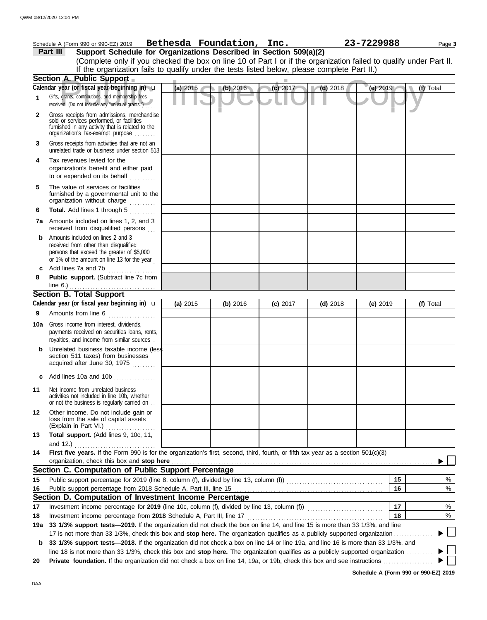|              | Schedule A (Form 990 or 990-EZ) 2019                                                                                                                                                  |          | Bethesda Foundation, Inc. |          |            |            | 23-7229988 | Page 3    |
|--------------|---------------------------------------------------------------------------------------------------------------------------------------------------------------------------------------|----------|---------------------------|----------|------------|------------|------------|-----------|
|              | Support Schedule for Organizations Described in Section 509(a)(2)<br>Part III                                                                                                         |          |                           |          |            |            |            |           |
|              | (Complete only if you checked the box on line 10 of Part I or if the organization failed to qualify under Part II.                                                                    |          |                           |          |            |            |            |           |
|              | If the organization fails to qualify under the tests listed below, please complete Part II.)                                                                                          |          |                           |          |            |            |            |           |
|              | Section A. Public Support                                                                                                                                                             |          |                           |          |            |            |            |           |
|              | Calendar year (or fiscal year beginning in) u                                                                                                                                         | (a) 2015 |                           | (b) 2016 | (c) 2017   | $(d)$ 2018 | (e) 2019   | (f) Total |
| 1            | Gifts, grants, contributions, and membership fees<br>received. (Do not include any "unusual grants.")                                                                                 |          |                           |          |            |            |            |           |
| $\mathbf{2}$ | Gross receipts from admissions, merchandise<br>sold or services performed, or facilities<br>furnished in any activity that is related to the<br>organization's tax-exempt purpose     |          |                           |          |            |            |            |           |
| 3            | Gross receipts from activities that are not an<br>unrelated trade or business under section 513                                                                                       |          |                           |          |            |            |            |           |
| 4            | Tax revenues levied for the<br>organization's benefit and either paid<br>to or expended on its behalf<br>$\sim$                                                                       |          |                           |          |            |            |            |           |
| 5            | The value of services or facilities<br>furnished by a governmental unit to the<br>organization without charge<br>.                                                                    |          |                           |          |            |            |            |           |
| 6            | Total. Add lines 1 through 5                                                                                                                                                          |          |                           |          |            |            |            |           |
|              | 7a Amounts included on lines 1, 2, and 3<br>received from disqualified persons                                                                                                        |          |                           |          |            |            |            |           |
| b            | Amounts included on lines 2 and 3<br>received from other than disqualified<br>persons that exceed the greater of \$5,000<br>or 1% of the amount on line 13 for the year               |          |                           |          |            |            |            |           |
| c            | Add lines 7a and 7b                                                                                                                                                                   |          |                           |          |            |            |            |           |
| 8            | Public support. (Subtract line 7c from<br>line $6$ .)                                                                                                                                 |          |                           |          |            |            |            |           |
|              | <b>Section B. Total Support</b>                                                                                                                                                       |          |                           |          |            |            |            |           |
|              | Calendar year (or fiscal year beginning in) <b>u</b>                                                                                                                                  | (a) 2015 |                           | (b) 2016 | $(c)$ 2017 | $(d)$ 2018 | (e) $2019$ | (f) Total |
| 9            | Amounts from line 6<br>.                                                                                                                                                              |          |                           |          |            |            |            |           |
| 10a          | Gross income from interest, dividends,<br>payments received on securities loans, rents,<br>royalties, and income from similar sources.                                                |          |                           |          |            |            |            |           |
|              | Unrelated business taxable income (less<br>section 511 taxes) from businesses<br>acquired after June 30, 1975<br>.                                                                    |          |                           |          |            |            |            |           |
|              | Add lines 10a and 10b                                                                                                                                                                 |          |                           |          |            |            |            |           |
| 11           | Net income from unrelated business<br>activities not included in line 10b, whether<br>or not the business is regularly carried on                                                     |          |                           |          |            |            |            |           |
| 12           | Other income. Do not include gain or<br>loss from the sale of capital assets<br>(Explain in Part VI.)                                                                                 |          |                           |          |            |            |            |           |
| 13           | Total support. (Add lines 9, 10c, 11,<br>and 12.)                                                                                                                                     |          |                           |          |            |            |            |           |
| 14           | .<br>First five years. If the Form 990 is for the organization's first, second, third, fourth, or fifth tax year as a section 501(c)(3)<br>organization, check this box and stop here |          |                           |          |            |            |            |           |
|              | Section C. Computation of Public Support Percentage                                                                                                                                   |          |                           |          |            |            |            |           |
| 15           |                                                                                                                                                                                       |          |                           |          |            |            | 15         | ℅         |
| 16           |                                                                                                                                                                                       |          |                           |          |            |            | 16         | %         |
|              | Section D. Computation of Investment Income Percentage                                                                                                                                |          |                           |          |            |            |            |           |
| 17           |                                                                                                                                                                                       |          |                           |          |            |            | 17         | %         |
| 18           |                                                                                                                                                                                       |          |                           |          |            |            | 18         | %         |
| 19a          | 33 1/3% support tests—2019. If the organization did not check the box on line 14, and line 15 is more than 33 1/3%, and line                                                          |          |                           |          |            |            |            |           |
|              | 17 is not more than 33 1/3%, check this box and stop here. The organization qualifies as a publicly supported organization                                                            |          |                           |          |            |            |            |           |
| b            | 33 1/3% support tests-2018. If the organization did not check a box on line 14 or line 19a, and line 16 is more than 33 1/3%, and                                                     |          |                           |          |            |            |            |           |
| 20           | line 18 is not more than 33 1/3%, check this box and stop here. The organization qualifies as a publicly supported organization                                                       |          |                           |          |            |            |            |           |
|              |                                                                                                                                                                                       |          |                           |          |            |            |            |           |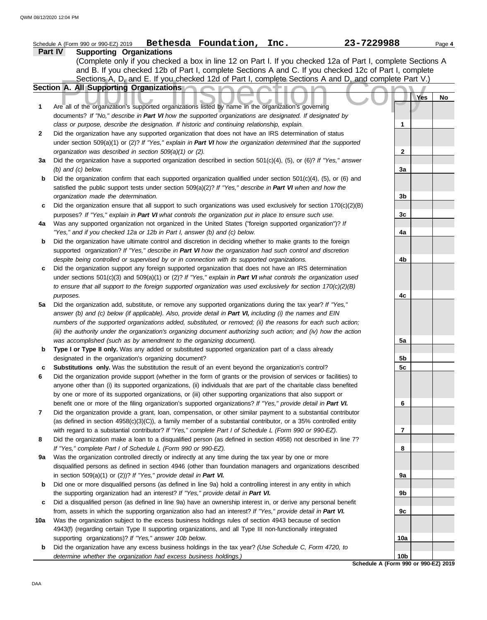#### Sections A, D, and E. If you checked 12d of Part I, complete Sections A and D, and complete Part V.<br>
The Are all of the organization's supported organizations listed by name in the organization's governing **Schedule A (Form 990 or 990-EZ) 2019 Part IV Supporting Organizations** Sections A, D, and E. If you checked 12d of Part I, complete Sections A and D, and complete Part V.) Schedule A (Form 990 or 990-EZ) 2019 Page **4 Bethesda Foundation, Inc. 23-7229988 Section A. All Supporting Organizations** (Complete only if you checked a box in line 12 on Part I. If you checked 12a of Part I, complete Sections A and B. If you checked 12b of Part I, complete Sections A and C. If you checked 12c of Part I, complete documents? *If "No," describe in Part VI how the supported organizations are designated. If designated by class or purpose, describe the designation. If historic and continuing relationship, explain.* Did the organization have any supported organization that does not have an IRS determination of status under section 509(a)(1) or (2)? *If "Yes," explain in Part VI how the organization determined that the supported organization was described in section 509(a)(1) or (2).* **1 2 3a** Did the organization have a supported organization described in section 501(c)(4), (5), or (6)? *If "Yes," answer* **b** Did the organization confirm that each supported organization qualified under section 501(c)(4), (5), or (6) and **c** Did the organization ensure that all support to such organizations was used exclusively for section 170(c)(2)(B) **4a b** Did the organization have ultimate control and discretion in deciding whether to make grants to the foreign **c** Did the organization support any foreign supported organization that does not have an IRS determination **5a** Did the organization add, substitute, or remove any supported organizations during the tax year? *If "Yes,"* **b** Type I or Type II only. Was any added or substituted supported organization part of a class already **c Substitutions only.** Was the substitution the result of an event beyond the organization's control? **6 7 8 9a** Was the organization controlled directly or indirectly at any time during the tax year by one or more **b** Did one or more disqualified persons (as defined in line 9a) hold a controlling interest in any entity in which **c 10a b** Did the organization have any excess business holdings in the tax year? *(Use Schedule C, Form 4720, to (b) and (c) below.* satisfied the public support tests under section 509(a)(2)? *If "Yes," describe in Part VI when and how the organization made the determination.* purposes? *If "Yes," explain in Part VI what controls the organization put in place to ensure such use.* Was any supported organization not organized in the United States ("foreign supported organization")? *If "Yes," and if you checked 12a or 12b in Part I, answer (b) and (c) below.* supported organization? *If "Yes," describe in Part VI how the organization had such control and discretion despite being controlled or supervised by or in connection with its supported organizations.* under sections 501(c)(3) and 509(a)(1) or (2)? *If "Yes," explain in Part VI what controls the organization used to ensure that all support to the foreign supported organization was used exclusively for section 170(c)(2)(B) purposes.* answer (b) and (c) below (if applicable). Also, provide detail in Part VI, including (i) the names and EIN *numbers of the supported organizations added, substituted, or removed; (ii) the reasons for each such action; (iii) the authority under the organization's organizing document authorizing such action; and (iv) how the action was accomplished (such as by amendment to the organizing document).* designated in the organization's organizing document? Did the organization provide support (whether in the form of grants or the provision of services or facilities) to anyone other than (i) its supported organizations, (ii) individuals that are part of the charitable class benefited by one or more of its supported organizations, or (iii) other supporting organizations that also support or benefit one or more of the filing organization's supported organizations? *If "Yes," provide detail in Part VI.* Did the organization provide a grant, loan, compensation, or other similar payment to a substantial contributor (as defined in section 4958(c)(3)(C)), a family member of a substantial contributor, or a 35% controlled entity with regard to a substantial contributor? *If "Yes," complete Part I of Schedule L (Form 990 or 990-EZ).* Did the organization make a loan to a disqualified person (as defined in section 4958) not described in line 7? *If "Yes," complete Part I of Schedule L (Form 990 or 990-EZ).* disqualified persons as defined in section 4946 (other than foundation managers and organizations described in section 509(a)(1) or (2))? *If "Yes," provide detail in Part VI.* the supporting organization had an interest? *If "Yes," provide detail in Part VI.* Did a disqualified person (as defined in line 9a) have an ownership interest in, or derive any personal benefit from, assets in which the supporting organization also had an interest? *If "Yes," provide detail in Part VI.* Was the organization subject to the excess business holdings rules of section 4943 because of section 4943(f) (regarding certain Type II supporting organizations, and all Type III non-functionally integrated supporting organizations)? *If "Yes," answer 10b below. determine whether the organization had excess business holdings.)* **Yes No 1 2 3a 3b 3c 4a 4b 4c 5a 5b 5c 6 7 8 9a 9b 9c 10a 10b**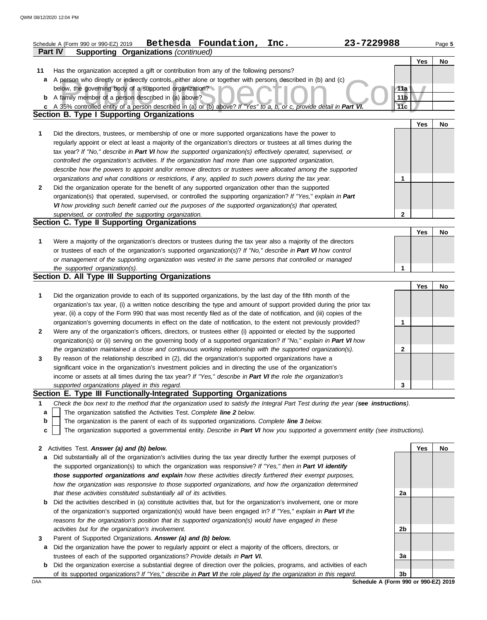|              | 23-7229988<br>Bethesda Foundation, Inc.<br>Schedule A (Form 990 or 990-EZ) 2019                                                                                                                                           |                 |     | Page 5 |
|--------------|---------------------------------------------------------------------------------------------------------------------------------------------------------------------------------------------------------------------------|-----------------|-----|--------|
|              | <b>Supporting Organizations (continued)</b><br><b>Part IV</b>                                                                                                                                                             |                 |     |        |
|              |                                                                                                                                                                                                                           |                 | Yes | No     |
| 11           | Has the organization accepted a gift or contribution from any of the following persons?                                                                                                                                   |                 |     |        |
| а            | A person who directly or indirectly controls, either alone or together with persons described in (b) and (c)                                                                                                              |                 |     |        |
|              | below, the governing body of a supported organization?                                                                                                                                                                    | 11a             |     |        |
| b            | A family member of a person described in (a) above?                                                                                                                                                                       | 11 <sub>b</sub> |     |        |
|              | c A 35% controlled entity of a person described in (a) or (b) above? If "Yes" to a, b, or c, provide detail in Part VI.                                                                                                   | 11c             |     |        |
|              | <b>Section B. Type I Supporting Organizations</b>                                                                                                                                                                         |                 |     |        |
|              |                                                                                                                                                                                                                           |                 | Yes | No     |
| 1            | Did the directors, trustees, or membership of one or more supported organizations have the power to                                                                                                                       |                 |     |        |
|              | regularly appoint or elect at least a majority of the organization's directors or trustees at all times during the                                                                                                        |                 |     |        |
|              | tax year? If "No," describe in Part VI how the supported organization(s) effectively operated, supervised, or                                                                                                             |                 |     |        |
|              | controlled the organization's activities. If the organization had more than one supported organization,                                                                                                                   |                 |     |        |
|              | describe how the powers to appoint and/or remove directors or trustees were allocated among the supported                                                                                                                 |                 |     |        |
|              | organizations and what conditions or restrictions, if any, applied to such powers during the tax year.                                                                                                                    | 1               |     |        |
| $\mathbf{2}$ | Did the organization operate for the benefit of any supported organization other than the supported                                                                                                                       |                 |     |        |
|              | organization(s) that operated, supervised, or controlled the supporting organization? If "Yes," explain in Part<br>VI how providing such benefit carried out the purposes of the supported organization(s) that operated, |                 |     |        |
|              | supervised, or controlled the supporting organization.                                                                                                                                                                    | $\mathbf 2$     |     |        |
|              | Section C. Type II Supporting Organizations                                                                                                                                                                               |                 |     |        |
|              |                                                                                                                                                                                                                           |                 | Yes | No     |
| 1            | Were a majority of the organization's directors or trustees during the tax year also a majority of the directors                                                                                                          |                 |     |        |
|              | or trustees of each of the organization's supported organization(s)? If "No," describe in Part VI how control                                                                                                             |                 |     |        |
|              | or management of the supporting organization was vested in the same persons that controlled or managed                                                                                                                    |                 |     |        |
|              | the supported organization(s).                                                                                                                                                                                            | 1               |     |        |
|              | Section D. All Type III Supporting Organizations                                                                                                                                                                          |                 |     |        |
|              |                                                                                                                                                                                                                           |                 | Yes | No     |
| 1            | Did the organization provide to each of its supported organizations, by the last day of the fifth month of the                                                                                                            |                 |     |        |
|              | organization's tax year, (i) a written notice describing the type and amount of support provided during the prior tax                                                                                                     |                 |     |        |
|              | year, (ii) a copy of the Form 990 that was most recently filed as of the date of notification, and (iii) copies of the                                                                                                    |                 |     |        |
|              | organization's governing documents in effect on the date of notification, to the extent not previously provided?                                                                                                          | 1               |     |        |
| $\mathbf{2}$ | Were any of the organization's officers, directors, or trustees either (i) appointed or elected by the supported                                                                                                          |                 |     |        |
|              | organization(s) or (ii) serving on the governing body of a supported organization? If "No," explain in Part VI how                                                                                                        |                 |     |        |
|              | the organization maintained a close and continuous working relationship with the supported organization(s).                                                                                                               | 2               |     |        |
| 3            | By reason of the relationship described in (2), did the organization's supported organizations have a                                                                                                                     |                 |     |        |
|              | significant voice in the organization's investment policies and in directing the use of the organization's                                                                                                                |                 |     |        |
|              | income or assets at all times during the tax year? If "Yes," describe in Part VI the role the organization's                                                                                                              |                 |     |        |
|              | supported organizations played in this regard.                                                                                                                                                                            | 3               |     |        |
|              | Section E. Type III Functionally-Integrated Supporting Organizations                                                                                                                                                      |                 |     |        |
| 1            | Check the box next to the method that the organization used to satisfy the Integral Part Test during the year (see instructions).                                                                                         |                 |     |        |
| a            | The organization satisfied the Activities Test. Complete line 2 below.                                                                                                                                                    |                 |     |        |
| b            | The organization is the parent of each of its supported organizations. Complete line 3 below.                                                                                                                             |                 |     |        |
| c            | The organization supported a governmental entity. Describe in Part VI how you supported a government entity (see instructions).                                                                                           |                 |     |        |
|              |                                                                                                                                                                                                                           |                 |     |        |
|              | 2 Activities Test. Answer (a) and (b) below.<br>Did substantially all of the organization's activities during the tax year directly further the exempt purposes of                                                        |                 | Yes | No     |
| а            | the supported organization(s) to which the organization was responsive? If "Yes," then in Part VI identify                                                                                                                |                 |     |        |
|              | those supported organizations and explain how these activities directly furthered their exempt purposes,                                                                                                                  |                 |     |        |
|              | how the organization was responsive to those supported organizations, and how the organization determined                                                                                                                 |                 |     |        |
|              | that these activities constituted substantially all of its activities.                                                                                                                                                    | 2a              |     |        |
| b            | Did the activities described in (a) constitute activities that, but for the organization's involvement, one or more                                                                                                       |                 |     |        |
|              | of the organization's supported organization(s) would have been engaged in? If "Yes," explain in Part VI the                                                                                                              |                 |     |        |
|              | reasons for the organization's position that its supported organization(s) would have engaged in these                                                                                                                    |                 |     |        |
|              | activities but for the organization's involvement.                                                                                                                                                                        | 2b              |     |        |
| 3            | Parent of Supported Organizations. Answer (a) and (b) below.                                                                                                                                                              |                 |     |        |
| а            | Did the organization have the power to regularly appoint or elect a majority of the officers, directors, or                                                                                                               |                 |     |        |
|              | trustees of each of the supported organizations? Provide details in Part VI.                                                                                                                                              | 3a              |     |        |

**b** Did the organization exercise a substantial degree of direction over the policies, programs, and activities of each of its supported organizations? *If "Yes," describe in Part VI the role played by the organization in this regard.* **3b**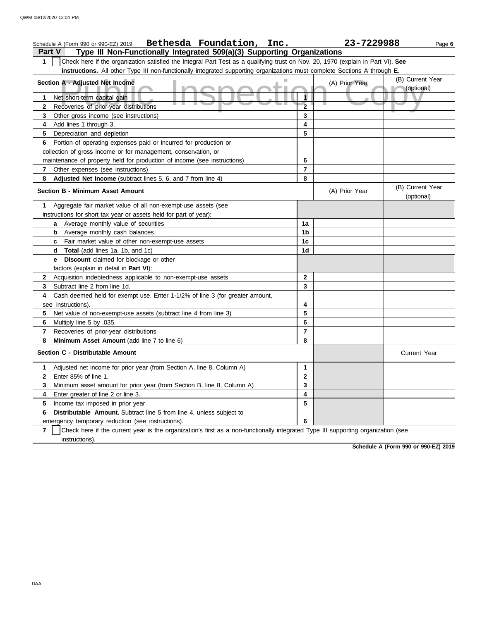| Bethesda Foundation, Inc.<br>Schedule A (Form 990 or 990-EZ) 2019                                                                               |                | 23-7229988     | Page 6                         |
|-------------------------------------------------------------------------------------------------------------------------------------------------|----------------|----------------|--------------------------------|
| <b>Part V</b><br>Type III Non-Functionally Integrated 509(a)(3) Supporting Organizations                                                        |                |                |                                |
| $\mathbf 1$<br>Check here if the organization satisfied the Integral Part Test as a qualifying trust on Nov. 20, 1970 (explain in Part VI). See |                |                |                                |
| instructions. All other Type III non-functionally integrated supporting organizations must complete Sections A through E.                       |                |                |                                |
| Section A - Adjusted Net Income                                                                                                                 |                | (A) Prior Year | (B) Current Year               |
|                                                                                                                                                 |                |                | (optional)                     |
| Net short-term capital gain<br>1                                                                                                                | 1              |                |                                |
| Recoveries of prior-year distributions<br>$\mathbf{2}$                                                                                          | $\overline{2}$ |                |                                |
| Other gross income (see instructions)<br>3                                                                                                      | 3              |                |                                |
| Add lines 1 through 3.<br>4                                                                                                                     | 4              |                |                                |
| 5<br>Depreciation and depletion                                                                                                                 | 5              |                |                                |
| Portion of operating expenses paid or incurred for production or<br>6                                                                           |                |                |                                |
| collection of gross income or for management, conservation, or                                                                                  |                |                |                                |
| maintenance of property held for production of income (see instructions)                                                                        | 6              |                |                                |
| Other expenses (see instructions)<br>7                                                                                                          | $\overline{7}$ |                |                                |
| Adjusted Net Income (subtract lines 5, 6, and 7 from line 4)<br>8                                                                               | 8              |                |                                |
| Section B - Minimum Asset Amount                                                                                                                |                | (A) Prior Year | (B) Current Year<br>(optional) |
| Aggregate fair market value of all non-exempt-use assets (see<br>1                                                                              |                |                |                                |
| instructions for short tax year or assets held for part of year):                                                                               |                |                |                                |
| a Average monthly value of securities                                                                                                           | 1a             |                |                                |
| Average monthly cash balances<br>b                                                                                                              | 1b             |                |                                |
| Fair market value of other non-exempt-use assets<br>c.                                                                                          | 1c             |                |                                |
| Total (add lines 1a, 1b, and 1c)<br>d                                                                                                           | 1d             |                |                                |
| <b>Discount</b> claimed for blockage or other<br>е                                                                                              |                |                |                                |
| factors (explain in detail in Part VI):                                                                                                         |                |                |                                |
| $\mathbf{2}$<br>Acquisition indebtedness applicable to non-exempt-use assets                                                                    | $\mathbf{2}$   |                |                                |
| Subtract line 2 from line 1d.<br>3                                                                                                              | 3              |                |                                |
| Cash deemed held for exempt use. Enter 1-1/2% of line 3 (for greater amount,<br>4                                                               |                |                |                                |
| see instructions).                                                                                                                              | 4              |                |                                |
| Net value of non-exempt-use assets (subtract line 4 from line 3)<br>5.                                                                          | 5              |                |                                |
| Multiply line 5 by .035.<br>6                                                                                                                   | 6              |                |                                |
| 7<br>Recoveries of prior-year distributions                                                                                                     | 7              |                |                                |
| Minimum Asset Amount (add line 7 to line 6)<br>8                                                                                                | 8              |                |                                |
| Section C - Distributable Amount                                                                                                                |                |                | <b>Current Year</b>            |
| Adjusted net income for prior year (from Section A, line 8, Column A)<br>1.                                                                     | 1              |                |                                |
| 2<br>Enter 85% of line 1.                                                                                                                       | 2              |                |                                |
| 3<br>Minimum asset amount for prior year (from Section B, line 8, Column A)                                                                     | 3              |                |                                |
| Enter greater of line 2 or line 3.<br>4                                                                                                         | 4              |                |                                |
| 5<br>Income tax imposed in prior year                                                                                                           | 5              |                |                                |
| Distributable Amount. Subtract line 5 from line 4, unless subject to<br>6                                                                       |                |                |                                |
| emergency temporary reduction (see instructions).                                                                                               | 6              |                |                                |
| 7<br>Check here if the current year is the organization's first as a non-functionally integrated Type III supporting organization (see          |                |                |                                |
| instructions).                                                                                                                                  |                |                |                                |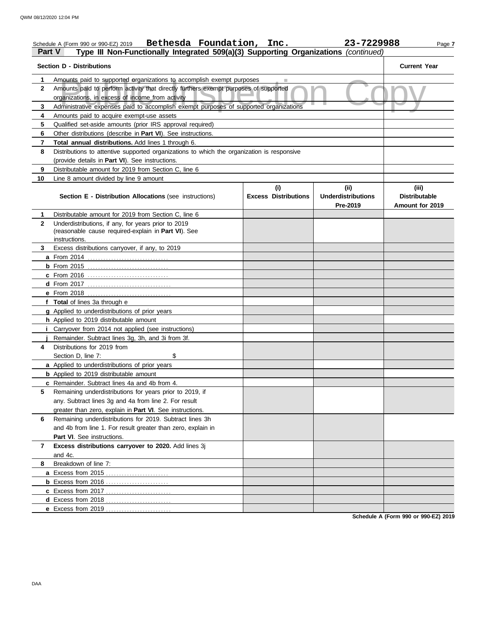|                   | Bethesda Foundation, Inc.<br>Schedule A (Form 990 or 990-EZ) 2019<br>Type III Non-Functionally Integrated 509(a)(3) Supporting Organizations (continued)<br>Part V                                                |                                    | 23-7229988                                    | Page 7                                                  |
|-------------------|-------------------------------------------------------------------------------------------------------------------------------------------------------------------------------------------------------------------|------------------------------------|-----------------------------------------------|---------------------------------------------------------|
|                   | <b>Section D - Distributions</b>                                                                                                                                                                                  |                                    |                                               | <b>Current Year</b>                                     |
| 1<br>$\mathbf{2}$ | Amounts paid to supported organizations to accomplish exempt purposes<br>Amounts paid to perform activity that directly furthers exempt purposes of supported<br>organizations, in excess of income from activity |                                    |                                               |                                                         |
| 3                 | Administrative expenses paid to accomplish exempt purposes of supported organizations                                                                                                                             |                                    |                                               |                                                         |
| 4                 | Amounts paid to acquire exempt-use assets                                                                                                                                                                         |                                    |                                               |                                                         |
| 5                 | Qualified set-aside amounts (prior IRS approval required)                                                                                                                                                         |                                    |                                               |                                                         |
| 6                 | Other distributions (describe in Part VI). See instructions.                                                                                                                                                      |                                    |                                               |                                                         |
| 7                 | Total annual distributions. Add lines 1 through 6.                                                                                                                                                                |                                    |                                               |                                                         |
| 8                 | Distributions to attentive supported organizations to which the organization is responsive<br>(provide details in Part VI). See instructions.                                                                     |                                    |                                               |                                                         |
| 9                 | Distributable amount for 2019 from Section C, line 6                                                                                                                                                              |                                    |                                               |                                                         |
| 10                | Line 8 amount divided by line 9 amount                                                                                                                                                                            |                                    |                                               |                                                         |
|                   | <b>Section E - Distribution Allocations (see instructions)</b>                                                                                                                                                    | (i)<br><b>Excess Distributions</b> | (ii)<br><b>Underdistributions</b><br>Pre-2019 | (iii)<br><b>Distributable</b><br><b>Amount for 2019</b> |
| 1                 | Distributable amount for 2019 from Section C, line 6                                                                                                                                                              |                                    |                                               |                                                         |
| $\mathbf{2}$      | Underdistributions, if any, for years prior to 2019<br>(reasonable cause required-explain in Part VI). See<br>instructions.                                                                                       |                                    |                                               |                                                         |
| 3                 | Excess distributions carryover, if any, to 2019                                                                                                                                                                   |                                    |                                               |                                                         |
|                   | a From 2014                                                                                                                                                                                                       |                                    |                                               |                                                         |
|                   |                                                                                                                                                                                                                   |                                    |                                               |                                                         |
|                   | <b>c</b> From 2016                                                                                                                                                                                                |                                    |                                               |                                                         |
|                   |                                                                                                                                                                                                                   |                                    |                                               |                                                         |
|                   | e From 2018                                                                                                                                                                                                       |                                    |                                               |                                                         |
|                   | f Total of lines 3a through e                                                                                                                                                                                     |                                    |                                               |                                                         |
|                   | g Applied to underdistributions of prior years                                                                                                                                                                    |                                    |                                               |                                                         |
|                   | h Applied to 2019 distributable amount                                                                                                                                                                            |                                    |                                               |                                                         |
|                   | Carryover from 2014 not applied (see instructions)                                                                                                                                                                |                                    |                                               |                                                         |
|                   | Remainder. Subtract lines 3g, 3h, and 3i from 3f.                                                                                                                                                                 |                                    |                                               |                                                         |
| 4                 | Distributions for 2019 from                                                                                                                                                                                       |                                    |                                               |                                                         |
|                   | \$<br>Section D, line 7:                                                                                                                                                                                          |                                    |                                               |                                                         |
|                   | a Applied to underdistributions of prior years                                                                                                                                                                    |                                    |                                               |                                                         |
|                   | <b>b</b> Applied to 2019 distributable amount                                                                                                                                                                     |                                    |                                               |                                                         |
|                   | <b>c</b> Remainder. Subtract lines 4a and 4b from 4.                                                                                                                                                              |                                    |                                               |                                                         |
| 5                 | Remaining underdistributions for years prior to 2019, if                                                                                                                                                          |                                    |                                               |                                                         |
|                   | any. Subtract lines 3g and 4a from line 2. For result                                                                                                                                                             |                                    |                                               |                                                         |
|                   | greater than zero, explain in <b>Part VI</b> . See instructions.                                                                                                                                                  |                                    |                                               |                                                         |
| 6                 | Remaining underdistributions for 2019. Subtract lines 3h                                                                                                                                                          |                                    |                                               |                                                         |
|                   | and 4b from line 1. For result greater than zero, explain in                                                                                                                                                      |                                    |                                               |                                                         |
|                   | <b>Part VI.</b> See instructions.                                                                                                                                                                                 |                                    |                                               |                                                         |
| 7                 | Excess distributions carryover to 2020. Add lines 3j<br>and 4c.                                                                                                                                                   |                                    |                                               |                                                         |
| 8                 | Breakdown of line 7:                                                                                                                                                                                              |                                    |                                               |                                                         |
|                   |                                                                                                                                                                                                                   |                                    |                                               |                                                         |
|                   |                                                                                                                                                                                                                   |                                    |                                               |                                                         |
|                   |                                                                                                                                                                                                                   |                                    |                                               |                                                         |
|                   | d Excess from 2018                                                                                                                                                                                                |                                    |                                               |                                                         |
|                   | e Excess from 2019.                                                                                                                                                                                               |                                    |                                               |                                                         |
|                   |                                                                                                                                                                                                                   |                                    |                                               |                                                         |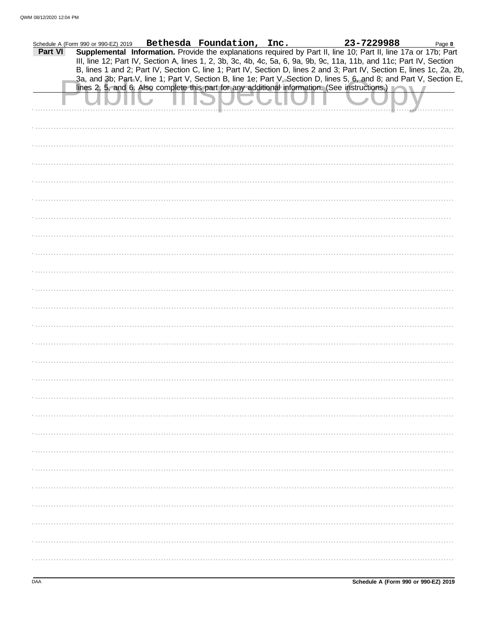| Schedule A (Form 990 or 990-EZ) 2019 Bethesda Foundation, Inc. |  |  |  |  | 23-7229988                                                                                                                                                                                                                                     | Page 8 |
|----------------------------------------------------------------|--|--|--|--|------------------------------------------------------------------------------------------------------------------------------------------------------------------------------------------------------------------------------------------------|--------|
| Part VI                                                        |  |  |  |  | Supplemental Information. Provide the explanations required by Part II, line 10; Part II, line 17a or 17b; Part<br>III, line 12; Part IV, Section A, lines 1, 2, 3b, 3c, 4b, 4c, 5a, 6, 9a, 9b, 9c, 11a, 11b, and 11c; Part IV, Section        |        |
|                                                                |  |  |  |  | B, lines 1 and 2; Part IV, Section C, line 1; Part IV, Section D, lines 2 and 3; Part IV, Section E, lines 1c, 2a, 2b,<br>3a, and 3b; Part V, line 1; Part V, Section B, line 1e; Part V, Section D, lines 5, 6, and 8; and Part V, Section E, |        |
|                                                                |  |  |  |  | lines 2, 5, and 6. Also complete this part for any additional information. (See instructions.)                                                                                                                                                 |        |
|                                                                |  |  |  |  |                                                                                                                                                                                                                                                |        |
|                                                                |  |  |  |  |                                                                                                                                                                                                                                                |        |
|                                                                |  |  |  |  |                                                                                                                                                                                                                                                |        |
|                                                                |  |  |  |  |                                                                                                                                                                                                                                                |        |
|                                                                |  |  |  |  |                                                                                                                                                                                                                                                |        |
|                                                                |  |  |  |  |                                                                                                                                                                                                                                                |        |
|                                                                |  |  |  |  |                                                                                                                                                                                                                                                |        |
|                                                                |  |  |  |  |                                                                                                                                                                                                                                                |        |
|                                                                |  |  |  |  |                                                                                                                                                                                                                                                |        |
|                                                                |  |  |  |  |                                                                                                                                                                                                                                                |        |
|                                                                |  |  |  |  |                                                                                                                                                                                                                                                |        |
|                                                                |  |  |  |  |                                                                                                                                                                                                                                                |        |
|                                                                |  |  |  |  |                                                                                                                                                                                                                                                |        |
|                                                                |  |  |  |  |                                                                                                                                                                                                                                                |        |
|                                                                |  |  |  |  |                                                                                                                                                                                                                                                |        |
|                                                                |  |  |  |  |                                                                                                                                                                                                                                                |        |
|                                                                |  |  |  |  |                                                                                                                                                                                                                                                |        |
|                                                                |  |  |  |  |                                                                                                                                                                                                                                                |        |
|                                                                |  |  |  |  |                                                                                                                                                                                                                                                |        |
|                                                                |  |  |  |  |                                                                                                                                                                                                                                                |        |
|                                                                |  |  |  |  |                                                                                                                                                                                                                                                |        |
|                                                                |  |  |  |  |                                                                                                                                                                                                                                                |        |
|                                                                |  |  |  |  |                                                                                                                                                                                                                                                |        |
|                                                                |  |  |  |  |                                                                                                                                                                                                                                                |        |
|                                                                |  |  |  |  |                                                                                                                                                                                                                                                |        |
|                                                                |  |  |  |  |                                                                                                                                                                                                                                                |        |
|                                                                |  |  |  |  |                                                                                                                                                                                                                                                |        |
|                                                                |  |  |  |  |                                                                                                                                                                                                                                                |        |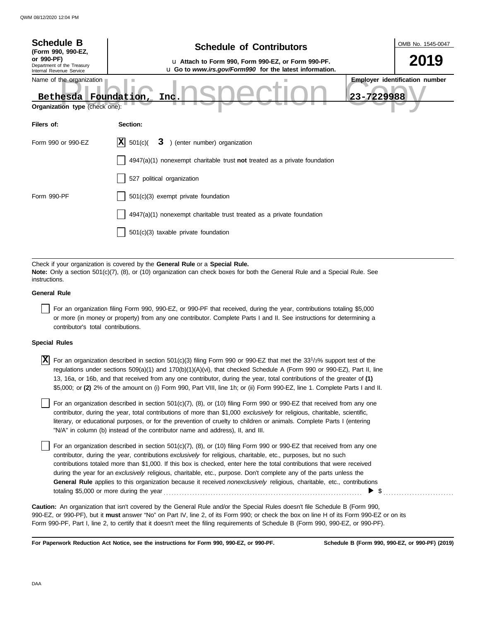| <b>Schedule B</b><br>(Form 990, 990-EZ,<br>or 990-PF)<br>Department of the Treasury<br>Internal Revenue Service | <b>Schedule of Contributors</b><br>u Attach to Form 990, Form 990-EZ, or Form 990-PF.<br>u Go to www.irs.gov/Form990 for the latest information.                                                                          |                                                     | OMB No. 1545-0047<br>2019 |
|-----------------------------------------------------------------------------------------------------------------|---------------------------------------------------------------------------------------------------------------------------------------------------------------------------------------------------------------------------|-----------------------------------------------------|---------------------------|
| Name of the organization<br>Bethesda Foundation<br><b>Organization type (check one):</b>                        | Inc                                                                                                                                                                                                                       | <b>Employer identification number</b><br>23-7229988 |                           |
| Filers of:                                                                                                      | Section:                                                                                                                                                                                                                  |                                                     |                           |
| Form 990 or 990-EZ                                                                                              | X <br>3 ) (enter number) organization<br>501(c)(                                                                                                                                                                          |                                                     |                           |
|                                                                                                                 | $4947(a)(1)$ nonexempt charitable trust <b>not</b> treated as a private foundation                                                                                                                                        |                                                     |                           |
|                                                                                                                 | 527 political organization                                                                                                                                                                                                |                                                     |                           |
| Form 990-PF                                                                                                     | 501(c)(3) exempt private foundation                                                                                                                                                                                       |                                                     |                           |
|                                                                                                                 | $4947(a)(1)$ nonexempt charitable trust treated as a private foundation                                                                                                                                                   |                                                     |                           |
|                                                                                                                 | $501(c)(3)$ taxable private foundation                                                                                                                                                                                    |                                                     |                           |
|                                                                                                                 |                                                                                                                                                                                                                           |                                                     |                           |
| instructions.                                                                                                   | Check if your organization is covered by the <b>General Rule</b> or a <b>Special Rule.</b><br>Note: Only a section 501(c)(7), (8), or (10) organization can check boxes for both the General Rule and a Special Rule. See |                                                     |                           |
| Assessed Buds                                                                                                   |                                                                                                                                                                                                                           |                                                     |                           |

#### **General Rule**

For an organization filing Form 990, 990-EZ, or 990-PF that received, during the year, contributions totaling \$5,000 or more (in money or property) from any one contributor. Complete Parts I and II. See instructions for determining a contributor's total contributions.

### **Special Rules**

 $\overline{X}$  For an organization described in section 501(c)(3) filing Form 990 or 990-EZ that met the 33<sup>1</sup>/3% support test of the regulations under sections 509(a)(1) and 170(b)(1)(A)(vi), that checked Schedule A (Form 990 or 990-EZ), Part II, line 13, 16a, or 16b, and that received from any one contributor, during the year, total contributions of the greater of **(1)** \$5,000; or **(2)** 2% of the amount on (i) Form 990, Part VIII, line 1h; or (ii) Form 990-EZ, line 1. Complete Parts I and II.

literary, or educational purposes, or for the prevention of cruelty to children or animals. Complete Parts I (entering For an organization described in section 501(c)(7), (8), or (10) filing Form 990 or 990-EZ that received from any one contributor, during the year, total contributions of more than \$1,000 *exclusively* for religious, charitable, scientific, "N/A" in column (b) instead of the contributor name and address), II, and III.

For an organization described in section 501(c)(7), (8), or (10) filing Form 990 or 990-EZ that received from any one contributor, during the year, contributions *exclusively* for religious, charitable, etc., purposes, but no such contributions totaled more than \$1,000. If this box is checked, enter here the total contributions that were received during the year for an *exclusively* religious, charitable, etc., purpose. Don't complete any of the parts unless the **General Rule** applies to this organization because it received *nonexclusively* religious, charitable, etc., contributions totaling \$5,000 or more during the year . . . . . . . . . . . . . . . . . . . . . . . . . . . . . . . . . . . . . . . . . . . . . . . . . . . . . . . . . . . . . . . . . . . . . . . . . . . .  $\triangleright$  \$

990-EZ, or 990-PF), but it **must** answer "No" on Part IV, line 2, of its Form 990; or check the box on line H of its Form 990-EZ or on its Form 990-PF, Part I, line 2, to certify that it doesn't meet the filing requirements of Schedule B (Form 990, 990-EZ, or 990-PF). **Caution:** An organization that isn't covered by the General Rule and/or the Special Rules doesn't file Schedule B (Form 990,

**For Paperwork Reduction Act Notice, see the instructions for Form 990, 990-EZ, or 990-PF.**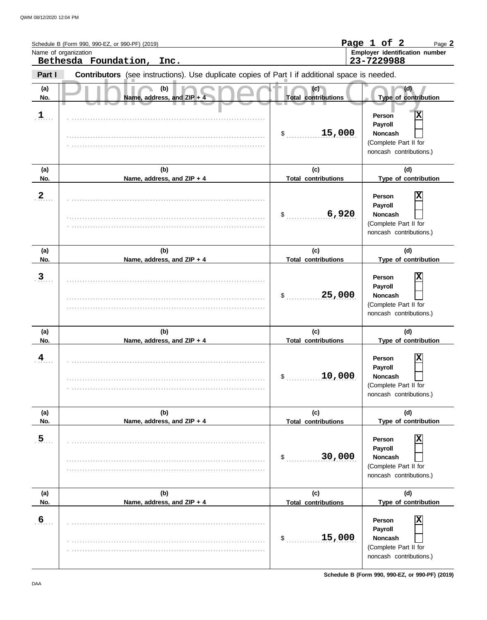|                | Schedule B (Form 990, 990-EZ, or 990-PF) (2019)<br>Name of organization<br>Bethesda Foundation,<br>Inc. |                                   | Page 1 of 2<br>Page 2<br>Employer identification number<br>23-7229988                        |
|----------------|---------------------------------------------------------------------------------------------------------|-----------------------------------|----------------------------------------------------------------------------------------------|
| Part I         | Contributors (see instructions). Use duplicate copies of Part I if additional space is needed.          |                                   |                                                                                              |
| (a)<br>No.     | (b)<br>Name, address, and ZIP + 4                                                                       | (c)<br><b>Total contributions</b> | (d)<br>Type of contribution                                                                  |
| $1$            |                                                                                                         | 15,000<br>\$                      | X<br>Person<br>Payroll<br><b>Noncash</b><br>(Complete Part II for<br>noncash contributions.) |
| (a)<br>No.     | (b)<br>Name, address, and ZIP + 4                                                                       | (c)<br><b>Total contributions</b> | (d)<br>Type of contribution                                                                  |
| $\overline{2}$ |                                                                                                         | 6,920<br>\$                       | X<br>Person<br>Payroll<br><b>Noncash</b><br>(Complete Part II for<br>noncash contributions.) |
| (a)<br>No.     | (b)<br>Name, address, and ZIP + 4                                                                       | (c)<br><b>Total contributions</b> | (d)<br>Type of contribution                                                                  |
| $\overline{3}$ |                                                                                                         | 25,000<br>\$                      | X<br>Person<br>Payroll<br><b>Noncash</b><br>(Complete Part II for<br>noncash contributions.) |
| (a)<br>No.     | (b)<br>Name, address, and ZIP + 4                                                                       | (c)<br><b>Total contributions</b> | (d)<br>Type of contribution                                                                  |
| 4              |                                                                                                         | 10,000<br>\$                      | Χ<br>Person<br>Payroll<br>Noncash<br>(Complete Part II for<br>noncash contributions.)        |
| (a)<br>No.     | (b)<br>Name, address, and ZIP + 4                                                                       | (c)<br><b>Total contributions</b> | (d)<br>Type of contribution                                                                  |
| 5 <sub>1</sub> |                                                                                                         | 30,000<br>$\mathsf{S}_{\perp}$    | Χ<br>Person<br>Payroll<br><b>Noncash</b><br>(Complete Part II for<br>noncash contributions.) |
| (a)<br>No.     | (b)<br>Name, address, and ZIP + 4                                                                       | (c)<br><b>Total contributions</b> | (d)<br>Type of contribution                                                                  |
| 6 <sub>1</sub> |                                                                                                         | 15,000<br>\$                      | Χ<br>Person<br>Payroll<br><b>Noncash</b><br>(Complete Part II for<br>noncash contributions.) |

**Schedule B (Form 990, 990-EZ, or 990-PF) (2019)**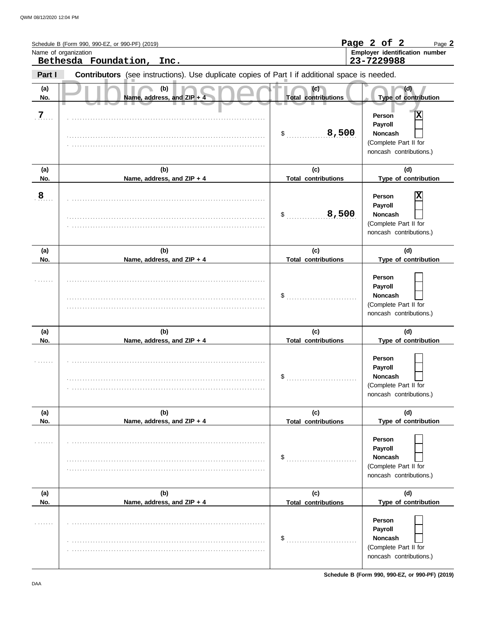|                | Schedule B (Form 990, 990-EZ, or 990-PF) (2019)<br>Name of organization<br>Bethesda Foundation,<br>Inc. |                                   | Page 2 of 2<br>Page 2<br>Employer identification number<br>23-7229988                                           |
|----------------|---------------------------------------------------------------------------------------------------------|-----------------------------------|-----------------------------------------------------------------------------------------------------------------|
| Part I         | Contributors (see instructions). Use duplicate copies of Part I if additional space is needed.          |                                   |                                                                                                                 |
| (a)<br>No.     | (b)<br>Name, address, and ZIP + 4                                                                       | (c)<br><b>Total contributions</b> | (d)<br>Type of contribution                                                                                     |
| $\overline{7}$ |                                                                                                         | 8,500<br>$\sim$                   | Χ<br>Person<br>Payroll<br><b>Noncash</b><br>(Complete Part II for<br>noncash contributions.)                    |
| (a)<br>No.     | (b)<br>Name, address, and ZIP + 4                                                                       | (c)<br><b>Total contributions</b> | (d)<br>Type of contribution                                                                                     |
| 8              |                                                                                                         | 8,500<br>\$                       | X<br>Person<br>Payroll<br><b>Noncash</b><br>(Complete Part II for<br>noncash contributions.)                    |
| (a)<br>No.     | (b)<br>Name, address, and ZIP + 4                                                                       | (c)<br><b>Total contributions</b> | (d)<br>Type of contribution                                                                                     |
|                |                                                                                                         | \$                                | Person<br>Payroll<br><b>Noncash</b><br>(Complete Part II for<br>noncash contributions.)                         |
| (a)            | (b)                                                                                                     | (c)<br><b>Total contributions</b> | (d)<br>Type of contribution                                                                                     |
| No.            | Name, address, and ZIP + 4                                                                              | \$                                | Person<br>Payroll<br>Noncash<br>(Complete Part II for<br>noncash contributions.)                                |
| (a)            | (b)                                                                                                     | (c)                               | (d)                                                                                                             |
| No.<br>.       | Name, address, and ZIP + 4                                                                              | <b>Total contributions</b><br>\$  | Type of contribution<br>Person<br>Payroll<br><b>Noncash</b><br>(Complete Part II for<br>noncash contributions.) |
| (a)<br>No.     | (b)<br>Name, address, and ZIP + 4                                                                       | (c)<br><b>Total contributions</b> | (d)<br>Type of contribution                                                                                     |
|                |                                                                                                         | \$                                | Person<br>Payroll<br><b>Noncash</b><br>(Complete Part II for<br>noncash contributions.)                         |

**Schedule B (Form 990, 990-EZ, or 990-PF) (2019)**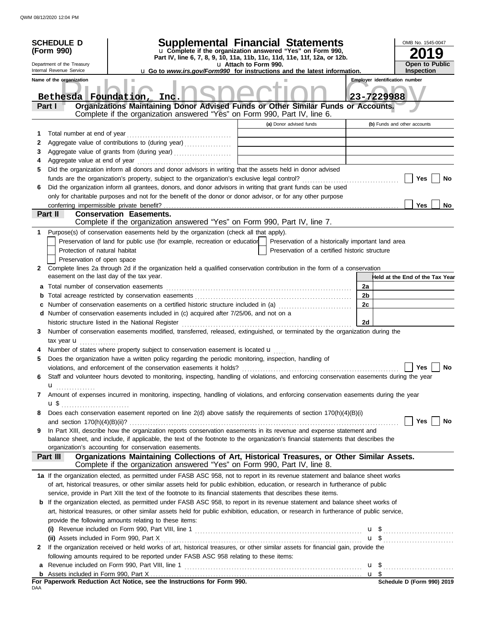|                  | <b>SCHEDULE D</b><br>(Form 990)<br>Department of the Treasury<br>Internal Revenue Service<br>Name of the organization | Supplemental Financial Statements<br>u Complete if the organization answered "Yes" on Form 990,<br>Part IV, line 6, 7, 8, 9, 10, 11a, 11b, 11c, 11d, 11e, 11f, 12a, or 12b.<br>u Go to www.irs.gov/Form990 for instructions and the latest information.                                                                                                                                                                                                     | u Attach to Form 990. |                                                                                                      |          | OMB No. 1545-0047<br><b>Open to Public</b><br><b>Inspection</b><br><b>Employer identification number</b> |
|------------------|-----------------------------------------------------------------------------------------------------------------------|-------------------------------------------------------------------------------------------------------------------------------------------------------------------------------------------------------------------------------------------------------------------------------------------------------------------------------------------------------------------------------------------------------------------------------------------------------------|-----------------------|------------------------------------------------------------------------------------------------------|----------|----------------------------------------------------------------------------------------------------------|
|                  | Part I                                                                                                                | Bethesda Foundation, Inc.<br>Organizations Maintaining Donor Advised Funds or Other Similar Funds or Accounts.<br>Complete if the organization answered "Yes" on Form 990, Part IV, line 6.                                                                                                                                                                                                                                                                 |                       |                                                                                                      |          | 23-7229988                                                                                               |
| 1<br>2<br>3<br>4 | Total number at end of year                                                                                           | Aggregate value of contributions to (during year)<br>Aggregate value of grants from (during year)                                                                                                                                                                                                                                                                                                                                                           |                       | (a) Donor advised funds                                                                              |          | (b) Funds and other accounts                                                                             |
| 5<br>6           |                                                                                                                       | Did the organization inform all donors and donor advisors in writing that the assets held in donor advised<br>Did the organization inform all grantees, donors, and donor advisors in writing that grant funds can be used<br>only for charitable purposes and not for the benefit of the donor or donor advisor, or for any other purpose                                                                                                                  |                       |                                                                                                      |          | No<br>Yes                                                                                                |
|                  | Part II                                                                                                               | <b>Conservation Easements.</b><br>Complete if the organization answered "Yes" on Form 990, Part IV, line 7.                                                                                                                                                                                                                                                                                                                                                 |                       |                                                                                                      |          | Yes<br>No                                                                                                |
| 1                | Protection of natural habitat<br>Preservation of open space                                                           | Purpose(s) of conservation easements held by the organization (check all that apply).<br>Preservation of land for public use (for example, recreation or education                                                                                                                                                                                                                                                                                          |                       | Preservation of a historically important land area<br>Preservation of a certified historic structure |          |                                                                                                          |
| 2                | easement on the last day of the tax year.<br>a Total number of conservation easements                                 | Complete lines 2a through 2d if the organization held a qualified conservation contribution in the form of a conservation                                                                                                                                                                                                                                                                                                                                   |                       |                                                                                                      | 2a       | Held at the End of the Tax Year                                                                          |
| b                |                                                                                                                       | d Number of conservation easements included in (c) acquired after 7/25/06, and not on a                                                                                                                                                                                                                                                                                                                                                                     |                       |                                                                                                      | 2b<br>2c |                                                                                                          |
| 3                | tax year <b>u</b>                                                                                                     | historic structure listed in the National Register<br>Number of conservation easements modified, transferred, released, extinguished, or terminated by the organization during the                                                                                                                                                                                                                                                                          |                       |                                                                                                      | 2d       |                                                                                                          |
| 5<br>6           |                                                                                                                       | Number of states where property subject to conservation easement is located u<br>Does the organization have a written policy regarding the periodic monitoring, inspection, handling of<br>violations, and enforcement of the conservation easements it holds?<br>Staff and volunteer hours devoted to monitoring, inspecting, handling of violations, and enforcing conservation easements during the year                                                 |                       |                                                                                                      |          | Yes $\boxed{\phantom{a}}$<br>No                                                                          |
| 7                | u <sub></sub><br><b>u</b> \$                                                                                          | Amount of expenses incurred in monitoring, inspecting, handling of violations, and enforcing conservation easements during the year                                                                                                                                                                                                                                                                                                                         |                       |                                                                                                      |          |                                                                                                          |
| 8                |                                                                                                                       | Does each conservation easement reported on line 2(d) above satisfy the requirements of section 170(h)(4)(B)(i)                                                                                                                                                                                                                                                                                                                                             |                       |                                                                                                      |          | Yes $\vert \ \ \vert$<br>No                                                                              |
| 9                |                                                                                                                       | In Part XIII, describe how the organization reports conservation easements in its revenue and expense statement and<br>balance sheet, and include, if applicable, the text of the footnote to the organization's financial statements that describes the<br>organization's accounting for conservation easements.                                                                                                                                           |                       |                                                                                                      |          |                                                                                                          |
|                  | Part III                                                                                                              | Organizations Maintaining Collections of Art, Historical Treasures, or Other Similar Assets.<br>Complete if the organization answered "Yes" on Form 990, Part IV, line 8.                                                                                                                                                                                                                                                                                   |                       |                                                                                                      |          |                                                                                                          |
|                  |                                                                                                                       | 1a If the organization elected, as permitted under FASB ASC 958, not to report in its revenue statement and balance sheet works<br>of art, historical treasures, or other similar assets held for public exhibition, education, or research in furtherance of public                                                                                                                                                                                        |                       |                                                                                                      |          |                                                                                                          |
|                  |                                                                                                                       | service, provide in Part XIII the text of the footnote to its financial statements that describes these items.<br><b>b</b> If the organization elected, as permitted under FASB ASC 958, to report in its revenue statement and balance sheet works of<br>art, historical treasures, or other similar assets held for public exhibition, education, or research in furtherance of public service,<br>provide the following amounts relating to these items: |                       |                                                                                                      |          |                                                                                                          |
| 2                |                                                                                                                       | If the organization received or held works of art, historical treasures, or other similar assets for financial gain, provide the<br>following amounts required to be reported under FASB ASC 958 relating to these items:                                                                                                                                                                                                                                   |                       |                                                                                                      |          | $\mathbf{u}$ \$                                                                                          |
| DAA              |                                                                                                                       | For Paperwork Reduction Act Notice, see the Instructions for Form 990.                                                                                                                                                                                                                                                                                                                                                                                      |                       |                                                                                                      |          | Schedule D (Form 990) 2019                                                                               |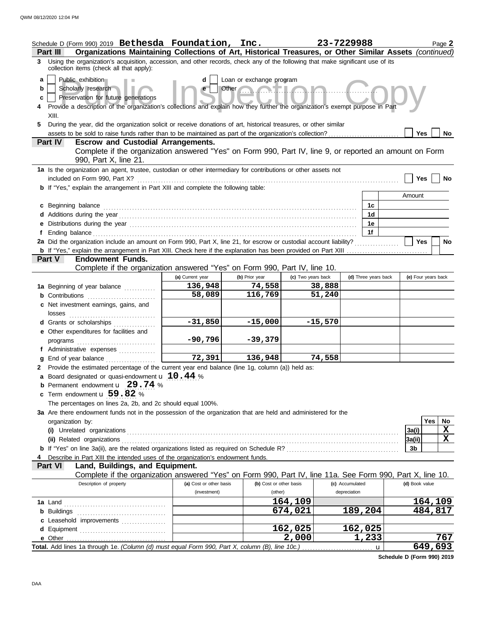| Organizations Maintaining Collections of Art, Historical Treasures, or Other Similar Assets (continued)<br>Part III<br>3 Using the organization's acquisition, accession, and other records, check any of the following that make significant use of its<br>collection items (check all that apply):<br>Public exhibition<br>Loan or exchange program<br>a<br>d<br>Other <b>Communication</b> of the later of the later of the later of the later of the later of the later of the later of the later of the later of the later of the later of the later of the later of the later of the later of th<br>Scholarly research<br>b<br>Preservation for future generations<br>c<br>Provide a description of the organization's collections and explain how they further the organization's exempt purpose in Part<br>XIII.<br>During the year, did the organization solicit or receive donations of art, historical treasures, or other similar<br>5<br><b>Yes</b><br><b>No</b><br><b>Escrow and Custodial Arrangements.</b><br><b>Part IV</b><br>Complete if the organization answered "Yes" on Form 990, Part IV, line 9, or reported an amount on Form<br>990, Part X, line 21.<br>1a Is the organization an agent, trustee, custodian or other intermediary for contributions or other assets not<br>included on Form 990, Part X?<br>Yes<br>No<br><b>b</b> If "Yes," explain the arrangement in Part XIII and complete the following table:<br>Amount<br>c Beginning balance<br>1c<br>1 <sub>d</sub><br>1e<br>1f<br>2a Did the organization include an amount on Form 990, Part X, line 21, for escrow or custodial account liability?<br>Yes<br>No<br><b>Endowment Funds.</b><br><b>Part V</b><br>Complete if the organization answered "Yes" on Form 990, Part IV, line 10.<br>(c) Two years back<br>(d) Three years back<br>(e) Four years back<br>(a) Current year<br>(b) Prior year<br>136,948<br>74,558<br>38,888<br>1a Beginning of year balance<br>58,089<br>116,769<br>51,240<br>c Net investment earnings, gains, and<br>losses<br>$-31,850$<br>$-15,000$<br>$-15,570$<br>d Grants or scholarships<br>e Other expenditures for facilities and<br>$-90,796$<br>$-39,379$<br>f Administrative expenses<br>72,391<br>136,948<br>74,558<br>g End of year balance<br>2 Provide the estimated percentage of the current year end balance (line 1g, column (a)) held as:<br>a Board designated or quasi-endowment u 10.44 %<br><b>b</b> Permanent endowment <b>u</b> 29.74 %<br>c Term endowment u 59.82 %<br>The percentages on lines 2a, 2b, and 2c should equal 100%.<br>3a Are there endowment funds not in the possession of the organization that are held and administered for the<br>Yes<br>No<br>organization by:<br>X<br>3a(i)<br>X<br>3a(ii)<br>3b<br>Describe in Part XIII the intended uses of the organization's endowment funds.<br>Land, Buildings, and Equipment.<br><b>Part VI</b><br>Complete if the organization answered "Yes" on Form 990, Part IV, line 11a. See Form 990, Part X, line 10.<br>Description of property<br>(a) Cost or other basis<br>(b) Cost or other basis<br>(c) Accumulated<br>(d) Book value<br>depreciation<br>(investment)<br>(other)<br>164,109<br>164,109<br>674,021<br>189,204<br>484,817<br>c Leasehold improvements<br>162,025<br>162,025<br>767<br>2,000<br>1,233<br>e Other<br>649,693<br>Total. Add lines 1a through 1e. (Column (d) must equal Form 990, Part X, column (B), line 10c.)<br>u | Schedule D (Form 990) 2019 Bethesda Foundation, Inc. |  | 23-7229988 | Page 2 |
|-----------------------------------------------------------------------------------------------------------------------------------------------------------------------------------------------------------------------------------------------------------------------------------------------------------------------------------------------------------------------------------------------------------------------------------------------------------------------------------------------------------------------------------------------------------------------------------------------------------------------------------------------------------------------------------------------------------------------------------------------------------------------------------------------------------------------------------------------------------------------------------------------------------------------------------------------------------------------------------------------------------------------------------------------------------------------------------------------------------------------------------------------------------------------------------------------------------------------------------------------------------------------------------------------------------------------------------------------------------------------------------------------------------------------------------------------------------------------------------------------------------------------------------------------------------------------------------------------------------------------------------------------------------------------------------------------------------------------------------------------------------------------------------------------------------------------------------------------------------------------------------------------------------------------------------------------------------------------------------------------------------------------------------------------------------------------------------------------------------------------------------------------------------------------------------------------------------------------------------------------------------------------------------------------------------------------------------------------------------------------------------------------------------------------------------------------------------------------------------------------------------------------------------------------------------------------------------------------------------------------------------------------------------------------------------------------------------------------------------------------------------------------------------------------------------------------------------------------------------------------------------------------------------------------------------------------------------------------------------------------------------------------------------------------------------------------------------------------------------------------------------------------------------------------------------------------------------------------------------------------------------------------------------------------------------------------------------------------------------------------------------------------------------------------------------------------------------|------------------------------------------------------|--|------------|--------|
|                                                                                                                                                                                                                                                                                                                                                                                                                                                                                                                                                                                                                                                                                                                                                                                                                                                                                                                                                                                                                                                                                                                                                                                                                                                                                                                                                                                                                                                                                                                                                                                                                                                                                                                                                                                                                                                                                                                                                                                                                                                                                                                                                                                                                                                                                                                                                                                                                                                                                                                                                                                                                                                                                                                                                                                                                                                                                                                                                                                                                                                                                                                                                                                                                                                                                                                                                                                                                                                           |                                                      |  |            |        |
|                                                                                                                                                                                                                                                                                                                                                                                                                                                                                                                                                                                                                                                                                                                                                                                                                                                                                                                                                                                                                                                                                                                                                                                                                                                                                                                                                                                                                                                                                                                                                                                                                                                                                                                                                                                                                                                                                                                                                                                                                                                                                                                                                                                                                                                                                                                                                                                                                                                                                                                                                                                                                                                                                                                                                                                                                                                                                                                                                                                                                                                                                                                                                                                                                                                                                                                                                                                                                                                           |                                                      |  |            |        |
|                                                                                                                                                                                                                                                                                                                                                                                                                                                                                                                                                                                                                                                                                                                                                                                                                                                                                                                                                                                                                                                                                                                                                                                                                                                                                                                                                                                                                                                                                                                                                                                                                                                                                                                                                                                                                                                                                                                                                                                                                                                                                                                                                                                                                                                                                                                                                                                                                                                                                                                                                                                                                                                                                                                                                                                                                                                                                                                                                                                                                                                                                                                                                                                                                                                                                                                                                                                                                                                           |                                                      |  |            |        |
|                                                                                                                                                                                                                                                                                                                                                                                                                                                                                                                                                                                                                                                                                                                                                                                                                                                                                                                                                                                                                                                                                                                                                                                                                                                                                                                                                                                                                                                                                                                                                                                                                                                                                                                                                                                                                                                                                                                                                                                                                                                                                                                                                                                                                                                                                                                                                                                                                                                                                                                                                                                                                                                                                                                                                                                                                                                                                                                                                                                                                                                                                                                                                                                                                                                                                                                                                                                                                                                           |                                                      |  |            |        |
|                                                                                                                                                                                                                                                                                                                                                                                                                                                                                                                                                                                                                                                                                                                                                                                                                                                                                                                                                                                                                                                                                                                                                                                                                                                                                                                                                                                                                                                                                                                                                                                                                                                                                                                                                                                                                                                                                                                                                                                                                                                                                                                                                                                                                                                                                                                                                                                                                                                                                                                                                                                                                                                                                                                                                                                                                                                                                                                                                                                                                                                                                                                                                                                                                                                                                                                                                                                                                                                           |                                                      |  |            |        |
|                                                                                                                                                                                                                                                                                                                                                                                                                                                                                                                                                                                                                                                                                                                                                                                                                                                                                                                                                                                                                                                                                                                                                                                                                                                                                                                                                                                                                                                                                                                                                                                                                                                                                                                                                                                                                                                                                                                                                                                                                                                                                                                                                                                                                                                                                                                                                                                                                                                                                                                                                                                                                                                                                                                                                                                                                                                                                                                                                                                                                                                                                                                                                                                                                                                                                                                                                                                                                                                           |                                                      |  |            |        |
|                                                                                                                                                                                                                                                                                                                                                                                                                                                                                                                                                                                                                                                                                                                                                                                                                                                                                                                                                                                                                                                                                                                                                                                                                                                                                                                                                                                                                                                                                                                                                                                                                                                                                                                                                                                                                                                                                                                                                                                                                                                                                                                                                                                                                                                                                                                                                                                                                                                                                                                                                                                                                                                                                                                                                                                                                                                                                                                                                                                                                                                                                                                                                                                                                                                                                                                                                                                                                                                           |                                                      |  |            |        |
|                                                                                                                                                                                                                                                                                                                                                                                                                                                                                                                                                                                                                                                                                                                                                                                                                                                                                                                                                                                                                                                                                                                                                                                                                                                                                                                                                                                                                                                                                                                                                                                                                                                                                                                                                                                                                                                                                                                                                                                                                                                                                                                                                                                                                                                                                                                                                                                                                                                                                                                                                                                                                                                                                                                                                                                                                                                                                                                                                                                                                                                                                                                                                                                                                                                                                                                                                                                                                                                           |                                                      |  |            |        |
|                                                                                                                                                                                                                                                                                                                                                                                                                                                                                                                                                                                                                                                                                                                                                                                                                                                                                                                                                                                                                                                                                                                                                                                                                                                                                                                                                                                                                                                                                                                                                                                                                                                                                                                                                                                                                                                                                                                                                                                                                                                                                                                                                                                                                                                                                                                                                                                                                                                                                                                                                                                                                                                                                                                                                                                                                                                                                                                                                                                                                                                                                                                                                                                                                                                                                                                                                                                                                                                           |                                                      |  |            |        |
|                                                                                                                                                                                                                                                                                                                                                                                                                                                                                                                                                                                                                                                                                                                                                                                                                                                                                                                                                                                                                                                                                                                                                                                                                                                                                                                                                                                                                                                                                                                                                                                                                                                                                                                                                                                                                                                                                                                                                                                                                                                                                                                                                                                                                                                                                                                                                                                                                                                                                                                                                                                                                                                                                                                                                                                                                                                                                                                                                                                                                                                                                                                                                                                                                                                                                                                                                                                                                                                           |                                                      |  |            |        |
|                                                                                                                                                                                                                                                                                                                                                                                                                                                                                                                                                                                                                                                                                                                                                                                                                                                                                                                                                                                                                                                                                                                                                                                                                                                                                                                                                                                                                                                                                                                                                                                                                                                                                                                                                                                                                                                                                                                                                                                                                                                                                                                                                                                                                                                                                                                                                                                                                                                                                                                                                                                                                                                                                                                                                                                                                                                                                                                                                                                                                                                                                                                                                                                                                                                                                                                                                                                                                                                           |                                                      |  |            |        |
|                                                                                                                                                                                                                                                                                                                                                                                                                                                                                                                                                                                                                                                                                                                                                                                                                                                                                                                                                                                                                                                                                                                                                                                                                                                                                                                                                                                                                                                                                                                                                                                                                                                                                                                                                                                                                                                                                                                                                                                                                                                                                                                                                                                                                                                                                                                                                                                                                                                                                                                                                                                                                                                                                                                                                                                                                                                                                                                                                                                                                                                                                                                                                                                                                                                                                                                                                                                                                                                           |                                                      |  |            |        |
|                                                                                                                                                                                                                                                                                                                                                                                                                                                                                                                                                                                                                                                                                                                                                                                                                                                                                                                                                                                                                                                                                                                                                                                                                                                                                                                                                                                                                                                                                                                                                                                                                                                                                                                                                                                                                                                                                                                                                                                                                                                                                                                                                                                                                                                                                                                                                                                                                                                                                                                                                                                                                                                                                                                                                                                                                                                                                                                                                                                                                                                                                                                                                                                                                                                                                                                                                                                                                                                           |                                                      |  |            |        |
|                                                                                                                                                                                                                                                                                                                                                                                                                                                                                                                                                                                                                                                                                                                                                                                                                                                                                                                                                                                                                                                                                                                                                                                                                                                                                                                                                                                                                                                                                                                                                                                                                                                                                                                                                                                                                                                                                                                                                                                                                                                                                                                                                                                                                                                                                                                                                                                                                                                                                                                                                                                                                                                                                                                                                                                                                                                                                                                                                                                                                                                                                                                                                                                                                                                                                                                                                                                                                                                           |                                                      |  |            |        |
|                                                                                                                                                                                                                                                                                                                                                                                                                                                                                                                                                                                                                                                                                                                                                                                                                                                                                                                                                                                                                                                                                                                                                                                                                                                                                                                                                                                                                                                                                                                                                                                                                                                                                                                                                                                                                                                                                                                                                                                                                                                                                                                                                                                                                                                                                                                                                                                                                                                                                                                                                                                                                                                                                                                                                                                                                                                                                                                                                                                                                                                                                                                                                                                                                                                                                                                                                                                                                                                           |                                                      |  |            |        |
|                                                                                                                                                                                                                                                                                                                                                                                                                                                                                                                                                                                                                                                                                                                                                                                                                                                                                                                                                                                                                                                                                                                                                                                                                                                                                                                                                                                                                                                                                                                                                                                                                                                                                                                                                                                                                                                                                                                                                                                                                                                                                                                                                                                                                                                                                                                                                                                                                                                                                                                                                                                                                                                                                                                                                                                                                                                                                                                                                                                                                                                                                                                                                                                                                                                                                                                                                                                                                                                           |                                                      |  |            |        |
|                                                                                                                                                                                                                                                                                                                                                                                                                                                                                                                                                                                                                                                                                                                                                                                                                                                                                                                                                                                                                                                                                                                                                                                                                                                                                                                                                                                                                                                                                                                                                                                                                                                                                                                                                                                                                                                                                                                                                                                                                                                                                                                                                                                                                                                                                                                                                                                                                                                                                                                                                                                                                                                                                                                                                                                                                                                                                                                                                                                                                                                                                                                                                                                                                                                                                                                                                                                                                                                           |                                                      |  |            |        |
|                                                                                                                                                                                                                                                                                                                                                                                                                                                                                                                                                                                                                                                                                                                                                                                                                                                                                                                                                                                                                                                                                                                                                                                                                                                                                                                                                                                                                                                                                                                                                                                                                                                                                                                                                                                                                                                                                                                                                                                                                                                                                                                                                                                                                                                                                                                                                                                                                                                                                                                                                                                                                                                                                                                                                                                                                                                                                                                                                                                                                                                                                                                                                                                                                                                                                                                                                                                                                                                           |                                                      |  |            |        |
|                                                                                                                                                                                                                                                                                                                                                                                                                                                                                                                                                                                                                                                                                                                                                                                                                                                                                                                                                                                                                                                                                                                                                                                                                                                                                                                                                                                                                                                                                                                                                                                                                                                                                                                                                                                                                                                                                                                                                                                                                                                                                                                                                                                                                                                                                                                                                                                                                                                                                                                                                                                                                                                                                                                                                                                                                                                                                                                                                                                                                                                                                                                                                                                                                                                                                                                                                                                                                                                           |                                                      |  |            |        |
|                                                                                                                                                                                                                                                                                                                                                                                                                                                                                                                                                                                                                                                                                                                                                                                                                                                                                                                                                                                                                                                                                                                                                                                                                                                                                                                                                                                                                                                                                                                                                                                                                                                                                                                                                                                                                                                                                                                                                                                                                                                                                                                                                                                                                                                                                                                                                                                                                                                                                                                                                                                                                                                                                                                                                                                                                                                                                                                                                                                                                                                                                                                                                                                                                                                                                                                                                                                                                                                           |                                                      |  |            |        |
|                                                                                                                                                                                                                                                                                                                                                                                                                                                                                                                                                                                                                                                                                                                                                                                                                                                                                                                                                                                                                                                                                                                                                                                                                                                                                                                                                                                                                                                                                                                                                                                                                                                                                                                                                                                                                                                                                                                                                                                                                                                                                                                                                                                                                                                                                                                                                                                                                                                                                                                                                                                                                                                                                                                                                                                                                                                                                                                                                                                                                                                                                                                                                                                                                                                                                                                                                                                                                                                           |                                                      |  |            |        |
|                                                                                                                                                                                                                                                                                                                                                                                                                                                                                                                                                                                                                                                                                                                                                                                                                                                                                                                                                                                                                                                                                                                                                                                                                                                                                                                                                                                                                                                                                                                                                                                                                                                                                                                                                                                                                                                                                                                                                                                                                                                                                                                                                                                                                                                                                                                                                                                                                                                                                                                                                                                                                                                                                                                                                                                                                                                                                                                                                                                                                                                                                                                                                                                                                                                                                                                                                                                                                                                           |                                                      |  |            |        |
|                                                                                                                                                                                                                                                                                                                                                                                                                                                                                                                                                                                                                                                                                                                                                                                                                                                                                                                                                                                                                                                                                                                                                                                                                                                                                                                                                                                                                                                                                                                                                                                                                                                                                                                                                                                                                                                                                                                                                                                                                                                                                                                                                                                                                                                                                                                                                                                                                                                                                                                                                                                                                                                                                                                                                                                                                                                                                                                                                                                                                                                                                                                                                                                                                                                                                                                                                                                                                                                           |                                                      |  |            |        |
|                                                                                                                                                                                                                                                                                                                                                                                                                                                                                                                                                                                                                                                                                                                                                                                                                                                                                                                                                                                                                                                                                                                                                                                                                                                                                                                                                                                                                                                                                                                                                                                                                                                                                                                                                                                                                                                                                                                                                                                                                                                                                                                                                                                                                                                                                                                                                                                                                                                                                                                                                                                                                                                                                                                                                                                                                                                                                                                                                                                                                                                                                                                                                                                                                                                                                                                                                                                                                                                           |                                                      |  |            |        |
|                                                                                                                                                                                                                                                                                                                                                                                                                                                                                                                                                                                                                                                                                                                                                                                                                                                                                                                                                                                                                                                                                                                                                                                                                                                                                                                                                                                                                                                                                                                                                                                                                                                                                                                                                                                                                                                                                                                                                                                                                                                                                                                                                                                                                                                                                                                                                                                                                                                                                                                                                                                                                                                                                                                                                                                                                                                                                                                                                                                                                                                                                                                                                                                                                                                                                                                                                                                                                                                           |                                                      |  |            |        |
|                                                                                                                                                                                                                                                                                                                                                                                                                                                                                                                                                                                                                                                                                                                                                                                                                                                                                                                                                                                                                                                                                                                                                                                                                                                                                                                                                                                                                                                                                                                                                                                                                                                                                                                                                                                                                                                                                                                                                                                                                                                                                                                                                                                                                                                                                                                                                                                                                                                                                                                                                                                                                                                                                                                                                                                                                                                                                                                                                                                                                                                                                                                                                                                                                                                                                                                                                                                                                                                           |                                                      |  |            |        |
|                                                                                                                                                                                                                                                                                                                                                                                                                                                                                                                                                                                                                                                                                                                                                                                                                                                                                                                                                                                                                                                                                                                                                                                                                                                                                                                                                                                                                                                                                                                                                                                                                                                                                                                                                                                                                                                                                                                                                                                                                                                                                                                                                                                                                                                                                                                                                                                                                                                                                                                                                                                                                                                                                                                                                                                                                                                                                                                                                                                                                                                                                                                                                                                                                                                                                                                                                                                                                                                           |                                                      |  |            |        |
|                                                                                                                                                                                                                                                                                                                                                                                                                                                                                                                                                                                                                                                                                                                                                                                                                                                                                                                                                                                                                                                                                                                                                                                                                                                                                                                                                                                                                                                                                                                                                                                                                                                                                                                                                                                                                                                                                                                                                                                                                                                                                                                                                                                                                                                                                                                                                                                                                                                                                                                                                                                                                                                                                                                                                                                                                                                                                                                                                                                                                                                                                                                                                                                                                                                                                                                                                                                                                                                           |                                                      |  |            |        |
|                                                                                                                                                                                                                                                                                                                                                                                                                                                                                                                                                                                                                                                                                                                                                                                                                                                                                                                                                                                                                                                                                                                                                                                                                                                                                                                                                                                                                                                                                                                                                                                                                                                                                                                                                                                                                                                                                                                                                                                                                                                                                                                                                                                                                                                                                                                                                                                                                                                                                                                                                                                                                                                                                                                                                                                                                                                                                                                                                                                                                                                                                                                                                                                                                                                                                                                                                                                                                                                           |                                                      |  |            |        |
|                                                                                                                                                                                                                                                                                                                                                                                                                                                                                                                                                                                                                                                                                                                                                                                                                                                                                                                                                                                                                                                                                                                                                                                                                                                                                                                                                                                                                                                                                                                                                                                                                                                                                                                                                                                                                                                                                                                                                                                                                                                                                                                                                                                                                                                                                                                                                                                                                                                                                                                                                                                                                                                                                                                                                                                                                                                                                                                                                                                                                                                                                                                                                                                                                                                                                                                                                                                                                                                           |                                                      |  |            |        |
|                                                                                                                                                                                                                                                                                                                                                                                                                                                                                                                                                                                                                                                                                                                                                                                                                                                                                                                                                                                                                                                                                                                                                                                                                                                                                                                                                                                                                                                                                                                                                                                                                                                                                                                                                                                                                                                                                                                                                                                                                                                                                                                                                                                                                                                                                                                                                                                                                                                                                                                                                                                                                                                                                                                                                                                                                                                                                                                                                                                                                                                                                                                                                                                                                                                                                                                                                                                                                                                           |                                                      |  |            |        |
|                                                                                                                                                                                                                                                                                                                                                                                                                                                                                                                                                                                                                                                                                                                                                                                                                                                                                                                                                                                                                                                                                                                                                                                                                                                                                                                                                                                                                                                                                                                                                                                                                                                                                                                                                                                                                                                                                                                                                                                                                                                                                                                                                                                                                                                                                                                                                                                                                                                                                                                                                                                                                                                                                                                                                                                                                                                                                                                                                                                                                                                                                                                                                                                                                                                                                                                                                                                                                                                           |                                                      |  |            |        |
|                                                                                                                                                                                                                                                                                                                                                                                                                                                                                                                                                                                                                                                                                                                                                                                                                                                                                                                                                                                                                                                                                                                                                                                                                                                                                                                                                                                                                                                                                                                                                                                                                                                                                                                                                                                                                                                                                                                                                                                                                                                                                                                                                                                                                                                                                                                                                                                                                                                                                                                                                                                                                                                                                                                                                                                                                                                                                                                                                                                                                                                                                                                                                                                                                                                                                                                                                                                                                                                           |                                                      |  |            |        |
|                                                                                                                                                                                                                                                                                                                                                                                                                                                                                                                                                                                                                                                                                                                                                                                                                                                                                                                                                                                                                                                                                                                                                                                                                                                                                                                                                                                                                                                                                                                                                                                                                                                                                                                                                                                                                                                                                                                                                                                                                                                                                                                                                                                                                                                                                                                                                                                                                                                                                                                                                                                                                                                                                                                                                                                                                                                                                                                                                                                                                                                                                                                                                                                                                                                                                                                                                                                                                                                           |                                                      |  |            |        |
|                                                                                                                                                                                                                                                                                                                                                                                                                                                                                                                                                                                                                                                                                                                                                                                                                                                                                                                                                                                                                                                                                                                                                                                                                                                                                                                                                                                                                                                                                                                                                                                                                                                                                                                                                                                                                                                                                                                                                                                                                                                                                                                                                                                                                                                                                                                                                                                                                                                                                                                                                                                                                                                                                                                                                                                                                                                                                                                                                                                                                                                                                                                                                                                                                                                                                                                                                                                                                                                           |                                                      |  |            |        |
|                                                                                                                                                                                                                                                                                                                                                                                                                                                                                                                                                                                                                                                                                                                                                                                                                                                                                                                                                                                                                                                                                                                                                                                                                                                                                                                                                                                                                                                                                                                                                                                                                                                                                                                                                                                                                                                                                                                                                                                                                                                                                                                                                                                                                                                                                                                                                                                                                                                                                                                                                                                                                                                                                                                                                                                                                                                                                                                                                                                                                                                                                                                                                                                                                                                                                                                                                                                                                                                           |                                                      |  |            |        |
|                                                                                                                                                                                                                                                                                                                                                                                                                                                                                                                                                                                                                                                                                                                                                                                                                                                                                                                                                                                                                                                                                                                                                                                                                                                                                                                                                                                                                                                                                                                                                                                                                                                                                                                                                                                                                                                                                                                                                                                                                                                                                                                                                                                                                                                                                                                                                                                                                                                                                                                                                                                                                                                                                                                                                                                                                                                                                                                                                                                                                                                                                                                                                                                                                                                                                                                                                                                                                                                           |                                                      |  |            |        |
|                                                                                                                                                                                                                                                                                                                                                                                                                                                                                                                                                                                                                                                                                                                                                                                                                                                                                                                                                                                                                                                                                                                                                                                                                                                                                                                                                                                                                                                                                                                                                                                                                                                                                                                                                                                                                                                                                                                                                                                                                                                                                                                                                                                                                                                                                                                                                                                                                                                                                                                                                                                                                                                                                                                                                                                                                                                                                                                                                                                                                                                                                                                                                                                                                                                                                                                                                                                                                                                           |                                                      |  |            |        |
|                                                                                                                                                                                                                                                                                                                                                                                                                                                                                                                                                                                                                                                                                                                                                                                                                                                                                                                                                                                                                                                                                                                                                                                                                                                                                                                                                                                                                                                                                                                                                                                                                                                                                                                                                                                                                                                                                                                                                                                                                                                                                                                                                                                                                                                                                                                                                                                                                                                                                                                                                                                                                                                                                                                                                                                                                                                                                                                                                                                                                                                                                                                                                                                                                                                                                                                                                                                                                                                           |                                                      |  |            |        |
|                                                                                                                                                                                                                                                                                                                                                                                                                                                                                                                                                                                                                                                                                                                                                                                                                                                                                                                                                                                                                                                                                                                                                                                                                                                                                                                                                                                                                                                                                                                                                                                                                                                                                                                                                                                                                                                                                                                                                                                                                                                                                                                                                                                                                                                                                                                                                                                                                                                                                                                                                                                                                                                                                                                                                                                                                                                                                                                                                                                                                                                                                                                                                                                                                                                                                                                                                                                                                                                           |                                                      |  |            |        |
|                                                                                                                                                                                                                                                                                                                                                                                                                                                                                                                                                                                                                                                                                                                                                                                                                                                                                                                                                                                                                                                                                                                                                                                                                                                                                                                                                                                                                                                                                                                                                                                                                                                                                                                                                                                                                                                                                                                                                                                                                                                                                                                                                                                                                                                                                                                                                                                                                                                                                                                                                                                                                                                                                                                                                                                                                                                                                                                                                                                                                                                                                                                                                                                                                                                                                                                                                                                                                                                           |                                                      |  |            |        |
|                                                                                                                                                                                                                                                                                                                                                                                                                                                                                                                                                                                                                                                                                                                                                                                                                                                                                                                                                                                                                                                                                                                                                                                                                                                                                                                                                                                                                                                                                                                                                                                                                                                                                                                                                                                                                                                                                                                                                                                                                                                                                                                                                                                                                                                                                                                                                                                                                                                                                                                                                                                                                                                                                                                                                                                                                                                                                                                                                                                                                                                                                                                                                                                                                                                                                                                                                                                                                                                           |                                                      |  |            |        |
|                                                                                                                                                                                                                                                                                                                                                                                                                                                                                                                                                                                                                                                                                                                                                                                                                                                                                                                                                                                                                                                                                                                                                                                                                                                                                                                                                                                                                                                                                                                                                                                                                                                                                                                                                                                                                                                                                                                                                                                                                                                                                                                                                                                                                                                                                                                                                                                                                                                                                                                                                                                                                                                                                                                                                                                                                                                                                                                                                                                                                                                                                                                                                                                                                                                                                                                                                                                                                                                           |                                                      |  |            |        |
|                                                                                                                                                                                                                                                                                                                                                                                                                                                                                                                                                                                                                                                                                                                                                                                                                                                                                                                                                                                                                                                                                                                                                                                                                                                                                                                                                                                                                                                                                                                                                                                                                                                                                                                                                                                                                                                                                                                                                                                                                                                                                                                                                                                                                                                                                                                                                                                                                                                                                                                                                                                                                                                                                                                                                                                                                                                                                                                                                                                                                                                                                                                                                                                                                                                                                                                                                                                                                                                           |                                                      |  |            |        |
|                                                                                                                                                                                                                                                                                                                                                                                                                                                                                                                                                                                                                                                                                                                                                                                                                                                                                                                                                                                                                                                                                                                                                                                                                                                                                                                                                                                                                                                                                                                                                                                                                                                                                                                                                                                                                                                                                                                                                                                                                                                                                                                                                                                                                                                                                                                                                                                                                                                                                                                                                                                                                                                                                                                                                                                                                                                                                                                                                                                                                                                                                                                                                                                                                                                                                                                                                                                                                                                           |                                                      |  |            |        |

**Schedule D (Form 990) 2019**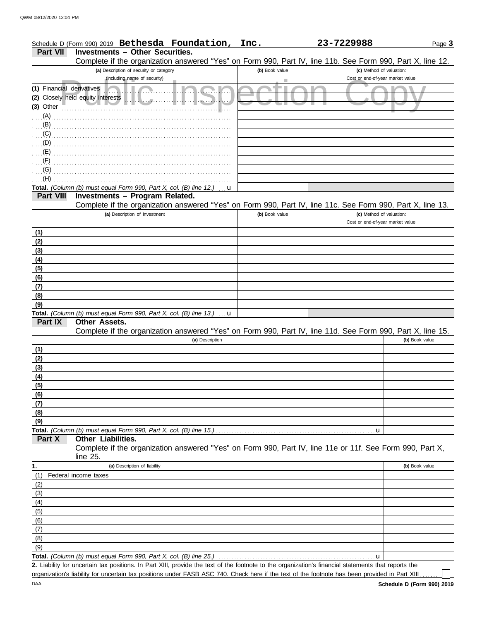|  |                                                 | Schedule D (Form 990) 2019 Bethesda Foundation, Inc. | 23-7229988 | Page $3$ |
|--|-------------------------------------------------|------------------------------------------------------|------------|----------|
|  | <b>Part VII Investments - Other Securities.</b> |                                                      |            |          |

Complete if the organization answered "Yes" on Form 990, Part IV, line 11b. See Form 990, Part X, line 12.

|                           | Complete if the organization answered frest on Form 990, Fall IV, line TTD. See Form 990, Fall A, line TZ.                                           |                |                                                              |                |
|---------------------------|------------------------------------------------------------------------------------------------------------------------------------------------------|----------------|--------------------------------------------------------------|----------------|
|                           | (a) Description of security or category                                                                                                              | (b) Book value | (c) Method of valuation:                                     |                |
|                           | (including name of security)                                                                                                                         |                | Cost or end-of-year market value                             |                |
| (1) Financial derivatives | . <i>. .</i><br>(2) Closely held equity interests<br>$\sqrt{2}$                                                                                      |                |                                                              |                |
| (3) Other                 |                                                                                                                                                      |                |                                                              |                |
| (A)                       |                                                                                                                                                      |                |                                                              |                |
| (B)                       |                                                                                                                                                      |                |                                                              |                |
| (C)                       |                                                                                                                                                      |                |                                                              |                |
| (D)                       |                                                                                                                                                      |                |                                                              |                |
| (E)                       |                                                                                                                                                      |                |                                                              |                |
| (F)                       |                                                                                                                                                      |                |                                                              |                |
| (G)                       |                                                                                                                                                      |                |                                                              |                |
| (H)                       |                                                                                                                                                      |                |                                                              |                |
|                           | Total. (Column (b) must equal Form 990, Part X, col. (B) line 12.)<br>u                                                                              |                |                                                              |                |
| <b>Part VIII</b>          | Investments - Program Related.                                                                                                                       |                |                                                              |                |
|                           | Complete if the organization answered "Yes" on Form 990, Part IV, line 11c. See Form 990, Part X, line 13.                                           |                |                                                              |                |
|                           | (a) Description of investment                                                                                                                        | (b) Book value | (c) Method of valuation:<br>Cost or end-of-year market value |                |
| (1)                       |                                                                                                                                                      |                |                                                              |                |
| (2)                       |                                                                                                                                                      |                |                                                              |                |
| (3)                       |                                                                                                                                                      |                |                                                              |                |
| (4)                       |                                                                                                                                                      |                |                                                              |                |
| (5)                       |                                                                                                                                                      |                |                                                              |                |
| (6)                       |                                                                                                                                                      |                |                                                              |                |
| (7)                       |                                                                                                                                                      |                |                                                              |                |
| (8)                       |                                                                                                                                                      |                |                                                              |                |
| (9)                       |                                                                                                                                                      |                |                                                              |                |
|                           | Total. (Column (b) must equal Form 990, Part X, col. (B) line 13.)<br>u                                                                              |                |                                                              |                |
| Part IX                   | Other Assets.                                                                                                                                        |                |                                                              |                |
|                           | Complete if the organization answered "Yes" on Form 990, Part IV, line 11d. See Form 990, Part X, line 15.                                           |                |                                                              |                |
|                           | (a) Description                                                                                                                                      |                |                                                              | (b) Book value |
| (1)                       |                                                                                                                                                      |                |                                                              |                |
| (2)                       |                                                                                                                                                      |                |                                                              |                |
| (3)                       |                                                                                                                                                      |                |                                                              |                |
| (4)                       |                                                                                                                                                      |                |                                                              |                |
| (5)                       |                                                                                                                                                      |                |                                                              |                |
| (6)                       |                                                                                                                                                      |                |                                                              |                |
| (7)                       |                                                                                                                                                      |                |                                                              |                |
| (8)                       |                                                                                                                                                      |                |                                                              |                |
| (9)                       |                                                                                                                                                      |                |                                                              |                |
|                           | Total. (Column (b) must equal Form 990, Part X, col. (B) line 15.)                                                                                   |                | u                                                            |                |
| Part X                    | <b>Other Liabilities.</b>                                                                                                                            |                |                                                              |                |
|                           | Complete if the organization answered "Yes" on Form 990, Part IV, line 11e or 11f. See Form 990, Part X,<br>line 25.                                 |                |                                                              |                |
| 1.                        | (a) Description of liability                                                                                                                         |                |                                                              | (b) Book value |
| (1)                       | Federal income taxes                                                                                                                                 |                |                                                              |                |
| (2)                       |                                                                                                                                                      |                |                                                              |                |
| (3)                       |                                                                                                                                                      |                |                                                              |                |
| (4)                       |                                                                                                                                                      |                |                                                              |                |
| (5)                       |                                                                                                                                                      |                |                                                              |                |
| (6)                       |                                                                                                                                                      |                |                                                              |                |
| (7)                       |                                                                                                                                                      |                |                                                              |                |
| (8)                       |                                                                                                                                                      |                |                                                              |                |
| (9)                       |                                                                                                                                                      |                |                                                              |                |
|                           | Total. (Column (b) must equal Form 990, Part X, col. (B) line 25.)                                                                                   |                | u                                                            |                |
|                           | 2. Liability for uncertain tax positions. In Part XIII, provide the text of the footnote to the organization's financial statements that reports the |                |                                                              |                |

organization's liability for uncertain tax positions under FASB ASC 740. Check here if the text of the footnote has been provided in Part XIII . . . . . . .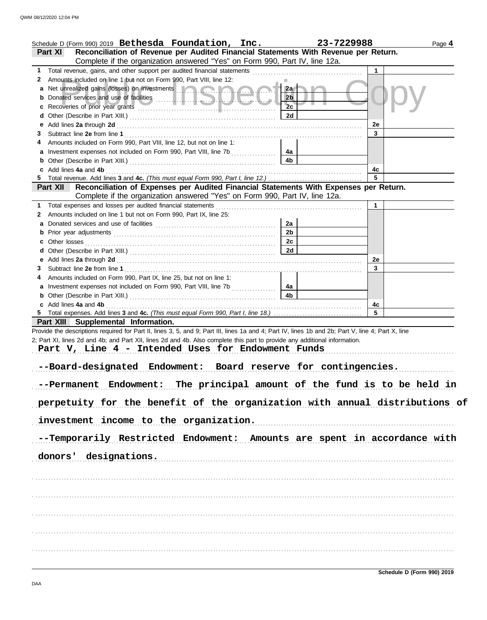|   | Schedule D (Form 990) 2019 Bethesda Foundation, Inc.                                                                                                                                                                                 |                      | 23-7229988   | Page 4 |
|---|--------------------------------------------------------------------------------------------------------------------------------------------------------------------------------------------------------------------------------------|----------------------|--------------|--------|
|   | Reconciliation of Revenue per Audited Financial Statements With Revenue per Return.<br>Part XI                                                                                                                                       |                      |              |        |
|   | Complete if the organization answered "Yes" on Form 990, Part IV, line 12a.                                                                                                                                                          |                      |              |        |
| 1 | Total revenue, gains, and other support per audited financial statements [                                                                                                                                                           |                      | $\mathbf{1}$ |        |
| 2 | Amounts included on line 1 but not on Form 990, Part VIII, line 12:                                                                                                                                                                  |                      |              |        |
| а | Net unrealized gains (losses) on investments <b>and a state of the state of the state of the state of the state of the state of the state of the state of the state of the state of the state of the state of the state of the s</b> | 2a                   |              |        |
|   |                                                                                                                                                                                                                                      | 2 <sub>b</sub>       |              |        |
|   |                                                                                                                                                                                                                                      | 2c                   |              |        |
|   |                                                                                                                                                                                                                                      | 2d                   |              |        |
| е |                                                                                                                                                                                                                                      |                      | 2e           |        |
| 3 |                                                                                                                                                                                                                                      |                      | 3            |        |
|   | Amounts included on Form 990, Part VIII, line 12, but not on line 1:                                                                                                                                                                 |                      |              |        |
|   | Investment expenses not included on Form 990, Part VIII, line 7b [[[[[[[[[[[[[[[[[[[[[[[[[[]]]]]]]]                                                                                                                                  | 4a                   |              |        |
|   |                                                                                                                                                                                                                                      | 4b                   |              |        |
|   | Add lines 4a and 4b                                                                                                                                                                                                                  |                      | 4c<br>5      |        |
|   |                                                                                                                                                                                                                                      |                      |              |        |
|   | Reconciliation of Expenses per Audited Financial Statements With Expenses per Return.<br><b>Part XII</b>                                                                                                                             |                      |              |        |
|   | Complete if the organization answered "Yes" on Form 990, Part IV, line 12a.                                                                                                                                                          |                      |              |        |
| 1 | Total expenses and losses per audited financial statements                                                                                                                                                                           |                      | $\mathbf{1}$ |        |
| 2 | Amounts included on line 1 but not on Form 990, Part IX, line 25:                                                                                                                                                                    |                      |              |        |
|   |                                                                                                                                                                                                                                      | 2a<br>2 <sub>b</sub> |              |        |
|   |                                                                                                                                                                                                                                      | 2c                   |              |        |
|   |                                                                                                                                                                                                                                      | 2d                   |              |        |
|   |                                                                                                                                                                                                                                      |                      | 2e           |        |
| 3 |                                                                                                                                                                                                                                      |                      | 3            |        |
|   | Amounts included on Form 990, Part IX, line 25, but not on line 1:                                                                                                                                                                   |                      |              |        |
|   |                                                                                                                                                                                                                                      | 4a                   |              |        |
|   |                                                                                                                                                                                                                                      | 4b                   |              |        |
|   | c Add lines 4a and 4b                                                                                                                                                                                                                |                      | 4c           |        |
|   |                                                                                                                                                                                                                                      |                      | 5            |        |
|   | Part XIII Supplemental Information.                                                                                                                                                                                                  |                      |              |        |
|   | Provide the descriptions required for Part II, lines 3, 5, and 9; Part III, lines 1a and 4; Part IV, lines 1b and 2b; Part V, line 4; Part X, line                                                                                   |                      |              |        |
|   | 2; Part XI, lines 2d and 4b; and Part XII, lines 2d and 4b. Also complete this part to provide any additional information.                                                                                                           |                      |              |        |
|   | Part V, Line 4 - Intended Uses for Endowment Funds                                                                                                                                                                                   |                      |              |        |
|   |                                                                                                                                                                                                                                      |                      |              |        |
|   | --Board-designated Endowment: Board reserve for contingencies.                                                                                                                                                                       |                      |              |        |
|   |                                                                                                                                                                                                                                      |                      |              |        |
|   | --Permanent Endowment: The principal amount of the fund is to be held in                                                                                                                                                             |                      |              |        |
|   |                                                                                                                                                                                                                                      |                      |              |        |
|   | perpetuity for the benefit of the organization with annual distributions of                                                                                                                                                          |                      |              |        |
|   |                                                                                                                                                                                                                                      |                      |              |        |
|   | investment income to the organization.                                                                                                                                                                                               |                      |              |        |
|   | --Temporarily Restricted Endowment: Amounts are spent in accordance with                                                                                                                                                             |                      |              |        |
|   |                                                                                                                                                                                                                                      |                      |              |        |
|   | donors' designations.                                                                                                                                                                                                                |                      |              |        |
|   |                                                                                                                                                                                                                                      |                      |              |        |
|   |                                                                                                                                                                                                                                      |                      |              |        |
|   |                                                                                                                                                                                                                                      |                      |              |        |
|   |                                                                                                                                                                                                                                      |                      |              |        |
|   |                                                                                                                                                                                                                                      |                      |              |        |
|   |                                                                                                                                                                                                                                      |                      |              |        |
|   |                                                                                                                                                                                                                                      |                      |              |        |
|   |                                                                                                                                                                                                                                      |                      |              |        |
|   |                                                                                                                                                                                                                                      |                      |              |        |
|   |                                                                                                                                                                                                                                      |                      |              |        |
|   |                                                                                                                                                                                                                                      |                      |              |        |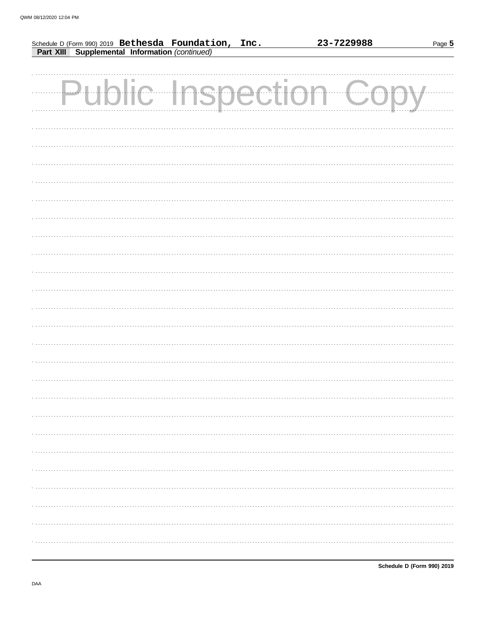|  |                                                                                                        | 23-7229988         | Page 5 |
|--|--------------------------------------------------------------------------------------------------------|--------------------|--------|
|  | Schedule D (Form 990) 2019 Bethesda Foundation, Inc.<br>Part XIII Supplemental Information (continued) |                    |        |
|  |                                                                                                        |                    |        |
|  |                                                                                                        |                    |        |
|  |                                                                                                        |                    |        |
|  |                                                                                                        | blic Inspection Co |        |
|  |                                                                                                        |                    |        |
|  |                                                                                                        |                    |        |
|  |                                                                                                        |                    |        |
|  |                                                                                                        |                    |        |
|  |                                                                                                        |                    |        |
|  |                                                                                                        |                    |        |
|  |                                                                                                        |                    |        |
|  |                                                                                                        |                    |        |
|  |                                                                                                        |                    |        |
|  |                                                                                                        |                    |        |
|  |                                                                                                        |                    |        |
|  |                                                                                                        |                    |        |
|  |                                                                                                        |                    |        |
|  |                                                                                                        |                    |        |
|  |                                                                                                        |                    |        |
|  |                                                                                                        |                    |        |
|  |                                                                                                        |                    |        |
|  |                                                                                                        |                    |        |
|  |                                                                                                        |                    |        |
|  |                                                                                                        |                    |        |
|  |                                                                                                        |                    |        |
|  |                                                                                                        |                    |        |
|  |                                                                                                        |                    |        |
|  |                                                                                                        |                    |        |
|  |                                                                                                        |                    |        |
|  |                                                                                                        |                    |        |
|  |                                                                                                        |                    |        |
|  |                                                                                                        |                    |        |
|  |                                                                                                        |                    |        |
|  |                                                                                                        |                    |        |
|  |                                                                                                        |                    |        |
|  |                                                                                                        |                    |        |
|  |                                                                                                        |                    |        |
|  |                                                                                                        |                    |        |
|  |                                                                                                        |                    |        |
|  |                                                                                                        |                    |        |
|  |                                                                                                        |                    |        |
|  |                                                                                                        |                    |        |
|  |                                                                                                        |                    |        |
|  |                                                                                                        |                    |        |
|  |                                                                                                        |                    |        |
|  |                                                                                                        |                    |        |
|  |                                                                                                        |                    |        |
|  |                                                                                                        |                    |        |
|  |                                                                                                        |                    |        |
|  |                                                                                                        |                    |        |
|  |                                                                                                        |                    |        |
|  |                                                                                                        |                    |        |
|  |                                                                                                        |                    |        |
|  |                                                                                                        |                    |        |
|  |                                                                                                        |                    |        |
|  |                                                                                                        |                    |        |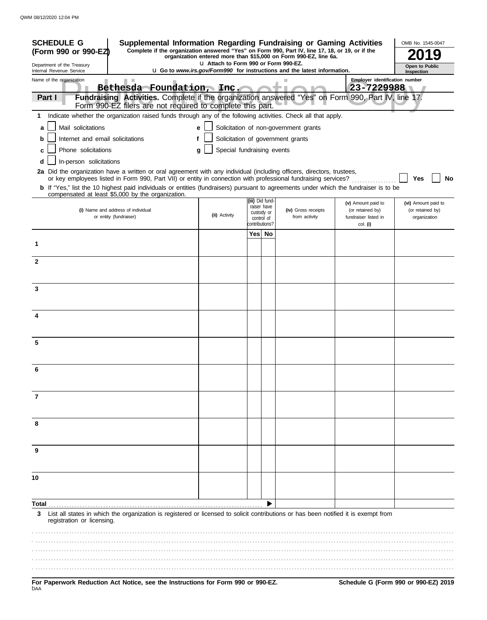| <b>SCHEDULE G</b><br>Supplemental Information Regarding Fundraising or Gaming Activities<br>Complete if the organization answered "Yes" on Form 990, Part IV, line 17, 18, or 19, or if the<br>(Form 990 or 990-EZ)                      |                                       |                              | organization entered more than \$15,000 on Form 990-EZ, line 6a.                |                                        | OMB No. 1545-0047                       |
|------------------------------------------------------------------------------------------------------------------------------------------------------------------------------------------------------------------------------------------|---------------------------------------|------------------------------|---------------------------------------------------------------------------------|----------------------------------------|-----------------------------------------|
| Department of the Treasury<br>Internal Revenue Service                                                                                                                                                                                   | L1 Attach to Form 990 or Form 990-EZ. |                              | <b>u</b> Go to www.irs.gov/Form990 for instructions and the latest information. |                                        | Open to Public<br>Inspection            |
| Name of the organization                                                                                                                                                                                                                 |                                       |                              |                                                                                 | <b>Employer identification number</b>  |                                         |
| Bethesda Foundation, Inc.<br>Fundraising Activities. Complete if the organization answered "Yes" on Form 990, Part IV, line 17.<br>Part I                                                                                                |                                       |                              |                                                                                 | 23-7229988                             |                                         |
| Form 990-EZ filers are not required to complete this part.                                                                                                                                                                               |                                       |                              |                                                                                 |                                        |                                         |
| 1 Indicate whether the organization raised funds through any of the following activities. Check all that apply.                                                                                                                          |                                       |                              |                                                                                 |                                        |                                         |
| Mail solicitations<br>a                                                                                                                                                                                                                  | e                                     |                              | Solicitation of non-government grants                                           |                                        |                                         |
| Internet and email solicitations<br>b                                                                                                                                                                                                    |                                       |                              | Solicitation of government grants                                               |                                        |                                         |
| Phone solicitations<br>c                                                                                                                                                                                                                 | Special fundraising events<br>a       |                              |                                                                                 |                                        |                                         |
| In-person solicitations<br>d                                                                                                                                                                                                             |                                       |                              |                                                                                 |                                        |                                         |
| 2a Did the organization have a written or oral agreement with any individual (including officers, directors, trustees,<br>or key employees listed in Form 990, Part VII) or entity in connection with professional fundraising services? |                                       |                              |                                                                                 |                                        | No<br>Yes                               |
| <b>b</b> If "Yes," list the 10 highest paid individuals or entities (fundraisers) pursuant to agreements under which the fundraiser is to be                                                                                             |                                       |                              |                                                                                 |                                        |                                         |
| compensated at least \$5,000 by the organization.                                                                                                                                                                                        |                                       | (iii) Did fund-              |                                                                                 |                                        |                                         |
| (i) Name and address of individual                                                                                                                                                                                                       |                                       | raiser have<br>custody or    | (iv) Gross receipts                                                             | (v) Amount paid to<br>(or retained by) | (vi) Amount paid to<br>(or retained by) |
| or entity (fundraiser)                                                                                                                                                                                                                   | (ii) Activity                         | control of<br>contributions? | from activity                                                                   | fundraiser listed in<br>col. (i)       | organization                            |
|                                                                                                                                                                                                                                          |                                       | Yes No                       |                                                                                 |                                        |                                         |
| 1                                                                                                                                                                                                                                        |                                       |                              |                                                                                 |                                        |                                         |
|                                                                                                                                                                                                                                          |                                       |                              |                                                                                 |                                        |                                         |
| $\mathbf{2}$                                                                                                                                                                                                                             |                                       |                              |                                                                                 |                                        |                                         |
|                                                                                                                                                                                                                                          |                                       |                              |                                                                                 |                                        |                                         |
| 3                                                                                                                                                                                                                                        |                                       |                              |                                                                                 |                                        |                                         |
|                                                                                                                                                                                                                                          |                                       |                              |                                                                                 |                                        |                                         |
| 4                                                                                                                                                                                                                                        |                                       |                              |                                                                                 |                                        |                                         |
|                                                                                                                                                                                                                                          |                                       |                              |                                                                                 |                                        |                                         |
|                                                                                                                                                                                                                                          |                                       |                              |                                                                                 |                                        |                                         |
| 5                                                                                                                                                                                                                                        |                                       |                              |                                                                                 |                                        |                                         |
|                                                                                                                                                                                                                                          |                                       |                              |                                                                                 |                                        |                                         |
| 6                                                                                                                                                                                                                                        |                                       |                              |                                                                                 |                                        |                                         |
|                                                                                                                                                                                                                                          |                                       |                              |                                                                                 |                                        |                                         |
| 7                                                                                                                                                                                                                                        |                                       |                              |                                                                                 |                                        |                                         |
|                                                                                                                                                                                                                                          |                                       |                              |                                                                                 |                                        |                                         |
| 8                                                                                                                                                                                                                                        |                                       |                              |                                                                                 |                                        |                                         |
|                                                                                                                                                                                                                                          |                                       |                              |                                                                                 |                                        |                                         |
|                                                                                                                                                                                                                                          |                                       |                              |                                                                                 |                                        |                                         |
| 9                                                                                                                                                                                                                                        |                                       |                              |                                                                                 |                                        |                                         |
|                                                                                                                                                                                                                                          |                                       |                              |                                                                                 |                                        |                                         |
| 10                                                                                                                                                                                                                                       |                                       |                              |                                                                                 |                                        |                                         |
|                                                                                                                                                                                                                                          |                                       |                              |                                                                                 |                                        |                                         |
| Total                                                                                                                                                                                                                                    |                                       |                              |                                                                                 |                                        |                                         |
| List all states in which the organization is registered or licensed to solicit contributions or has been notified it is exempt from<br>3<br>registration or licensing.                                                                   |                                       |                              |                                                                                 |                                        |                                         |
|                                                                                                                                                                                                                                          |                                       |                              |                                                                                 |                                        |                                         |
|                                                                                                                                                                                                                                          |                                       |                              |                                                                                 |                                        |                                         |
|                                                                                                                                                                                                                                          |                                       |                              |                                                                                 |                                        |                                         |
|                                                                                                                                                                                                                                          |                                       |                              |                                                                                 |                                        |                                         |
| For Paperwork Reduction Act Notice, see the Instructions for Form 000 or 000-F7                                                                                                                                                          |                                       |                              |                                                                                 |                                        | Schodule G (Form 000 or 000-F7) 2010    |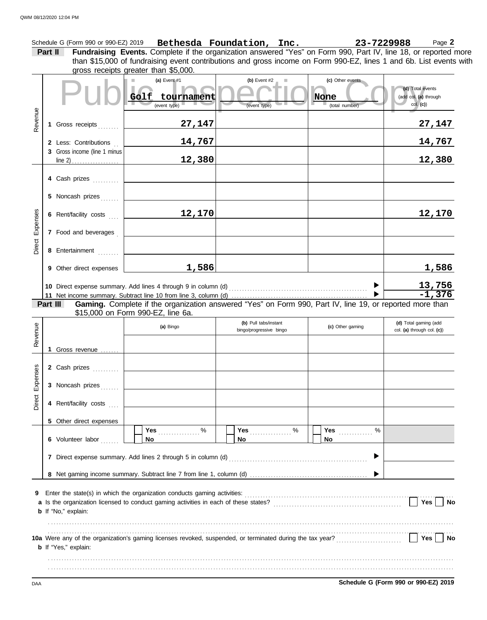|               | Part II                                    | Schedule G (Form 990 or 990-EZ) 2019 Bethesda Foundation, Inc. $23-7229988$<br>Fundraising Events. Complete if the organization answered "Yes" on Form 990, Part IV, line 18, or reported more<br>than \$15,000 of fundraising event contributions and gross income on Form 990-EZ, lines 1 and 6b. List events with |                                                  |                                                  | Page 2                                                |
|---------------|--------------------------------------------|----------------------------------------------------------------------------------------------------------------------------------------------------------------------------------------------------------------------------------------------------------------------------------------------------------------------|--------------------------------------------------|--------------------------------------------------|-------------------------------------------------------|
|               |                                            | gross receipts greater than \$5,000.                                                                                                                                                                                                                                                                                 |                                                  |                                                  |                                                       |
|               |                                            | (a) Event #1<br><b>The State</b><br>Golf tournament                                                                                                                                                                                                                                                                  | (b) Event $#2$<br>ш<br>(event type)              | (c) Other events<br><b>None</b><br>total number) | (d) Total events<br>(add col. (a) through<br>col. (c) |
| Revenue       | 1 Gross receipts                           | 27,147                                                                                                                                                                                                                                                                                                               |                                                  |                                                  | 27,147                                                |
|               | 2 Less: Contributions                      | 14,767                                                                                                                                                                                                                                                                                                               |                                                  |                                                  | 14,767                                                |
|               | 3 Gross income (line 1 minus)<br>line $2)$ | 12,380                                                                                                                                                                                                                                                                                                               |                                                  |                                                  | 12,380                                                |
|               | 4 Cash prizes                              |                                                                                                                                                                                                                                                                                                                      |                                                  |                                                  |                                                       |
|               | 5 Noncash prizes                           |                                                                                                                                                                                                                                                                                                                      |                                                  |                                                  |                                                       |
| Expenses      | 6 Rent/facility costs [11]                 | 12,170                                                                                                                                                                                                                                                                                                               |                                                  |                                                  | 12,170                                                |
|               | 7 Food and beverages                       |                                                                                                                                                                                                                                                                                                                      |                                                  |                                                  |                                                       |
| Direct        | 8 Entertainment                            |                                                                                                                                                                                                                                                                                                                      |                                                  |                                                  |                                                       |
|               | 9 Other direct expenses                    | 1,586                                                                                                                                                                                                                                                                                                                |                                                  |                                                  | 1,586                                                 |
|               |                                            |                                                                                                                                                                                                                                                                                                                      |                                                  | ▶                                                | $\frac{13,756}{-1,376}$                               |
|               | Part III                                   | Gaming. Complete if the organization answered "Yes" on Form 990, Part IV, line 19, or reported more than                                                                                                                                                                                                             |                                                  |                                                  |                                                       |
|               |                                            | \$15,000 on Form 990-EZ, line 6a.                                                                                                                                                                                                                                                                                    |                                                  |                                                  |                                                       |
| Revenue       |                                            | (a) Bingo                                                                                                                                                                                                                                                                                                            | (b) Pull tabs/instant<br>bingo/progressive bingo | (c) Other gaming                                 | (d) Total gaming (add<br>col. (a) through col. (c))   |
|               | 1 Gross revenue                            |                                                                                                                                                                                                                                                                                                                      |                                                  |                                                  |                                                       |
| 8             | 2 Cash prizes                              |                                                                                                                                                                                                                                                                                                                      |                                                  |                                                  |                                                       |
| Direct Expens | 3 Noncash prizes                           |                                                                                                                                                                                                                                                                                                                      |                                                  |                                                  |                                                       |
|               | 4 Rent/facility costs                      |                                                                                                                                                                                                                                                                                                                      |                                                  |                                                  |                                                       |
|               | 5 Other direct expenses                    |                                                                                                                                                                                                                                                                                                                      |                                                  |                                                  |                                                       |
|               | 6 Volunteer labor                          | $\%$<br><b>Yes Marine Property</b><br>No                                                                                                                                                                                                                                                                             | %<br><b>Yes Marshall</b><br>No                   | <b>Yes <i>CON</i></b><br>$\%$<br>No              |                                                       |
|               |                                            |                                                                                                                                                                                                                                                                                                                      |                                                  | ▶                                                |                                                       |
|               |                                            |                                                                                                                                                                                                                                                                                                                      |                                                  |                                                  |                                                       |
| 9             | b If "No," explain:                        |                                                                                                                                                                                                                                                                                                                      |                                                  |                                                  | Yes $\Box$<br>No                                      |
|               |                                            |                                                                                                                                                                                                                                                                                                                      |                                                  |                                                  |                                                       |
|               | <b>b</b> If "Yes," explain:                |                                                                                                                                                                                                                                                                                                                      |                                                  |                                                  | Yes  <br>No                                           |
|               |                                            |                                                                                                                                                                                                                                                                                                                      |                                                  |                                                  |                                                       |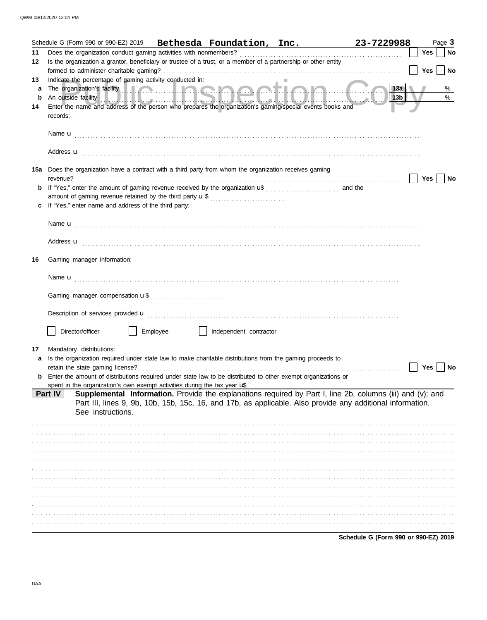|    |          |                                                                                                                                                                                                                               |          |                        | Schedule G (Form 990 or 990-EZ) 2019    Bethesda Foundation, Inc.                                              | 23-7229988                                                                                                                                                                                                                                |     |            |     | Page 3    |
|----|----------|-------------------------------------------------------------------------------------------------------------------------------------------------------------------------------------------------------------------------------|----------|------------------------|----------------------------------------------------------------------------------------------------------------|-------------------------------------------------------------------------------------------------------------------------------------------------------------------------------------------------------------------------------------------|-----|------------|-----|-----------|
| 11 |          | Does the organization conduct gaming activities with nonmembers?                                                                                                                                                              |          |                        |                                                                                                                |                                                                                                                                                                                                                                           |     | <b>Yes</b> |     | <b>No</b> |
| 12 |          |                                                                                                                                                                                                                               |          |                        | Is the organization a grantor, beneficiary or trustee of a trust, or a member of a partnership or other entity |                                                                                                                                                                                                                                           |     |            |     |           |
| 13 |          | Indicate the percentage of gaming activity conducted in:                                                                                                                                                                      |          |                        |                                                                                                                |                                                                                                                                                                                                                                           |     | Yes        |     | <b>No</b> |
| a  |          | The organization's facility <b>the contract of the organization's facility</b>                                                                                                                                                |          |                        |                                                                                                                |                                                                                                                                                                                                                                           | 13a |            |     | %         |
| b  |          | An outside facility entry and the contract of the contract of the contract of the contract of the contract of the contract of the contract of the contract of the contract of the contract of the contract of the contract of |          |                        |                                                                                                                |                                                                                                                                                                                                                                           | 13b |            |     | %         |
| 14 |          |                                                                                                                                                                                                                               |          |                        | Enter the name and address of the person who prepares the organization's gaming/special events books and       |                                                                                                                                                                                                                                           |     |            |     |           |
|    | records: |                                                                                                                                                                                                                               |          |                        |                                                                                                                |                                                                                                                                                                                                                                           |     |            |     |           |
|    |          |                                                                                                                                                                                                                               |          |                        |                                                                                                                |                                                                                                                                                                                                                                           |     |            |     |           |
|    |          |                                                                                                                                                                                                                               |          |                        |                                                                                                                | Address <b>u</b> <u>decree and the contract of the contract of the contract of the contract of the contract of the contract of the contract of the contract of the contract of the contract of the contract of the contract of the co</u> |     |            |     |           |
|    |          |                                                                                                                                                                                                                               |          |                        | 15a Does the organization have a contract with a third party from whom the organization receives gaming        |                                                                                                                                                                                                                                           |     |            |     |           |
|    |          |                                                                                                                                                                                                                               |          |                        |                                                                                                                |                                                                                                                                                                                                                                           |     | Yes        |     | No        |
|    |          |                                                                                                                                                                                                                               |          |                        |                                                                                                                |                                                                                                                                                                                                                                           |     |            |     |           |
|    |          | If "Yes," enter name and address of the third party:                                                                                                                                                                          |          |                        |                                                                                                                |                                                                                                                                                                                                                                           |     |            |     |           |
|    |          |                                                                                                                                                                                                                               |          |                        |                                                                                                                |                                                                                                                                                                                                                                           |     |            |     |           |
|    |          |                                                                                                                                                                                                                               |          |                        |                                                                                                                |                                                                                                                                                                                                                                           |     |            |     |           |
|    |          |                                                                                                                                                                                                                               |          |                        |                                                                                                                |                                                                                                                                                                                                                                           |     |            |     |           |
|    |          |                                                                                                                                                                                                                               |          |                        |                                                                                                                | Address <b>u</b> <u>contractive and the contractive and the contractive and the contractive and the contractive and the contractive and the contractive and contract and contract and contract and contract and contract and contract</u> |     |            |     |           |
| 16 |          | Gaming manager information:                                                                                                                                                                                                   |          |                        |                                                                                                                |                                                                                                                                                                                                                                           |     |            |     |           |
|    |          |                                                                                                                                                                                                                               |          |                        |                                                                                                                |                                                                                                                                                                                                                                           |     |            |     |           |
|    |          |                                                                                                                                                                                                                               |          |                        |                                                                                                                |                                                                                                                                                                                                                                           |     |            |     |           |
|    |          |                                                                                                                                                                                                                               |          |                        |                                                                                                                |                                                                                                                                                                                                                                           |     |            |     |           |
|    |          |                                                                                                                                                                                                                               |          |                        |                                                                                                                |                                                                                                                                                                                                                                           |     |            |     |           |
|    |          |                                                                                                                                                                                                                               |          |                        |                                                                                                                |                                                                                                                                                                                                                                           |     |            |     |           |
|    |          | Director/officer                                                                                                                                                                                                              | Employee | Independent contractor |                                                                                                                |                                                                                                                                                                                                                                           |     |            |     |           |
| 17 |          | Mandatory distributions:                                                                                                                                                                                                      |          |                        |                                                                                                                |                                                                                                                                                                                                                                           |     |            |     |           |
|    |          |                                                                                                                                                                                                                               |          |                        | Is the organization required under state law to make charitable distributions from the gaming proceeds to      |                                                                                                                                                                                                                                           |     |            |     |           |
|    |          | retain the state gaming license?                                                                                                                                                                                              |          |                        |                                                                                                                |                                                                                                                                                                                                                                           |     |            | Yes | No        |
|    |          |                                                                                                                                                                                                                               |          |                        | Enter the amount of distributions required under state law to be distributed to other exempt organizations or  |                                                                                                                                                                                                                                           |     |            |     |           |
|    | Part IV  | spent in the organization's own exempt activities during the tax year $\mathbf{u}^*$                                                                                                                                          |          |                        |                                                                                                                | Supplemental Information. Provide the explanations required by Part I, line 2b, columns (iii) and (v); and                                                                                                                                |     |            |     |           |
|    |          | See instructions.                                                                                                                                                                                                             |          |                        |                                                                                                                | Part III, lines 9, 9b, 10b, 15b, 15c, 16, and 17b, as applicable. Also provide any additional information.                                                                                                                                |     |            |     |           |
|    |          |                                                                                                                                                                                                                               |          |                        |                                                                                                                |                                                                                                                                                                                                                                           |     |            |     |           |
|    |          |                                                                                                                                                                                                                               |          |                        |                                                                                                                |                                                                                                                                                                                                                                           |     |            |     |           |
|    |          |                                                                                                                                                                                                                               |          |                        |                                                                                                                |                                                                                                                                                                                                                                           |     |            |     |           |
|    |          |                                                                                                                                                                                                                               |          |                        |                                                                                                                |                                                                                                                                                                                                                                           |     |            |     |           |
|    |          |                                                                                                                                                                                                                               |          |                        |                                                                                                                |                                                                                                                                                                                                                                           |     |            |     |           |
|    |          |                                                                                                                                                                                                                               |          |                        |                                                                                                                |                                                                                                                                                                                                                                           |     |            |     |           |
|    |          |                                                                                                                                                                                                                               |          |                        |                                                                                                                |                                                                                                                                                                                                                                           |     |            |     |           |
|    |          |                                                                                                                                                                                                                               |          |                        |                                                                                                                |                                                                                                                                                                                                                                           |     |            |     |           |
|    |          |                                                                                                                                                                                                                               |          |                        |                                                                                                                |                                                                                                                                                                                                                                           |     |            |     |           |
|    |          |                                                                                                                                                                                                                               |          |                        |                                                                                                                |                                                                                                                                                                                                                                           |     |            |     |           |
|    |          |                                                                                                                                                                                                                               |          |                        |                                                                                                                |                                                                                                                                                                                                                                           |     |            |     |           |
|    |          |                                                                                                                                                                                                                               |          |                        |                                                                                                                | Schedule G (Form 990 or 990-EZ) 2019                                                                                                                                                                                                      |     |            |     |           |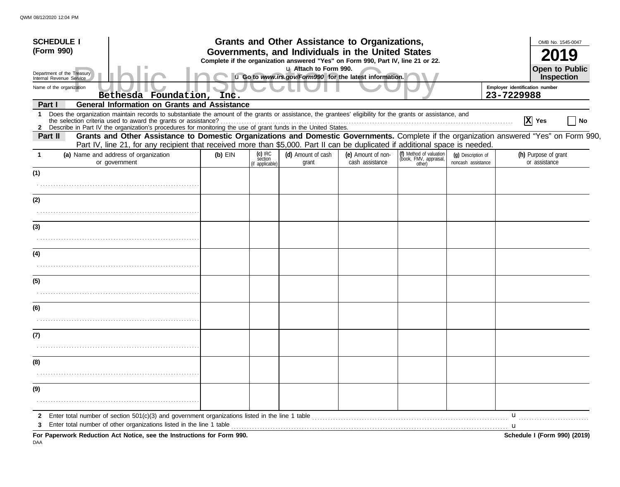| <b>SCHEDULE I</b>                                                                                                                                                                                                                                                                    |           |                                         | Grants and Other Assistance to Organizations,                                                                                         |                                       |                                                             |                                          |                                | OMB No. 1545-0047                     |
|--------------------------------------------------------------------------------------------------------------------------------------------------------------------------------------------------------------------------------------------------------------------------------------|-----------|-----------------------------------------|---------------------------------------------------------------------------------------------------------------------------------------|---------------------------------------|-------------------------------------------------------------|------------------------------------------|--------------------------------|---------------------------------------|
| (Form 990)                                                                                                                                                                                                                                                                           |           |                                         | Governments, and Individuals in the United States<br>Complete if the organization answered "Yes" on Form 990, Part IV, line 21 or 22. |                                       |                                                             |                                          |                                |                                       |
| Department of the Treasury<br>Internal Revenue Service                                                                                                                                                                                                                               |           |                                         | u Attach to Form 990.<br>u Go to www.irs.gov/Form990 for the latest information.                                                      |                                       |                                                             |                                          |                                | Open to Public<br>Inspection          |
| Name of the organization                                                                                                                                                                                                                                                             |           |                                         |                                                                                                                                       |                                       |                                                             |                                          | Employer identification number |                                       |
| Bethesda Foundation, Inc.<br><b>General Information on Grants and Assistance</b><br>Part I                                                                                                                                                                                           |           |                                         |                                                                                                                                       |                                       |                                                             |                                          | 23-7229988                     |                                       |
| Does the organization maintain records to substantiate the amount of the grants or assistance, the grantees' eligibility for the grants or assistance, and<br>1<br>2 Describe in Part IV the organization's procedures for monitoring the use of grant funds in the United States.   |           |                                         |                                                                                                                                       |                                       |                                                             |                                          |                                | $ \mathbf{X} $ Yes<br>No              |
| Grants and Other Assistance to Domestic Organizations and Domestic Governments. Complete if the organization answered "Yes" on Form 990,<br>Part II<br>Part IV, line 21, for any recipient that received more than \$5,000. Part II can be duplicated if additional space is needed. |           |                                         |                                                                                                                                       |                                       |                                                             |                                          |                                |                                       |
| (a) Name and address of organization<br>or government                                                                                                                                                                                                                                | $(b)$ EIN | $(c)$ IRC<br>section<br>(if applicable) | (d) Amount of cash<br>grant                                                                                                           | (e) Amount of non-<br>cash assistance | (f) Method of valuation<br>(book, FMV, appraisal,<br>other) | (g) Description of<br>noncash assistance |                                | (h) Purpose of grant<br>or assistance |
| (1)                                                                                                                                                                                                                                                                                  |           |                                         |                                                                                                                                       |                                       |                                                             |                                          |                                |                                       |
| (2)                                                                                                                                                                                                                                                                                  |           |                                         |                                                                                                                                       |                                       |                                                             |                                          |                                |                                       |
|                                                                                                                                                                                                                                                                                      |           |                                         |                                                                                                                                       |                                       |                                                             |                                          |                                |                                       |
| (3)                                                                                                                                                                                                                                                                                  |           |                                         |                                                                                                                                       |                                       |                                                             |                                          |                                |                                       |
| (4)                                                                                                                                                                                                                                                                                  |           |                                         |                                                                                                                                       |                                       |                                                             |                                          |                                |                                       |
|                                                                                                                                                                                                                                                                                      |           |                                         |                                                                                                                                       |                                       |                                                             |                                          |                                |                                       |
| (5)                                                                                                                                                                                                                                                                                  |           |                                         |                                                                                                                                       |                                       |                                                             |                                          |                                |                                       |
|                                                                                                                                                                                                                                                                                      |           |                                         |                                                                                                                                       |                                       |                                                             |                                          |                                |                                       |
| (6)                                                                                                                                                                                                                                                                                  |           |                                         |                                                                                                                                       |                                       |                                                             |                                          |                                |                                       |
| (7)                                                                                                                                                                                                                                                                                  |           |                                         |                                                                                                                                       |                                       |                                                             |                                          |                                |                                       |
| (8)                                                                                                                                                                                                                                                                                  |           |                                         |                                                                                                                                       |                                       |                                                             |                                          |                                |                                       |
|                                                                                                                                                                                                                                                                                      |           |                                         |                                                                                                                                       |                                       |                                                             |                                          |                                |                                       |
| (9)                                                                                                                                                                                                                                                                                  |           |                                         |                                                                                                                                       |                                       |                                                             |                                          |                                |                                       |
| $\mathbf{2}$                                                                                                                                                                                                                                                                         |           |                                         |                                                                                                                                       |                                       |                                                             |                                          | u                              |                                       |
| Enter total number of other organizations listed in the line 1 table <i>manufacture in the content of table</i> manufacture in the line 1 table manufacture in the content of the line 1 table manufacture in the line of the line<br>3                                              |           |                                         |                                                                                                                                       |                                       |                                                             |                                          |                                |                                       |
| For Paperwork Reduction Act Notice, see the Instructions for Form 990.                                                                                                                                                                                                               |           |                                         |                                                                                                                                       |                                       |                                                             |                                          |                                | Schedule I (Form 990) (2019)          |

DAA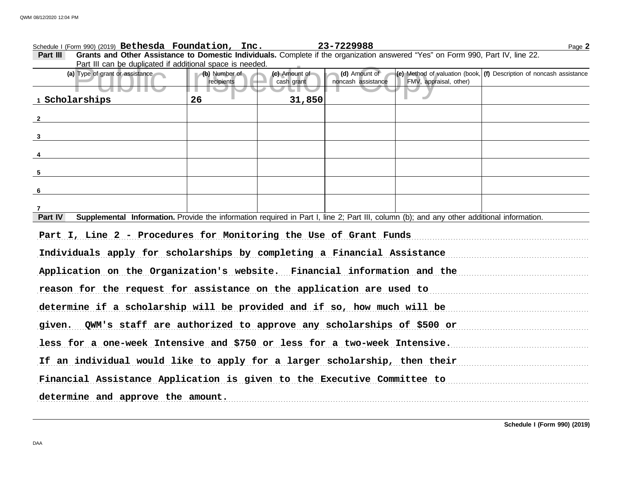# Schedule I (Form 990) (2019) Page **2 Bethesda Foundation, Inc. 23-7229988**

**Part III Grants and Other Assistance to Domestic Individuals.** Complete if the organization answered "Yes" on Form 990, Part IV, line 22. Part III can be duplicated if additional space is needed.

| Part in can be duplicated in additional space is needed.                                                                                                               |                             |                             |                                     |                        |                                                                                      |
|------------------------------------------------------------------------------------------------------------------------------------------------------------------------|-----------------------------|-----------------------------|-------------------------------------|------------------------|--------------------------------------------------------------------------------------|
| (a) Type of grant or assistance                                                                                                                                        | (b) Number of<br>recipients | (c) Amount of<br>cash grant | (d) Amount of<br>noncash assistance | FMV, appraisal, other) | $ e\rangle$ Method of valuation (book, $ f\rangle$ Description of noncash assistance |
|                                                                                                                                                                        |                             |                             |                                     |                        |                                                                                      |
| 1 Scholarships                                                                                                                                                         | 26                          | 31,850                      |                                     |                        |                                                                                      |
|                                                                                                                                                                        |                             |                             |                                     |                        |                                                                                      |
| $\overline{\mathbf{2}}$                                                                                                                                                |                             |                             |                                     |                        |                                                                                      |
| $\mathbf{3}$                                                                                                                                                           |                             |                             |                                     |                        |                                                                                      |
|                                                                                                                                                                        |                             |                             |                                     |                        |                                                                                      |
| $\overline{4}$                                                                                                                                                         |                             |                             |                                     |                        |                                                                                      |
| $5\phantom{.0}$                                                                                                                                                        |                             |                             |                                     |                        |                                                                                      |
|                                                                                                                                                                        |                             |                             |                                     |                        |                                                                                      |
| 6                                                                                                                                                                      |                             |                             |                                     |                        |                                                                                      |
|                                                                                                                                                                        |                             |                             |                                     |                        |                                                                                      |
| $\overline{7}$<br>Supplemental Information. Provide the information required in Part I, line 2; Part III, column (b); and any other additional information.<br>Part IV |                             |                             |                                     |                        |                                                                                      |
|                                                                                                                                                                        |                             |                             |                                     |                        |                                                                                      |
| Part I, Line 2 - Procedures for Monitoring the Use of Grant Funds                                                                                                      |                             |                             |                                     |                        |                                                                                      |
| Individuals apply for scholarships by completing a Financial Assistance                                                                                                |                             |                             |                                     |                        |                                                                                      |
| Application on the Organization's website. Financial information and the                                                                                               |                             |                             |                                     |                        |                                                                                      |
| reason for the request for assistance on the application are used to                                                                                                   |                             |                             |                                     |                        |                                                                                      |
| determine if a scholarship will be provided and if so, how much will be                                                                                                |                             |                             |                                     |                        |                                                                                      |
| given. QWM's staff are authorized to approve any scholarships of \$500 or                                                                                              |                             |                             |                                     |                        |                                                                                      |
| less for a one-week Intensive and \$750 or less for a two-week Intensive.                                                                                              |                             |                             |                                     |                        |                                                                                      |
| If an individual would like to apply for a larger scholarship, then their                                                                                              |                             |                             |                                     |                        |                                                                                      |
| Financial Assistance Application is given to the Executive Committee to                                                                                                |                             |                             |                                     |                        |                                                                                      |
| determine and approve the amount.                                                                                                                                      |                             |                             |                                     |                        |                                                                                      |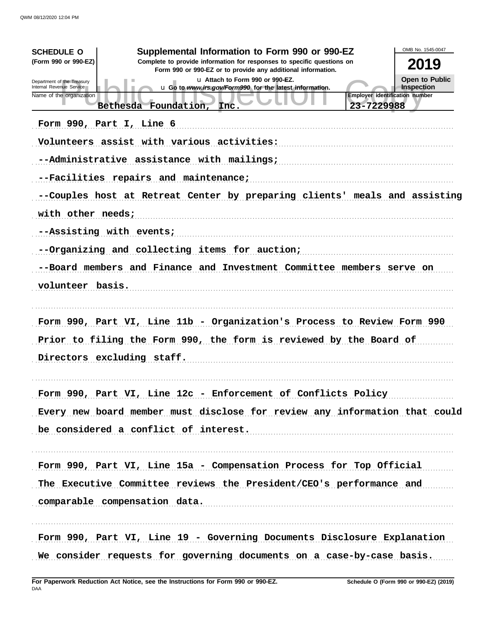| <b>SCHEDULE O</b><br>(Form 990 or 990-EZ)<br>Department of the Treasury<br>Internal Revenue Service<br>Name of the organization | Supplemental Information to Form 990 or 990-EZ<br>Complete to provide information for responses to specific questions on<br>Form 990 or 990-EZ or to provide any additional information.<br>La Attach to Form 990 or 990-EZ.<br>u Go to www.irs.gov/Form990 for the latest information.<br>Bethesda Foundation,<br>23-7229988<br>Inc.      | OMB No. 1545-0047<br>2019<br><b>Open to Public</b><br>Inspection<br>Employer identification number |
|---------------------------------------------------------------------------------------------------------------------------------|--------------------------------------------------------------------------------------------------------------------------------------------------------------------------------------------------------------------------------------------------------------------------------------------------------------------------------------------|----------------------------------------------------------------------------------------------------|
| Form 990, Part I, Line 6<br>with other needs;<br>--Assisting with events;<br>volunteer basis.                                   | Volunteers assist with various activities:<br>--Administrative assistance with mailings;<br>--Facilities repairs and maintenance;<br>--Couples host at Retreat Center by preparing clients' meals and assisting<br>--Organizing and collecting items for auction;<br>--Board members and Finance and Investment Committee members serve on |                                                                                                    |
| Directors excluding staff.                                                                                                      | Form 990, Part VI, Line 11b - Organization's Process to Review Form 990<br>Prior to filing the Form 990, the form is reviewed by the Board of                                                                                                                                                                                              |                                                                                                    |
|                                                                                                                                 | Form 990, Part VI, Line 12c - Enforcement of Conflicts Policy<br>Every new board member must disclose for review any information that could<br>be considered a conflict of interest.                                                                                                                                                       |                                                                                                    |
|                                                                                                                                 | Form 990, Part VI, Line 15a - Compensation Process for Top Official<br>The Executive Committee reviews the President/CEO's performance and<br>comparable compensation data.                                                                                                                                                                |                                                                                                    |
|                                                                                                                                 | Form 990, Part VI, Line 19 - Governing Documents Disclosure Explanation<br>We consider requests for governing documents on a case-by-case basis.                                                                                                                                                                                           |                                                                                                    |